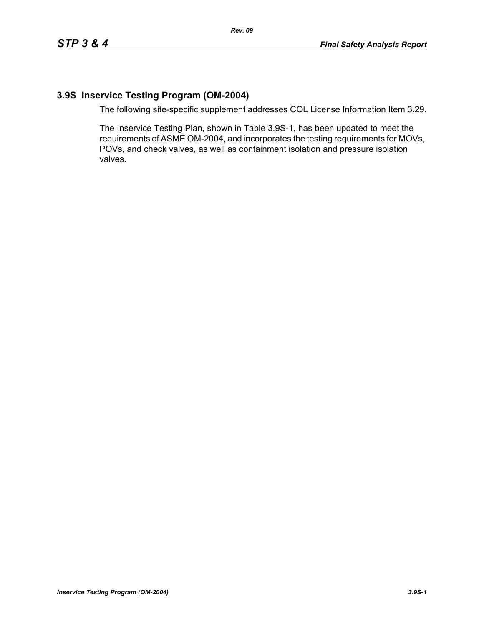## **3.9S Inservice Testing Program (OM-2004)**

The following site-specific supplement addresses COL License Information Item 3.29.

The Inservice Testing Plan, shown in Table 3.9S-1, has been updated to meet the requirements of ASME OM-2004, and incorporates the testing requirements for MOVs, POVs, and check valves, as well as containment isolation and pressure isolation valves.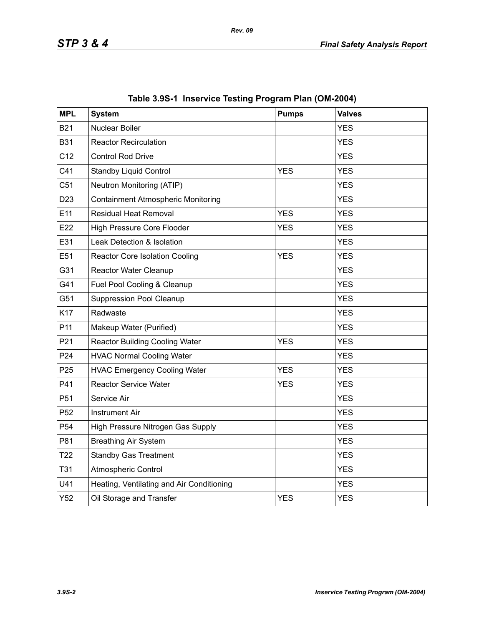| <b>MPL</b>      | <b>System</b>                             | <b>Pumps</b> | <b>Valves</b> |
|-----------------|-------------------------------------------|--------------|---------------|
| <b>B21</b>      | <b>Nuclear Boiler</b>                     |              | <b>YES</b>    |
| <b>B31</b>      | <b>Reactor Recirculation</b>              |              | <b>YES</b>    |
| C <sub>12</sub> | <b>Control Rod Drive</b>                  |              | <b>YES</b>    |
| C41             | <b>Standby Liquid Control</b>             | <b>YES</b>   | <b>YES</b>    |
| C <sub>51</sub> | Neutron Monitoring (ATIP)                 |              | <b>YES</b>    |
| D <sub>23</sub> | <b>Containment Atmospheric Monitoring</b> |              | <b>YES</b>    |
| E11             | Residual Heat Removal                     | <b>YES</b>   | <b>YES</b>    |
| E22             | <b>High Pressure Core Flooder</b>         | <b>YES</b>   | <b>YES</b>    |
| E31             | Leak Detection & Isolation                |              | <b>YES</b>    |
| E51             | <b>Reactor Core Isolation Cooling</b>     | <b>YES</b>   | <b>YES</b>    |
| G31             | Reactor Water Cleanup                     |              | <b>YES</b>    |
| G41             | Fuel Pool Cooling & Cleanup               |              | <b>YES</b>    |
| G51             | <b>Suppression Pool Cleanup</b>           |              | <b>YES</b>    |
| K17             | Radwaste                                  |              | <b>YES</b>    |
| P <sub>11</sub> | Makeup Water (Purified)                   |              | <b>YES</b>    |
| P21             | <b>Reactor Building Cooling Water</b>     | <b>YES</b>   | <b>YES</b>    |
| P <sub>24</sub> | <b>HVAC Normal Cooling Water</b>          |              | <b>YES</b>    |
| P <sub>25</sub> | <b>HVAC Emergency Cooling Water</b>       | <b>YES</b>   | <b>YES</b>    |
| P41             | <b>Reactor Service Water</b>              | <b>YES</b>   | <b>YES</b>    |
| P <sub>51</sub> | Service Air                               |              | <b>YES</b>    |
| P <sub>52</sub> | <b>Instrument Air</b>                     |              | <b>YES</b>    |
| P <sub>54</sub> | High Pressure Nitrogen Gas Supply         |              | <b>YES</b>    |
| P81             | <b>Breathing Air System</b>               |              | <b>YES</b>    |
| T <sub>22</sub> | <b>Standby Gas Treatment</b>              |              | <b>YES</b>    |
| <b>T31</b>      | <b>Atmospheric Control</b>                |              | <b>YES</b>    |
| U41             | Heating, Ventilating and Air Conditioning |              | <b>YES</b>    |
| Y52             | Oil Storage and Transfer                  | <b>YES</b>   | <b>YES</b>    |

|  |  | Table 3.9S-1 Inservice Testing Program Plan (OM-2004) |  |  |
|--|--|-------------------------------------------------------|--|--|
|--|--|-------------------------------------------------------|--|--|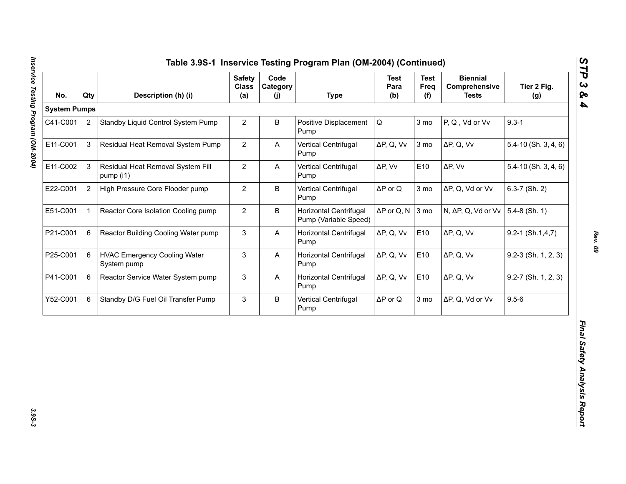| <b>System Pumps</b><br>$9.3 - 1$<br>$\overline{2}$<br>$\overline{2}$<br>B<br>$\mathsf Q$<br>3 mo<br>P, Q, Vd or Vv<br>Standby Liquid Control System Pump<br>Positive Displacement<br>Pump<br>$\mathfrak{S}$<br>$\overline{2}$<br>Residual Heat Removal System Pump<br>ΔP, Q, Vv<br>3 mo<br>$\Delta P$ , Q, Vv<br>A<br>Vertical Centrifugal<br>Pump<br>3<br>$\overline{2}$<br>E10<br>Residual Heat Removal System Fill<br>$\mathsf{A}$<br>Vertical Centrifugal<br>ΔP, Vv<br>$\Delta P$ , Vv<br>pump (i1)<br>Pump<br>$\mathbf{2}$<br>$\overline{2}$<br>B<br>$\Delta P$ or Q<br>High Pressure Core Flooder pump<br>Vertical Centrifugal<br>3 mo<br>ΔP, Q, Vd or Vv<br>Pump<br>$\overline{2}$<br>$\mathbf{1}$<br>B<br>Horizontal Centrifugal<br>$\Delta P$ or Q, N<br>3 mo<br>N, ΔP, Q, Vd or Vv<br>Reactor Core Isolation Cooling pump<br>Pump (Variable Speed)<br>6<br>3<br>E10<br>Reactor Building Cooling Water pump<br>$\boldsymbol{\mathsf{A}}$<br>Horizontal Centrifugal<br>ΔP, Q, Vv<br>$\Delta P$ , Q, Vv<br>Pump<br>6<br><b>HVAC Emergency Cooling Water</b><br>3<br>Horizontal Centrifugal<br>ΔP, Q, Vv<br>E10<br>$\Delta P$ , Q, Vv<br>A<br>System pump<br>Pump | $5.4 - 10$ (Sh. 3, 4, 6)<br>$5.4 - 10$ (Sh. $3, 4, 6$ )<br>$6.3 - 7$ (Sh. 2) |
|-------------------------------------------------------------------------------------------------------------------------------------------------------------------------------------------------------------------------------------------------------------------------------------------------------------------------------------------------------------------------------------------------------------------------------------------------------------------------------------------------------------------------------------------------------------------------------------------------------------------------------------------------------------------------------------------------------------------------------------------------------------------------------------------------------------------------------------------------------------------------------------------------------------------------------------------------------------------------------------------------------------------------------------------------------------------------------------------------------------------------------------------------------------------------|------------------------------------------------------------------------------|
| C41-C001                                                                                                                                                                                                                                                                                                                                                                                                                                                                                                                                                                                                                                                                                                                                                                                                                                                                                                                                                                                                                                                                                                                                                                |                                                                              |
| E11-C001<br>E11-C002<br>E22-C001<br>E51-C001<br>P21-C001<br>P25-C001                                                                                                                                                                                                                                                                                                                                                                                                                                                                                                                                                                                                                                                                                                                                                                                                                                                                                                                                                                                                                                                                                                    |                                                                              |
|                                                                                                                                                                                                                                                                                                                                                                                                                                                                                                                                                                                                                                                                                                                                                                                                                                                                                                                                                                                                                                                                                                                                                                         |                                                                              |
|                                                                                                                                                                                                                                                                                                                                                                                                                                                                                                                                                                                                                                                                                                                                                                                                                                                                                                                                                                                                                                                                                                                                                                         |                                                                              |
|                                                                                                                                                                                                                                                                                                                                                                                                                                                                                                                                                                                                                                                                                                                                                                                                                                                                                                                                                                                                                                                                                                                                                                         |                                                                              |
|                                                                                                                                                                                                                                                                                                                                                                                                                                                                                                                                                                                                                                                                                                                                                                                                                                                                                                                                                                                                                                                                                                                                                                         | $5.4-8$ (Sh. 1)                                                              |
|                                                                                                                                                                                                                                                                                                                                                                                                                                                                                                                                                                                                                                                                                                                                                                                                                                                                                                                                                                                                                                                                                                                                                                         | $9.2 - 1$ (Sh.1,4,7)                                                         |
|                                                                                                                                                                                                                                                                                                                                                                                                                                                                                                                                                                                                                                                                                                                                                                                                                                                                                                                                                                                                                                                                                                                                                                         | $9.2-3$ (Sh. 1, 2, 3)                                                        |
| 3<br>E10<br>P41-C001<br>6<br>Reactor Service Water System pump<br><b>Horizontal Centrifugal</b><br>ΔP, Q, Vv<br>$\Delta P$ , Q, Vv<br>A<br>Pump                                                                                                                                                                                                                                                                                                                                                                                                                                                                                                                                                                                                                                                                                                                                                                                                                                                                                                                                                                                                                         | $9.2 - 7$ (Sh. 1, 2, 3)                                                      |
| $9.5 - 6$<br>3<br>B<br>3 mo<br>Y52-C001<br>6<br>Standby D/G Fuel Oil Transfer Pump<br>Vertical Centrifugal<br>$\Delta P$ or Q<br>ΔP, Q, Vd or Vv<br>Pump                                                                                                                                                                                                                                                                                                                                                                                                                                                                                                                                                                                                                                                                                                                                                                                                                                                                                                                                                                                                                |                                                                              |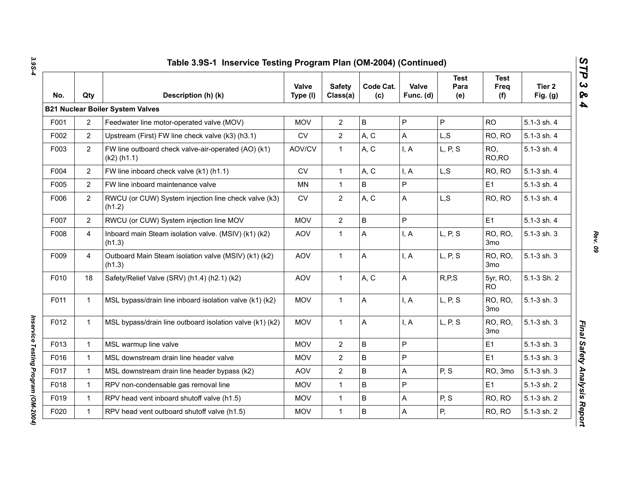| No.  | Qty            | Description (h) (k)                                                  | Valve<br>Type (I) | <b>Safety</b><br>Class(a) | Code Cat.<br>(c) | Valve<br>Func. (d) | <b>Test</b><br>Para<br>(e) | <b>Test</b><br>Freq<br>(f) | Tier 2<br>Fig. $(g)$ |
|------|----------------|----------------------------------------------------------------------|-------------------|---------------------------|------------------|--------------------|----------------------------|----------------------------|----------------------|
|      |                | <b>B21 Nuclear Boiler System Valves</b>                              |                   |                           |                  |                    |                            |                            |                      |
| F001 | $\overline{2}$ | Feedwater line motor-operated valve (MOV)                            | <b>MOV</b>        | $\mathbf{2}$              | $\sf B$          | P                  | P                          | <b>RO</b>                  | 5.1-3 sh. 4          |
| F002 | $\overline{2}$ | Upstream (First) FW line check valve (k3) (h3.1)                     | <b>CV</b>         | $\overline{2}$            | A, C             | A                  | L, S                       | RO, RO                     | 5.1-3 sh. 4          |
| F003 | $\overline{2}$ | FW line outboard check valve-air-operated (AO) (k1)<br>$(k2)$ (h1.1) | AOV/CV            | $\mathbf{1}$              | A, C             | I, A               | L, P, S                    | RO.<br>RO, RO              | 5.1-3 sh. 4          |
| F004 | $\overline{2}$ | FW line inboard check valve (k1) (h1.1)                              | <b>CV</b>         | $\mathbf{1}$              | A, C             | I, A               | L, S                       | RO, RO                     | 5.1-3 sh. 4          |
| F005 | $\overline{2}$ | FW line inboard maintenance valve                                    | <b>MN</b>         | $\mathbf{1}$              | B                | P                  |                            | E <sub>1</sub>             | 5.1-3 sh. 4          |
| F006 | 2              | RWCU (or CUW) System injection line check valve (k3)<br>(h1.2)       | CV                | $\overline{2}$            | A, C             | A                  | L, S                       | RO, RO                     | 5.1-3 sh. 4          |
| F007 | $\overline{2}$ | RWCU (or CUW) System injection line MOV                              | <b>MOV</b>        | $\overline{2}$            | $\sf B$          | P                  |                            | E <sub>1</sub>             | 5.1-3 sh. 4          |
| F008 | $\overline{4}$ | Inboard main Steam isolation valve. (MSIV) (k1) (k2)<br>(h1.3)       | <b>AOV</b>        | $\mathbf{1}$              | A                | I, A               | L, P, S                    | <b>RO, RO,</b><br>3mo      | 5.1-3 sh. 3          |
| F009 | $\overline{4}$ | Outboard Main Steam isolation valve (MSIV) (k1) (k2)<br>(h1.3)       | <b>AOV</b>        | $\mathbf{1}$              | A                | I, A               | L, P, S                    | RO, RO,<br>3mo             | 5.1-3 sh. 3          |
| F010 | 18             | Safety/Relief Valve (SRV) (h1.4) (h2.1) (k2)                         | <b>AOV</b>        | $\mathbf{1}$              | A, C             | A                  | R, P, S                    | 5yr, RO,<br><b>RO</b>      | 5.1-3 Sh. 2          |
| F011 | $\mathbf{1}$   | MSL bypass/drain line inboard isolation valve (k1) (k2)              | <b>MOV</b>        | $\mathbf{1}$              | A                | I, A               | L, P, S                    | RO, RO,<br>3 <sub>mo</sub> | 5.1-3 sh. 3          |
| F012 | 1              | MSL bypass/drain line outboard isolation valve (k1) (k2)             | <b>MOV</b>        | $\mathbf{1}$              | A                | I, A               | L, P, S                    | RO, RO,<br>3mo             | 5.1-3 sh. 3          |
| F013 | $\mathbf{1}$   | MSL warmup line valve                                                | <b>MOV</b>        | $\overline{2}$            | $\sf B$          | P                  |                            | E <sub>1</sub>             | 5.1-3 sh. 3          |
| F016 | $\mathbf{1}$   | MSL downstream drain line header valve                               | <b>MOV</b>        | $\overline{2}$            | B                | P                  |                            | E1                         | 5.1-3 sh. 3          |
| F017 | $\mathbf{1}$   | MSL downstream drain line header bypass (k2)                         | <b>AOV</b>        | $\overline{2}$            | B                | A                  | P, S                       | RO, 3mo                    | 5.1-3 sh. 3          |
| F018 | $\mathbf{1}$   | RPV non-condensable gas removal line                                 | <b>MOV</b>        | $\mathbf{1}$              | $\mathsf B$      | P                  |                            | E <sub>1</sub>             | 5.1-3 sh. 2          |
| F019 | $\mathbf{1}$   | RPV head vent inboard shutoff valve (h1.5)                           | <b>MOV</b>        | $\mathbf{1}$              | $\sf B$          | A                  | P, S                       | RO, RO                     | 5.1-3 sh. 2          |
| F020 | $\mathbf 1$    | RPV head vent outboard shutoff valve (h1.5)                          | <b>MOV</b>        | $\mathbf{1}$              | $\sf B$          | A                  | P,                         | RO, RO                     | 5.1-3 sh. 2          |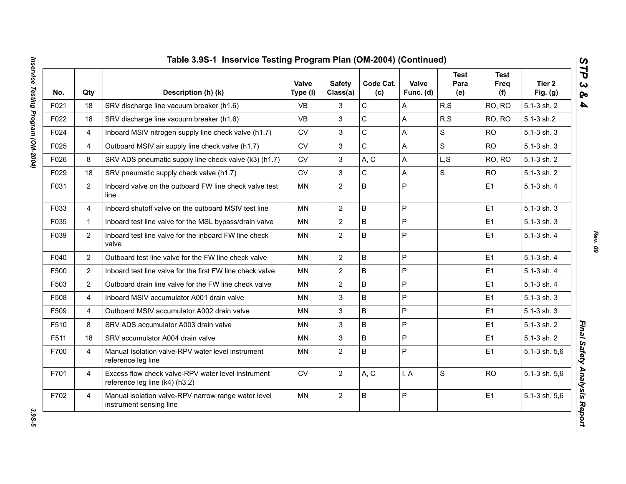| No.  | Qty            | Description (h) (k)                                                                  | <b>Valve</b><br>Type (I) | <b>Safety</b><br>Class(a) | Code Cat.<br>(c) | Valve<br>Func. (d) | <b>Test</b><br>Para<br>(e) | <b>Test</b><br>Freq<br>(f) | Tier 2<br>Fig. $(g)$ |
|------|----------------|--------------------------------------------------------------------------------------|--------------------------|---------------------------|------------------|--------------------|----------------------------|----------------------------|----------------------|
| F021 | 18             | SRV discharge line vacuum breaker (h1.6)                                             | <b>VB</b>                | 3                         | C                | A                  | R, S                       | RO, RO                     | 5.1-3 sh. 2          |
| F022 | 18             | SRV discharge line vacuum breaker (h1.6)                                             | <b>VB</b>                | 3                         | $\overline{C}$   | A                  | R, S                       | RO, RO                     | 5.1-3 sh.2           |
| F024 | 4              | Inboard MSIV nitrogen supply line check valve (h1.7)                                 | <b>CV</b>                | 3                         | $\mathsf{C}$     | A                  | S                          | <b>RO</b>                  | 5.1-3 sh. 3          |
| F025 | 4              | Outboard MSIV air supply line check valve (h1.7)                                     | ${\sf CV}$               | $\mathfrak{S}$            | $\mathsf C$      | A                  | S                          | <b>RO</b>                  | 5.1-3 sh. 3          |
| F026 | 8              | SRV ADS pneumatic supply line check valve (k3) (h1.7)                                | <b>CV</b>                | 3                         | A, C             | A                  | L,S                        | RO, RO                     | 5.1-3 sh. 2          |
| F029 | 18             | SRV pneumatic supply check valve (h1.7)                                              | <b>CV</b>                | 3                         | $\mathsf C$      | A                  | S                          | <b>RO</b>                  | 5.1-3 sh. 2          |
| F031 | $\overline{2}$ | Inboard valve on the outboard FW line check valve test<br>line                       | <b>MN</b>                | $\overline{2}$            | B                | $\overline{P}$     |                            | E <sub>1</sub>             | 5.1-3 sh. 4          |
| F033 | 4              | Inboard shutoff valve on the outboard MSIV test line                                 | <b>MN</b>                | $\overline{2}$            | B                | $\overline{P}$     |                            | E1                         | 5.1-3 sh. 3          |
| F035 | $\mathbf{1}$   | Inboard test line valve for the MSL bypass/drain valve                               | <b>MN</b>                | $\overline{2}$            | B                | P                  |                            | E1                         | 5.1-3 sh. 3          |
| F039 | $\overline{2}$ | Inboard test line valve for the inboard FW line check<br>valve                       | <b>MN</b>                | $\overline{2}$            | B                | P                  |                            | E <sub>1</sub>             | 5.1-3 sh. 4          |
| F040 | $\overline{2}$ | Outboard test line valve for the FW line check valve                                 | <b>MN</b>                | $\overline{2}$            | B                | $\mathsf{P}$       |                            | E1                         | 5.1-3 sh. 4          |
| F500 | $\overline{2}$ | Inboard test line valve for the first FW line check valve                            | <b>MN</b>                | $\overline{2}$            | B                | P                  |                            | E1                         | 5.1-3 sh. 4          |
| F503 | $\overline{2}$ | Outboard drain line valve for the FW line check valve                                | <b>MN</b>                | $\overline{2}$            | B                | P                  |                            | E1                         | 5.1-3 sh. 4          |
| F508 | 4              | Inboard MSIV accumulator A001 drain valve                                            | <b>MN</b>                | $\mathbf{3}$              | B                | P                  |                            | E1                         | 5.1-3 sh. 3          |
| F509 | 4              | Outboard MSIV accumulator A002 drain valve                                           | <b>MN</b>                | 3                         | B                | P                  |                            | E1                         | 5.1-3 sh. 3          |
| F510 | 8              | SRV ADS accumulator A003 drain valve                                                 | <b>MN</b>                | 3                         | B                | $\mathsf{P}$       |                            | E1                         | 5.1-3 sh. 2          |
| F511 | 18             | SRV accumulator A004 drain valve                                                     | <b>MN</b>                | 3                         | B                | $\overline{P}$     |                            | E1                         | 5.1-3 sh. 2          |
| F700 | $\overline{4}$ | Manual Isolation valve-RPV water level instrument<br>reference leg line              | <b>MN</b>                | $\overline{2}$            | B                | $\overline{P}$     |                            | E1                         | 5.1-3 sh. 5,6        |
| F701 | $\overline{4}$ | Excess flow check valve-RPV water level instrument<br>reference leg line (k4) (h3.2) | ${\sf CV}$               | $\overline{2}$            | A, C             | I, A               | S                          | <b>RO</b>                  | 5.1-3 sh. 5,6        |
| F702 | 4              | Manual isolation valve-RPV narrow range water level<br>instrument sensing line       | <b>MN</b>                | $\overline{2}$            | B                | P                  |                            | E1                         | 5.1-3 sh. 5,6        |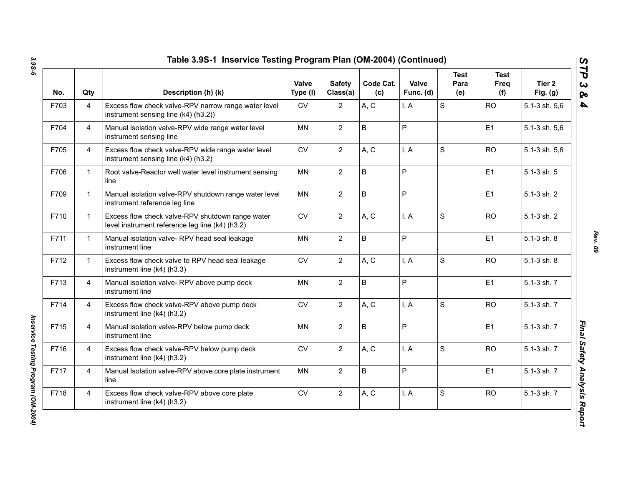| No.  | Qty            | Description (h) (k)                                                                                 | <b>Valve</b><br>Type (I) | <b>Safety</b><br>Class(a) | Code Cat.<br>(c) | Valve<br>Func. (d) | <b>Test</b><br>Para<br>(e) | <b>Test</b><br>Freq<br>(f) | Tier 2<br>Fig. $(g)$ |
|------|----------------|-----------------------------------------------------------------------------------------------------|--------------------------|---------------------------|------------------|--------------------|----------------------------|----------------------------|----------------------|
| F703 | $\overline{4}$ | Excess flow check valve-RPV narrow range water level<br>instrument sensing line (k4) (h3.2))        | CV                       | $\mathbf{2}$              | A, C             | I, A               | S                          | <b>RO</b>                  | 5.1-3 sh. 5,6        |
| F704 | $\overline{4}$ | Manual isolation valve-RPV wide range water level<br>instrument sensing line                        | <b>MN</b>                | $\overline{2}$            | B                | P                  |                            | E1                         | 5.1-3 sh. 5,6        |
| F705 | $\overline{4}$ | Excess flow check valve-RPV wide range water level<br>instrument sensing line (k4) (h3.2)           | CV                       | $\overline{2}$            | A, C             | I, A               | S                          | <b>RO</b>                  | 5.1-3 sh. 5,6        |
| F706 | $\mathbf{1}$   | Root valve-Reactor well water level instrument sensing<br>line                                      | <b>MN</b>                | $\overline{2}$            | $\mathsf B$      | P                  |                            | E1                         | 5.1-3 sh. 5          |
| F709 | $\mathbf{1}$   | Manual isolation valve-RPV shutdown range water level<br>instrument reference leg line              | <b>MN</b>                | $\mathbf{2}$              | $\sf B$          | P                  |                            | E1                         | 5.1-3 sh. 2          |
| F710 | $\mathbf{1}$   | Excess flow check valve-RPV shutdown range water<br>level instrument reference leg line (k4) (h3.2) | <b>CV</b>                | $\overline{2}$            | A, C             | I, A               | S                          | <b>RO</b>                  | 5.1-3 sh. 2          |
| F711 | $\mathbf{1}$   | Manual isolation valve-RPV head seal leakage<br>instrument line                                     | <b>MN</b>                | $\overline{2}$            | $\sf B$          | P                  |                            | E1                         | 5.1-3 sh. 8          |
| F712 | $\mathbf{1}$   | Excess flow check valve to RPV head seal leakage<br>instrument line (k4) (h3.3)                     | <b>CV</b>                | $\overline{2}$            | A, C             | I, A               | S                          | <b>RO</b>                  | 5.1-3 sh. 8          |
| F713 | $\overline{4}$ | Manual isolation valve- RPV above pump deck<br>instrument line                                      | <b>MN</b>                | $\mathbf{2}$              | $\sf B$          | P                  |                            | E1                         | 5.1-3 sh. 7          |
| F714 | $\overline{4}$ | Excess flow check valve-RPV above pump deck<br>instrument line (k4) (h3.2)                          | CV                       | $\mathbf{2}$              | A, C             | I, A               | S                          | <b>RO</b>                  | 5.1-3 sh. 7          |
| F715 | $\overline{4}$ | Manual isolation valve-RPV below pump deck<br>instrument line                                       | MN                       | $\overline{2}$            | $\sf B$          | P                  |                            | E1                         | 5.1-3 sh. 7          |
| F716 | $\overline{4}$ | Excess flow check valve-RPV below pump deck<br>instrument line (k4) (h3.2)                          | <b>CV</b>                | $\overline{2}$            | A, C             | I, A               | S                          | <b>RO</b>                  | 5.1-3 sh. 7          |
| F717 | $\overline{4}$ | Manual Isolation valve-RPV above core plate instrument<br>line                                      | <b>MN</b>                | $\overline{2}$            | B                | P                  |                            | E1                         | 5.1-3 sh. 7          |
| F718 | $\overline{4}$ | Excess flow check valve-RPV above core plate<br>instrument line (k4) (h3.2)                         | CV                       | $\mathbf{2}$              | A, C             | I, A               | $\mathbf S$                | <b>RO</b>                  | 5.1-3 sh. 7          |

*Rev. 09*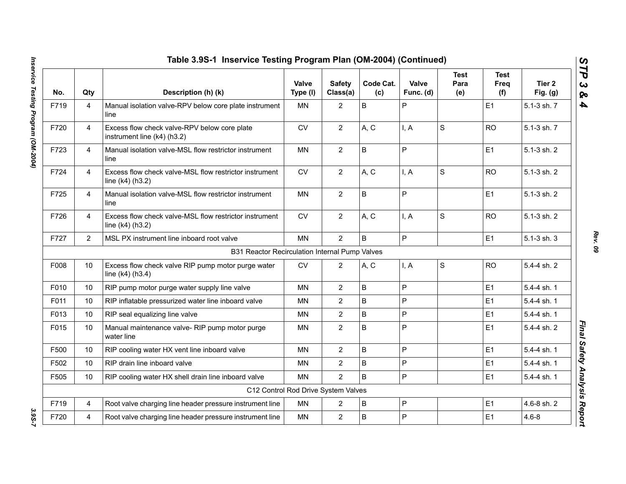|      |                | Table 3.9S-1 Inservice Testing Program Plan (OM-2004) (Continued)            |                   |                           |                  |                    |                            |                     |                      |
|------|----------------|------------------------------------------------------------------------------|-------------------|---------------------------|------------------|--------------------|----------------------------|---------------------|----------------------|
| No.  | Qty            | Description (h) (k)                                                          | Valve<br>Type (I) | <b>Safety</b><br>Class(a) | Code Cat.<br>(c) | Valve<br>Func. (d) | <b>Test</b><br>Para<br>(e) | Test<br>Freq<br>(f) | Tier 2<br>Fig. $(g)$ |
| F719 | 4              | Manual isolation valve-RPV below core plate instrument<br>line               | MN                | $\overline{2}$            | $\mathsf B$      | P                  |                            | E1                  | 5.1-3 sh. 7          |
| F720 | $\overline{4}$ | Excess flow check valve-RPV below core plate<br>instrument line (k4) (h3.2)  | <b>CV</b>         | $\overline{2}$            | A, C             | I, A               | S                          | <b>RO</b>           | 5.1-3 sh. 7          |
| F723 | $\overline{4}$ | Manual isolation valve-MSL flow restrictor instrument<br>line                | <b>MN</b>         | $\overline{2}$            | $\sf B$          | $\overline{P}$     |                            | E1                  | 5.1-3 sh. 2          |
| F724 | 4              | Excess flow check valve-MSL flow restrictor instrument<br>line $(k4)$ (h3.2) | <b>CV</b>         | $\overline{2}$            | A, C             | I, A               | $\mathbf S$                | <b>RO</b>           | 5.1-3 sh. 2          |
| F725 | $\overline{4}$ | Manual isolation valve-MSL flow restrictor instrument<br>line                | <b>MN</b>         | $\overline{2}$            | $\sf B$          | P                  |                            | E1                  | 5.1-3 sh. 2          |
| F726 | 4              | Excess flow check valve-MSL flow restrictor instrument<br>line $(k4)$ (h3.2) | CV                | $\overline{2}$            | A, C             | I, A               | $\mathbf S$                | <b>RO</b>           | 5.1-3 sh. 2          |
| F727 | $\overline{2}$ | MSL PX instrument line inboard root valve                                    | <b>MN</b>         | 2                         | B                | P                  |                            | E1                  | 5.1-3 sh. 3          |
|      |                | B31 Reactor Recirculation Internal Pump Valves                               |                   |                           |                  |                    |                            |                     |                      |
| F008 | 10             | Excess flow check valve RIP pump motor purge water<br>line $(k4)$ (h3.4)     | <b>CV</b>         | $\overline{2}$            | A, C             | I, A               | $\mathbf S$                | <b>RO</b>           | 5.4-4 sh. 2          |
| F010 | 10             | RIP pump motor purge water supply line valve                                 | <b>MN</b>         | $\overline{2}$            | $\sf B$          | P                  |                            | E1                  | 5.4-4 sh. 1          |
| F011 | 10             | RIP inflatable pressurized water line inboard valve                          | <b>MN</b>         | $\overline{2}$            | B                | $\mathsf{P}$       |                            | E1                  | 5.4-4 sh. 1          |
| F013 | 10             | RIP seal equalizing line valve                                               | <b>MN</b>         | $\overline{2}$            | $\sf B$          | $\overline{P}$     |                            | E1                  | 5.4-4 sh. 1          |
| F015 | 10             | Manual maintenance valve- RIP pump motor purge<br>water line                 | MN                | $\overline{2}$            | $\sf B$          | P                  |                            | E1                  | 5.4-4 sh. 2          |
| F500 | 10             | RIP cooling water HX vent line inboard valve                                 | <b>MN</b>         | $\overline{2}$            | $\sf B$          | $\mathsf{P}$       |                            | E1                  | 5.4-4 sh. 1          |
| F502 | 10             | RIP drain line inboard valve                                                 | <b>MN</b>         | $\overline{2}$            | $\sf B$          | $\overline{P}$     |                            | E1                  | 5.4-4 sh. 1          |
| F505 | 10             | RIP cooling water HX shell drain line inboard valve                          | <b>MN</b>         | $\overline{2}$            | $\mathsf B$      | P                  |                            | E1                  | 5.4-4 sh. 1          |
|      |                | C12 Control Rod Drive System Valves                                          |                   |                           |                  |                    |                            |                     |                      |
| F719 | 4              | Root valve charging line header pressure instrument line                     | <b>MN</b>         | $\overline{2}$            | B                | $\mathsf P$        |                            | E1                  | 4.6-8 sh. 2          |
| F720 | 4              | Root valve charging line header pressure instrument line                     | MN                | $\overline{2}$            | B                | P                  |                            | E1                  | $4.6 - 8$            |

*Rev. 09*

3.9S-7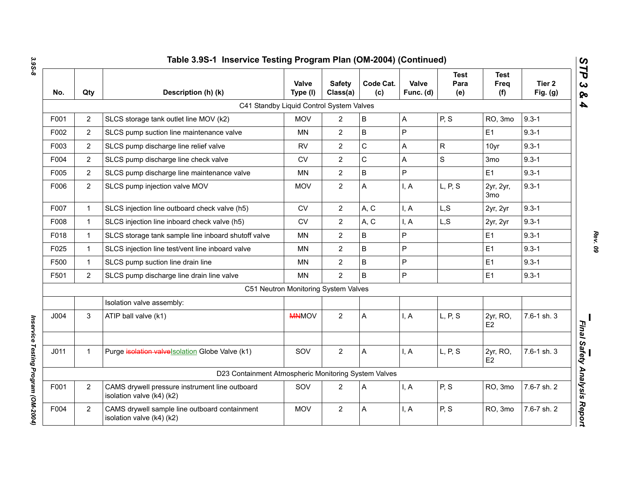| No.              | Qty            | Description (h) (k)                                                         | Valve<br>Type (I)                    | <b>Safety</b><br>Class(a) | Code Cat.<br>(c) | Valve<br>Func. (d) | <b>Test</b><br>Para<br>(e) | Test<br>Freq<br>(f)          | Tier <sub>2</sub><br>Fig. $(g)$ |
|------------------|----------------|-----------------------------------------------------------------------------|--------------------------------------|---------------------------|------------------|--------------------|----------------------------|------------------------------|---------------------------------|
|                  |                | C41 Standby Liquid Control System Valves                                    |                                      |                           |                  |                    |                            |                              |                                 |
| F001             | $\overline{2}$ | SLCS storage tank outlet line MOV (k2)                                      | <b>MOV</b>                           | $\overline{2}$            | $\sf B$          | A                  | P, S                       | RO, 3mo                      | $9.3 - 1$                       |
| F002             | $\overline{2}$ | SLCS pump suction line maintenance valve                                    | MN                                   | $\overline{2}$            | $\mathsf B$      | $\mathsf{P}$       |                            | E <sub>1</sub>               | $9.3 - 1$                       |
| F003             | $\overline{2}$ | SLCS pump discharge line relief valve                                       | <b>RV</b>                            | $\overline{2}$            | $\mathsf C$      | A                  | $\mathsf{R}$               | 10yr                         | $9.3 - 1$                       |
| F004             | $\overline{2}$ | SLCS pump discharge line check valve                                        | <b>CV</b>                            | $\overline{2}$            | $\mathbf C$      | A                  | $\mathbf S$                | 3 <sub>mo</sub>              | $9.3 - 1$                       |
| F005             | $\overline{2}$ | SLCS pump discharge line maintenance valve                                  | <b>MN</b>                            | $\overline{2}$            | $\mathsf B$      | P                  |                            | E <sub>1</sub>               | $9.3 - 1$                       |
| F006             | $\overline{2}$ | SLCS pump injection valve MOV                                               | <b>MOV</b>                           | $\overline{2}$            | A                | I, A               | L, P, S                    | 2yr, 2yr,<br>3 <sub>mo</sub> | $9.3 - 1$                       |
| F007             | $\mathbf{1}$   | SLCS injection line outboard check valve (h5)                               | ${\sf CV}$                           | $\overline{2}$            | A, C             | I, A               | L, S                       | 2yr, 2yr                     | $9.3 - 1$                       |
| F008             | $\mathbf 1$    | SLCS injection line inboard check valve (h5)                                | CV                                   | $\overline{2}$            | A, C             | I, A               | L, S                       | 2yr, 2yr                     | $9.3 - 1$                       |
| F018             | $\mathbf{1}$   | SLCS storage tank sample line inboard shutoff valve                         | MN                                   | $\overline{2}$            | B                | P                  |                            | E <sub>1</sub>               | $9.3 - 1$                       |
| F025             | $\mathbf{1}$   | SLCS injection line test/vent line inboard valve                            | <b>MN</b>                            | $\overline{2}$            | B                | P                  |                            | E1                           | $9.3 - 1$                       |
| F500             | $\mathbf{1}$   | SLCS pump suction line drain line                                           | <b>MN</b>                            | $\overline{2}$            | $\mathsf B$      | P                  |                            | E <sub>1</sub>               | $9.3 - 1$                       |
| F501             | $\overline{2}$ | SLCS pump discharge line drain line valve                                   | <b>MN</b>                            | $\overline{2}$            | $\mathsf B$      | P                  |                            | E1                           | $9.3 - 1$                       |
|                  |                |                                                                             | C51 Neutron Monitoring System Valves |                           |                  |                    |                            |                              |                                 |
|                  |                | Isolation valve assembly:                                                   |                                      |                           |                  |                    |                            |                              |                                 |
| J004             | 3              | ATIP ball valve (k1)                                                        | <b>MNMOV</b>                         | $\overline{2}$            | A                | I, A               | L, P, S                    | 2yr, RO,<br>E <sub>2</sub>   | 7.6-1 sh. 3                     |
| J <sub>011</sub> | $\mathbf{1}$   | Purge isolation valvelsolation Globe Valve (k1)                             | SOV                                  | $\mathbf{2}$              | Α                | I, A               | L, P, S                    | 2yr, RO,<br>E <sub>2</sub>   | 7.6-1 sh. 3                     |
|                  |                | D23 Containment Atmospheric Monitoring System Valves                        |                                      |                           |                  |                    |                            |                              |                                 |
| F001             | $\overline{2}$ | CAMS drywell pressure instrument line outboard<br>isolation valve (k4) (k2) | SOV                                  | $\overline{2}$            | Α                | I, A               | P, S                       | RO, 3mo                      | 7.6-7 sh. 2                     |
| F004             | $\overline{2}$ | CAMS drywell sample line outboard containment<br>isolation valve (k4) (k2)  | <b>MOV</b>                           | $\overline{2}$            | Α                | I, A               | P, S                       | RO, 3mo                      | 7.6-7 sh. 2                     |

*Rev. 09*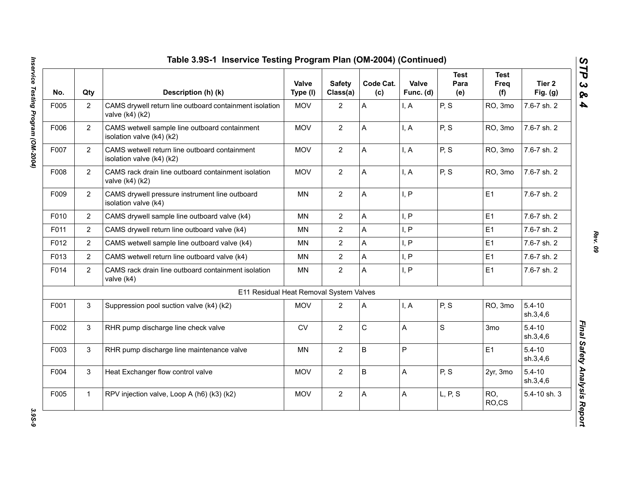| No.  | Qty            | Description (h) (k)                                                        | Valve<br>Type (I) | <b>Safety</b><br>Class(a) | Code Cat.<br>(c) | Valve<br>Func. (d) | <b>Test</b><br>Para<br>(e) | <b>Test</b><br>Freq<br>(f) | Tier 2<br>Fig. $(g)$   |
|------|----------------|----------------------------------------------------------------------------|-------------------|---------------------------|------------------|--------------------|----------------------------|----------------------------|------------------------|
| F005 | $\overline{2}$ | CAMS drywell return line outboard containment isolation<br>valve (k4) (k2) | <b>MOV</b>        | $\overline{2}$            | A                | I, A               | P, S                       | RO, 3mo                    | 7.6-7 sh. 2            |
| F006 | $\overline{2}$ | CAMS wetwell sample line outboard containment<br>isolation valve (k4) (k2) | <b>MOV</b>        | $\overline{2}$            | A                | I, A               | P, S                       | RO, 3mo                    | 7.6-7 sh. 2            |
| F007 | $\overline{2}$ | CAMS wetwell return line outboard containment<br>isolation valve (k4) (k2) | <b>MOV</b>        | $\overline{2}$            | A                | I, A               | P, S                       | RO, 3mo                    | 7.6-7 sh. 2            |
| F008 | $\overline{2}$ | CAMS rack drain line outboard containment isolation<br>valve (k4) (k2)     | <b>MOV</b>        | $\overline{2}$            | A                | I, A               | P, S                       | RO, 3mo                    | 7.6-7 sh. 2            |
| F009 | $\overline{2}$ | CAMS drywell pressure instrument line outboard<br>isolation valve (k4)     | <b>MN</b>         | $\overline{2}$            | A                | I, P               |                            | E1                         | 7.6-7 sh. 2            |
| F010 | $\overline{2}$ | CAMS drywell sample line outboard valve (k4)                               | <b>MN</b>         | $\overline{2}$            | A                | I, P               |                            | E <sub>1</sub>             | 7.6-7 sh. 2            |
| F011 | $\overline{2}$ | CAMS drywell return line outboard valve (k4)                               | <b>MN</b>         | $\overline{2}$            | A                | I, P               |                            | E1                         | 7.6-7 sh. 2            |
| F012 | $\overline{2}$ | CAMS wetwell sample line outboard valve (k4)                               | <b>MN</b>         | $\overline{2}$            | A                | I, P               |                            | E1                         | 7.6-7 sh. 2            |
| F013 | $\overline{2}$ | CAMS wetwell return line outboard valve (k4)                               | MN                | $\overline{2}$            | A                | I, P               |                            | E1                         | 7.6-7 sh. 2            |
| F014 | $\overline{2}$ | CAMS rack drain line outboard containment isolation<br>valve (k4)          | <b>MN</b>         | $\overline{2}$            | A                | I, P               |                            | E1                         | 7.6-7 sh. 2            |
|      |                | E11 Residual Heat Removal System Valves                                    |                   |                           |                  |                    |                            |                            |                        |
| F001 | 3              | Suppression pool suction valve (k4) (k2)                                   | <b>MOV</b>        | $\overline{2}$            | A                | I, A               | P, S                       | RO, 3mo                    | $5.4 - 10$<br>sh.3,4,6 |
| F002 | 3              | RHR pump discharge line check valve                                        | ${\sf CV}$        | $\overline{2}$            | $\mathsf C$      | A                  | $\mathsf S$                | 3mo                        | $5.4 - 10$<br>sh.3,4,6 |
| F003 | 3              | RHR pump discharge line maintenance valve                                  | MN                | $\overline{2}$            | B                | P                  |                            | E1                         | $5.4 - 10$<br>sh.3,4,6 |
| F004 | 3              | Heat Exchanger flow control valve                                          | <b>MOV</b>        | $\overline{2}$            | B                | A                  | P, S                       | 2yr, 3mo                   | $5.4 - 10$<br>sh.3,4,6 |
| F005 | $\mathbf{1}$   | RPV injection valve, Loop A (h6) (k3) (k2)                                 | <b>MOV</b>        | $\overline{2}$            | A                | A                  | L, P, S                    | RO,<br>RO,CS               | 5.4-10 sh. 3           |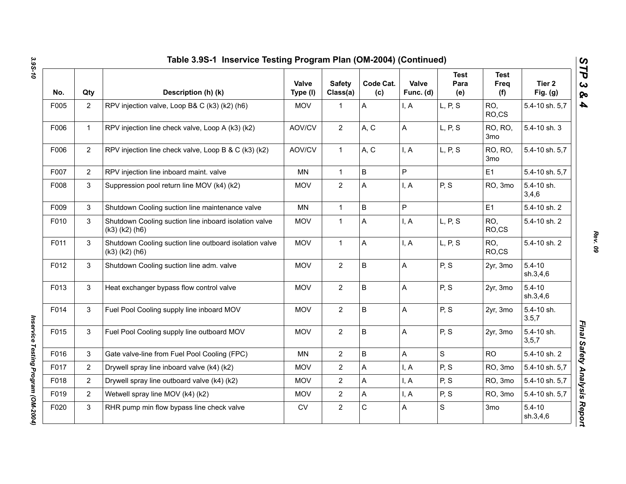| No.  | Qty            | Description (h) (k)                                                            | <b>Valve</b><br>Type (I) | <b>Safety</b><br>Class(a) | Code Cat.<br>(c) | Valve<br>Func. (d) | <b>Test</b><br>Para<br>(e) | <b>Test</b><br>Freq<br>(f) | Tier <sub>2</sub><br>Fig. $(g)$ |
|------|----------------|--------------------------------------------------------------------------------|--------------------------|---------------------------|------------------|--------------------|----------------------------|----------------------------|---------------------------------|
| F005 | $\overline{2}$ | RPV injection valve, Loop B& C (k3) (k2) (h6)                                  | <b>MOV</b>               | $\mathbf{1}$              | A                | I, A               | L, P, S                    | RO,<br>RO,CS               | 5.4-10 sh. 5,7                  |
| F006 | $\mathbf 1$    | RPV injection line check valve, Loop A (k3) (k2)                               | AOV/CV                   | $\overline{2}$            | A, C             | А                  | L, P, S                    | RO, RO,<br>3 <sub>mo</sub> | 5.4-10 sh. 3                    |
| F006 | $\overline{2}$ | RPV injection line check valve, Loop B & C (k3) (k2)                           | AOV/CV                   | $\mathbf{1}$              | A, C             | I, A               | L, P, S                    | RO, RO,<br>3 <sub>mo</sub> | 5.4-10 sh. 5,7                  |
| F007 | $\overline{2}$ | RPV injection line inboard maint. valve                                        | MN                       | $\mathbf{1}$              | B                | P                  |                            | E <sub>1</sub>             | 5.4-10 sh. 5,7                  |
| F008 | 3              | Suppression pool return line MOV (k4) (k2)                                     | <b>MOV</b>               | $\overline{2}$            | A                | I, A               | P, S                       | RO, 3mo                    | 5.4-10 sh.<br>3,4,6             |
| F009 | 3              | Shutdown Cooling suction line maintenance valve                                | <b>MN</b>                | $\mathbf{1}$              | $\mathsf B$      | P                  |                            | E1                         | 5.4-10 sh. 2                    |
| F010 | 3              | Shutdown Cooling suction line inboard isolation valve<br>$(k3)$ $(k2)$ $(h6)$  | <b>MOV</b>               | $\mathbf 1$               | A                | I, A               | L, P, S                    | RO,<br>RO,CS               | 5.4-10 sh. 2                    |
| F011 | 3              | Shutdown Cooling suction line outboard isolation valve<br>$(k3)$ $(k2)$ $(h6)$ | <b>MOV</b>               | $\mathbf{1}$              | A                | I, A               | L, P, S                    | RO,<br>RO,CS               | 5.4-10 sh. 2                    |
| F012 | 3              | Shutdown Cooling suction line adm. valve                                       | <b>MOV</b>               | $\overline{2}$            | $\sf B$          | А                  | P, S                       | 2yr, 3mo                   | $5.4 - 10$<br>sh.3,4,6          |
| F013 | 3              | Heat exchanger bypass flow control valve                                       | <b>MOV</b>               | $\overline{2}$            | $\sf B$          | A                  | P, S                       | 2yr, 3mo                   | $5.4 - 10$<br>sh.3,4,6          |
| F014 | 3              | Fuel Pool Cooling supply line inboard MOV                                      | <b>MOV</b>               | $\overline{2}$            | $\sf B$          | A                  | P, S                       | 2yr, 3mo                   | 5.4-10 sh.<br>3.5,7             |
| F015 | 3              | Fuel Pool Cooling supply line outboard MOV                                     | <b>MOV</b>               | $\overline{2}$            | $\sf B$          | A                  | P, S                       | 2yr, 3mo                   | 5.4-10 sh.<br>3, 5, 7           |
| F016 | 3              | Gate valve-line from Fuel Pool Cooling (FPC)                                   | <b>MN</b>                | $\overline{2}$            | $\sf B$          | A                  | S                          | <b>RO</b>                  | 5.4-10 sh. 2                    |
| F017 | $\overline{2}$ | Drywell spray line inboard valve (k4) (k2)                                     | <b>MOV</b>               | $\overline{2}$            | A                | I, A               | P, S                       | RO, 3mo                    | 5.4-10 sh. 5,7                  |
| F018 | $\overline{2}$ | Drywell spray line outboard valve (k4) (k2)                                    | <b>MOV</b>               | $\overline{2}$            | A                | I, A               | P, S                       | RO, 3mo                    | 5.4-10 sh. 5,7                  |
| F019 | $\overline{2}$ | Wetwell spray line MOV (k4) (k2)                                               | <b>MOV</b>               | $\overline{2}$            | A                | I, A               | P, S                       | RO, 3mo                    | 5.4-10 sh. 5,7                  |
| F020 | 3              | RHR pump min flow bypass line check valve                                      | <b>CV</b>                | $\overline{2}$            | $\mathsf C$      | А                  | S                          | 3 <sub>mo</sub>            | $5.4 - 10$<br>sh.3,4,6          |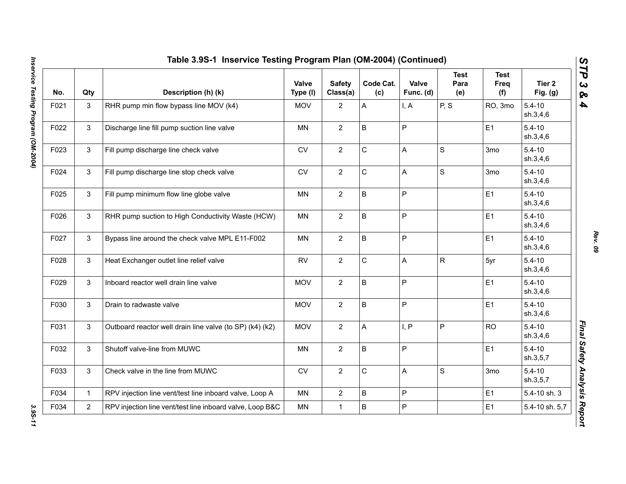| No.  | Qty            | Description (h) (k)                                       | Valve<br>Type (I) | <b>Safety</b><br>Class(a) | Code Cat.<br>(c) | Valve<br>Func. (d) | <b>Test</b><br>Para<br>(e) | <b>Test</b><br>Freq<br>(f) | Tier 2<br>Fig. $(g)$   |
|------|----------------|-----------------------------------------------------------|-------------------|---------------------------|------------------|--------------------|----------------------------|----------------------------|------------------------|
| F021 | 3              | RHR pump min flow bypass line MOV (k4)                    | <b>MOV</b>        | $\overline{2}$            | A                | I, A               | P, S                       | RO, 3mo                    | $5.4 - 10$<br>sh.3,4,6 |
| F022 | 3              | Discharge line fill pump suction line valve               | MN                | $\overline{2}$            | B                | $\sf P$            |                            | E1                         | $5.4 - 10$<br>sh.3,4,6 |
| F023 | 3              | Fill pump discharge line check valve                      | ${\sf CV}$        | $\overline{2}$            | $\mathsf C$      | A                  | S                          | 3mo                        | $5.4 - 10$<br>sh.3,4,6 |
| F024 | 3              | Fill pump discharge line stop check valve                 | <b>CV</b>         | $\overline{2}$            | $\mathsf C$      | $\mathsf{A}$       | S                          | 3 <sub>mo</sub>            | $5.4 - 10$<br>sh.3,4,6 |
| F025 | 3              | Fill pump minimum flow line globe valve                   | <b>MN</b>         | $\overline{2}$            | B                | $\mathsf{P}$       |                            | E <sub>1</sub>             | $5.4 - 10$<br>sh.3,4,6 |
| F026 | 3              | RHR pump suction to High Conductivity Waste (HCW)         | MN                | $\overline{2}$            | B                | $\mathsf P$        |                            | E <sub>1</sub>             | $5.4 - 10$<br>sh.3,4,6 |
| F027 | 3              | Bypass line around the check valve MPL E11-F002           | <b>MN</b>         | $\overline{2}$            | B                | $\mathsf{P}$       |                            | E1                         | $5.4 - 10$<br>sh.3,4,6 |
| F028 | 3              | Heat Exchanger outlet line relief valve                   | <b>RV</b>         | $\overline{2}$            | $\mathsf C$      | $\mathsf{A}$       | $\mathsf{R}$               | 5yr                        | $5.4 - 10$<br>sh.3,4,6 |
| F029 | 3              | Inboard reactor well drain line valve                     | <b>MOV</b>        | $\overline{2}$            | B                | $\mathsf P$        |                            | E <sub>1</sub>             | $5.4 - 10$<br>sh.3,4,6 |
| F030 | 3              | Drain to radwaste valve                                   | <b>MOV</b>        | $\overline{2}$            | B                | $\mathsf P$        |                            | E1                         | $5.4 - 10$<br>sh.3,4,6 |
| F031 | 3              | Outboard reactor well drain line valve (to SP) (k4) (k2)  | <b>MOV</b>        | $\overline{2}$            | A                | I, P               | P                          | <b>RO</b>                  | $5.4 - 10$<br>sh.3,4,6 |
| F032 | 3              | Shutoff valve-line from MUWC                              | <b>MN</b>         | $\overline{2}$            | B                | $\mathsf{P}$       |                            | E1                         | $5.4 - 10$<br>sh.3,5,7 |
| F033 | 3              | Check valve in the line from MUWC                         | ${\sf CV}$        | $\overline{2}$            | $\mathsf C$      | $\mathsf{A}$       | $\mathbf S$                | 3 <sub>mo</sub>            | $5.4 - 10$<br>sh.3,5,7 |
| F034 | $\mathbf{1}$   | RPV injection line vent/test line inboard valve, Loop A   | MN                | $\overline{2}$            | B                | $\mathsf P$        |                            | E1                         | 5.4-10 sh. 3           |
| F034 | $\overline{2}$ | RPV injection line vent/test line inboard valve, Loop B&C | <b>MN</b>         | $\mathbf{1}$              | B                | $\mathsf P$        |                            | E1                         | 5.4-10 sh. 5,7         |

3.95-11

*Rev. 09*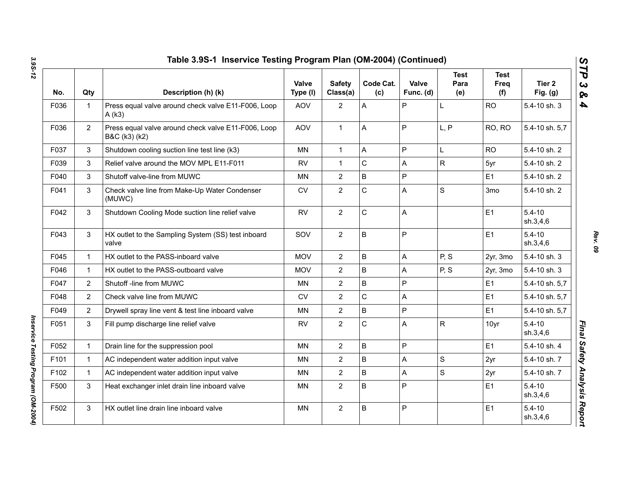| No.  | Qty            | Description (h) (k)                                                  | Valve<br>Type (I) | <b>Safety</b><br>Class(a) | Code Cat.<br>(c) | Valve<br>Func. (d) | <b>Test</b><br>Para<br>(e) | <b>Test</b><br>Freq<br>(f) | Tier 2<br>Fig. $(g)$   |
|------|----------------|----------------------------------------------------------------------|-------------------|---------------------------|------------------|--------------------|----------------------------|----------------------------|------------------------|
| F036 | $\mathbf{1}$   | Press equal valve around check valve E11-F006, Loop<br>A(k3)         | AOV               | $\mathbf{2}$              | A                | P                  | L                          | <b>RO</b>                  | 5.4-10 sh. 3           |
| F036 | $\overline{2}$ | Press equal valve around check valve E11-F006, Loop<br>B&C (k3) (k2) | AOV               | $\mathbf{1}$              | $\overline{A}$   | P                  | L, P                       | RO, RO                     | 5.4-10 sh. 5,7         |
| F037 | 3              | Shutdown cooling suction line test line (k3)                         | <b>MN</b>         | $\mathbf{1}$              | $\overline{A}$   | P                  | L                          | <b>RO</b>                  | 5.4-10 sh. 2           |
| F039 | 3              | Relief valve around the MOV MPL E11-F011                             | <b>RV</b>         | $\mathbf{1}$              | $\mathbf C$      | A                  | $\mathsf{R}$               | 5yr                        | 5.4-10 sh. 2           |
| F040 | 3              | Shutoff valve-line from MUWC                                         | <b>MN</b>         | $\overline{2}$            | $\mathsf B$      | P                  |                            | E1                         | 5.4-10 sh. 2           |
| F041 | 3              | Check valve line from Make-Up Water Condenser<br>(MUWC)              | <b>CV</b>         | $\overline{2}$            | $\mathsf{C}$     | A                  | S                          | 3 <sub>mo</sub>            | 5.4-10 sh. 2           |
| F042 | 3              | Shutdown Cooling Mode suction line relief valve                      | <b>RV</b>         | $\overline{2}$            | $\mathsf{C}$     | A                  |                            | E1                         | $5.4 - 10$<br>sh.3,4,6 |
| F043 | 3              | HX outlet to the Sampling System (SS) test inboard<br>valve          | SOV               | $\overline{2}$            | $\overline{B}$   | P                  |                            | E1                         | $5.4 - 10$<br>sh.3,4,6 |
| F045 | $\mathbf{1}$   | HX outlet to the PASS-inboard valve                                  | <b>MOV</b>        | $\overline{2}$            | $\sf B$          | A                  | P, S                       | 2yr, 3mo                   | 5.4-10 sh. 3           |
| F046 | $\mathbf{1}$   | HX outlet to the PASS-outboard valve                                 | <b>MOV</b>        | $\overline{2}$            | $\overline{B}$   | A                  | P, S                       | 2yr, 3mo                   | 5.4-10 sh. 3           |
| F047 | $\overline{2}$ | Shutoff -line from MUWC                                              | MN                | $\overline{2}$            | $\overline{B}$   | P                  |                            | E1                         | 5.4-10 sh. 5,7         |
| F048 | 2              | Check valve line from MUWC                                           | <b>CV</b>         | $\overline{2}$            | $\mathsf{C}$     | Α                  |                            | E1                         | 5.4-10 sh. 5,7         |
| F049 | $\overline{2}$ | Drywell spray line vent & test line inboard valve                    | MN                | $\mathbf{2}$              | $\sf B$          | P                  |                            | E1                         | 5.4-10 sh. 5,7         |
| F051 | 3              | Fill pump discharge line relief valve                                | <b>RV</b>         | $\overline{2}$            | $\mathsf{C}$     | A                  | $\mathsf{R}$               | 10yr                       | $5.4 - 10$<br>sh.3,4,6 |
| F052 | $\mathbf{1}$   | Drain line for the suppression pool                                  | <b>MN</b>         | $\overline{2}$            | B                | P                  |                            | E1                         | 5.4-10 sh. 4           |
| F101 | $\mathbf{1}$   | AC independent water addition input valve                            | <b>MN</b>         | $\overline{2}$            | $\mathsf B$      | A                  | $\mathbf S$                | 2yr                        | 5.4-10 sh. 7           |
| F102 | $\mathbf{1}$   | AC independent water addition input valve                            | <b>MN</b>         | $\overline{2}$            | $\overline{B}$   | A                  | S                          | 2yr                        | 5.4-10 sh. 7           |
| F500 | 3              | Heat exchanger inlet drain line inboard valve                        | <b>MN</b>         | $\overline{2}$            | B                | P                  |                            | E1                         | $5.4 - 10$<br>sh.3,4,6 |
| F502 | 3              | HX outlet line drain line inboard valve                              | <b>MN</b>         | $\mathbf{2}$              | B                | P                  |                            | E1                         | $5.4 - 10$<br>sh.3,4,6 |
|      |                |                                                                      |                   |                           |                  |                    |                            |                            |                        |

*Rev. 09*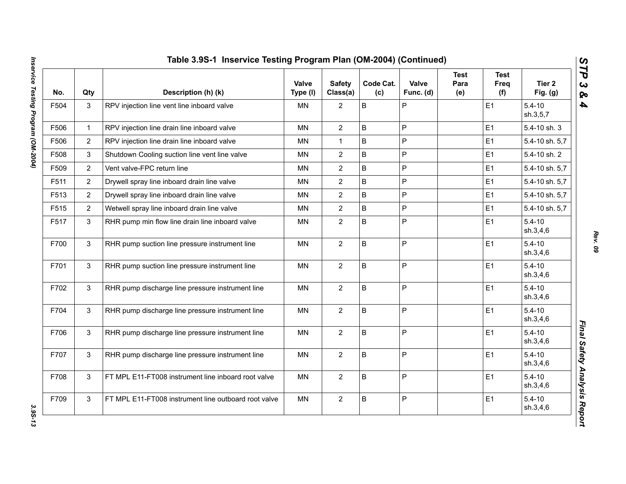| No.  | Qty            | Description (h) (k)                                  | Valve<br>Type (I) | <b>Safety</b><br>Class(a) | Code Cat.<br>(c) | Valve<br>Func. (d) | <b>Test</b><br>Para<br>(e) | <b>Test</b><br>Freq<br>(f) | Tier <sub>2</sub><br>Fig. $(g)$ |
|------|----------------|------------------------------------------------------|-------------------|---------------------------|------------------|--------------------|----------------------------|----------------------------|---------------------------------|
| F504 | 3              | RPV injection line vent line inboard valve           | <b>MN</b>         | 2                         | B                | P                  |                            | E1                         | $5.4 - 10$<br>sh.3,5,7          |
| F506 | $\mathbf{1}$   | RPV injection line drain line inboard valve          | <b>MN</b>         | $\overline{2}$            | B                | P                  |                            | E1                         | 5.4-10 sh. 3                    |
| F506 | $\overline{2}$ | RPV injection line drain line inboard valve          | MN                | $\mathbf{1}$              | B                | P                  |                            | E1                         | 5.4-10 sh. 5,7                  |
| F508 | 3              | Shutdown Cooling suction line vent line valve        | MN                | $\overline{2}$            | B                | P                  |                            | E1                         | 5.4-10 sh. 2                    |
| F509 | $\overline{2}$ | Vent valve-FPC return line                           | <b>MN</b>         | $\overline{2}$            | B                | P                  |                            | E1                         | 5.4-10 sh. 5,7                  |
| F511 | $\overline{2}$ | Drywell spray line inboard drain line valve          | MN                | $\overline{2}$            | B                | P                  |                            | E1                         | 5.4-10 sh. 5,7                  |
| F513 | $\overline{2}$ | Drywell spray line inboard drain line valve          | MN                | $\overline{2}$            | B                | P                  |                            | E1                         | 5.4-10 sh. 5,7                  |
| F515 | $\overline{2}$ | Wetwell spray line inboard drain line valve          | <b>MN</b>         | $\overline{2}$            | B                | P                  |                            | E1                         | 5.4-10 sh. 5,7                  |
| F517 | 3              | RHR pump min flow line drain line inboard valve      | MN                | $\overline{2}$            | B                | P                  |                            | E1                         | $5.4 - 10$<br>sh.3,4,6          |
| F700 | $\mathbf{3}$   | RHR pump suction line pressure instrument line       | <b>MN</b>         | $\overline{2}$            | B                | P                  |                            | E1                         | $5.4 - 10$<br>sh.3,4,6          |
| F701 | 3              | RHR pump suction line pressure instrument line       | <b>MN</b>         | $\overline{2}$            | B                | P                  |                            | E1                         | $5.4 - 10$<br>sh.3,4,6          |
| F702 | 3              | RHR pump discharge line pressure instrument line     | <b>MN</b>         | $\overline{2}$            | B                | P                  |                            | E1                         | $5.4 - 10$<br>sh.3,4,6          |
| F704 | 3              | RHR pump discharge line pressure instrument line     | MN                | $\overline{2}$            | B                | P                  |                            | E1                         | $5.4 - 10$<br>sh.3,4,6          |
| F706 | 3              | RHR pump discharge line pressure instrument line     | MN                | $\overline{2}$            | B                | P                  |                            | E1                         | $5.4 - 10$<br>sh.3,4,6          |
| F707 | $\mathbf{3}$   | RHR pump discharge line pressure instrument line     | <b>MN</b>         | $\overline{2}$            | B                | P                  |                            | E1                         | $5.4 - 10$<br>sh.3,4,6          |
| F708 | 3              | FT MPL E11-FT008 instrument line inboard root valve  | <b>MN</b>         | $\overline{2}$            | B                | P                  |                            | E1                         | $5.4 - 10$<br>sh.3,4,6          |
| F709 | $\mathsf 3$    | FT MPL E11-FT008 instrument line outboard root valve | <b>MN</b>         | $\overline{2}$            | B                | P                  |                            | E1                         | $5.4 - 10$<br>sh.3,4,6          |

3.95-13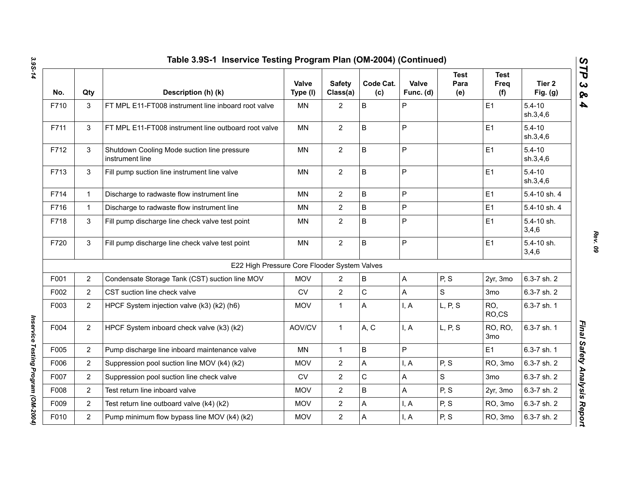|      |                | Table 3.9S-1 Inservice Testing Program Plan (OM-2004) (Continued) |                   |                           |                  |                    |                            |                                   |                                 |
|------|----------------|-------------------------------------------------------------------|-------------------|---------------------------|------------------|--------------------|----------------------------|-----------------------------------|---------------------------------|
| No.  | Qty            | Description (h) (k)                                               | Valve<br>Type (I) | <b>Safety</b><br>Class(a) | Code Cat.<br>(c) | Valve<br>Func. (d) | <b>Test</b><br>Para<br>(e) | <b>Test</b><br>Freq<br>(f)        | Tier <sub>2</sub><br>Fig. $(g)$ |
| F710 | 3              | FT MPL E11-FT008 instrument line inboard root valve               | <b>MN</b>         | $\overline{2}$            | B                | P                  |                            | E <sub>1</sub>                    | $5.4 - 10$<br>sh.3,4,6          |
| F711 | 3              | FT MPL E11-FT008 instrument line outboard root valve              | <b>MN</b>         | $\overline{2}$            | B                | $\mathsf{P}$       |                            | E1                                | $5.4 - 10$<br>sh.3,4,6          |
| F712 | 3              | Shutdown Cooling Mode suction line pressure<br>instrument line    | <b>MN</b>         | $\overline{2}$            | $\mathsf B$      | P                  |                            | E1                                | $5.4 - 10$<br>sh.3,4,6          |
| F713 | 3              | Fill pump suction line instrument line valve                      | <b>MN</b>         | $\overline{2}$            | B                | $\mathsf{P}$       |                            | E1                                | $5.4 - 10$<br>sh.3,4,6          |
| F714 | $\mathbf{1}$   | Discharge to radwaste flow instrument line                        | <b>MN</b>         | $\overline{2}$            | $\mathsf B$      | P                  |                            | E <sub>1</sub>                    | 5.4-10 sh. 4                    |
| F716 | $\mathbf{1}$   | Discharge to radwaste flow instrument line                        | MN                | $\overline{2}$            | $\sf B$          | P                  |                            | E1                                | 5.4-10 sh. 4                    |
| F718 | 3              | Fill pump discharge line check valve test point                   | <b>MN</b>         | $\overline{2}$            | B                | P                  |                            | E <sub>1</sub>                    | 5.4-10 sh.<br>3,4,6             |
| F720 | 3              | Fill pump discharge line check valve test point                   | <b>MN</b>         | $\overline{2}$            | $\sf B$          | P                  |                            | E <sub>1</sub>                    | 5.4-10 sh.<br>3,4,6             |
|      |                | E22 High Pressure Core Flooder System Valves                      |                   |                           |                  |                    |                            |                                   |                                 |
| F001 | $\overline{2}$ | Condensate Storage Tank (CST) suction line MOV                    | <b>MOV</b>        | $\overline{2}$            | $\sf B$          | A                  | P, S                       | 2yr, 3mo                          | 6.3-7 sh. 2                     |
| F002 | $\overline{2}$ | CST suction line check valve                                      | <b>CV</b>         | $\overline{2}$            | $\mathbf C$      | Α                  | $\mathbf S$                | 3 <sub>mo</sub>                   | 6.3-7 sh. 2                     |
| F003 | $\overline{2}$ | HPCF System injection valve (k3) (k2) (h6)                        | <b>MOV</b>        | $\mathbf{1}$              | A                | I, A               | L, P, S                    | RO,<br>RO,CS                      | 6.3-7 sh. 1                     |
| F004 | $\overline{2}$ | HPCF System inboard check valve (k3) (k2)                         | AOV/CV            | $\mathbf{1}$              | A, C             | I, A               | L, P, S                    | <b>RO, RO,</b><br>3 <sub>mo</sub> | 6.3-7 sh. 1                     |
| F005 | $\overline{2}$ | Pump discharge line inboard maintenance valve                     | <b>MN</b>         | $\mathbf{1}$              | B                | P                  |                            | E1                                | 6.3-7 sh. 1                     |
| F006 | $\overline{2}$ | Suppression pool suction line MOV (k4) (k2)                       | <b>MOV</b>        | $\overline{2}$            | A                | I, A               | P, S                       | RO, 3mo                           | 6.3-7 sh. 2                     |
| F007 | $\overline{2}$ | Suppression pool suction line check valve                         | CV                | $\overline{2}$            | ${\bf C}$        | Α                  | S                          | 3 <sub>mo</sub>                   | 6.3-7 sh. 2                     |
| F008 | $\overline{2}$ | Test return line inboard valve                                    | <b>MOV</b>        | $\overline{2}$            | $\sf B$          | A                  | P, S                       | 2yr, 3mo                          | 6.3-7 sh. 2                     |
| F009 | $\overline{2}$ | Test return line outboard valve (k4) (k2)                         | <b>MOV</b>        | $\overline{2}$            | A                | I, A               | P, S                       | RO, 3mo                           | 6.3-7 sh. 2                     |
| F010 | $\overline{2}$ | Pump minimum flow bypass line MOV (k4) (k2)                       | <b>MOV</b>        | $\overline{2}$            | Α                | I, A               | P, S                       | RO, 3mo                           | 6.3-7 sh. 2                     |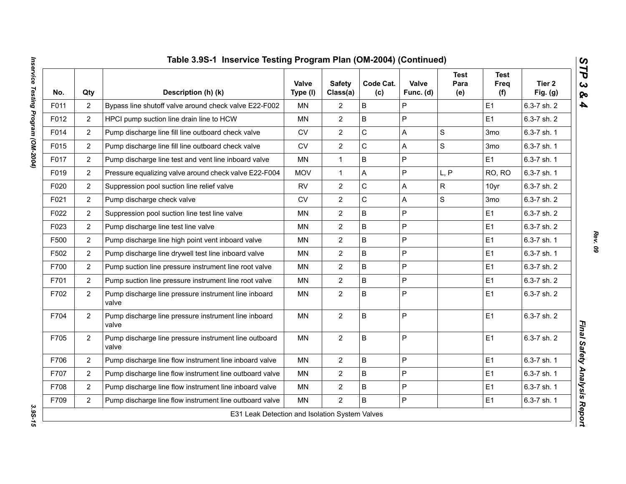| Table 3.9S-1 Inservice Testing Program Plan (OM-2004) (Continued)<br>$\boldsymbol{\omega}$<br>ΤΡ |                |                                                                |                   |                           |                  |                    |                            |                            |                      |  |  |  |
|--------------------------------------------------------------------------------------------------|----------------|----------------------------------------------------------------|-------------------|---------------------------|------------------|--------------------|----------------------------|----------------------------|----------------------|--|--|--|
| No.                                                                                              | Qty            | Description (h) (k)                                            | Valve<br>Type (I) | <b>Safety</b><br>Class(a) | Code Cat.<br>(c) | Valve<br>Func. (d) | <b>Test</b><br>Para<br>(e) | <b>Test</b><br>Freq<br>(f) | Tier 2<br>Fig. $(g)$ |  |  |  |
| F011                                                                                             | $\overline{c}$ | Bypass line shutoff valve around check valve E22-F002          | <b>MN</b>         | $\overline{2}$            | B                | P                  |                            | E1                         | 6.3-7 sh. 2          |  |  |  |
| F012                                                                                             | $\overline{2}$ | HPCI pump suction line drain line to HCW                       | <b>MN</b>         | $\overline{2}$            | B                | P                  |                            | E1                         | 6.3-7 sh. 2          |  |  |  |
| F014                                                                                             | $\overline{2}$ | Pump discharge line fill line outboard check valve             | ${\sf CV}$        | $\overline{2}$            | C                | A                  | $\mathbf S$                | 3 <sub>mo</sub>            | 6.3-7 sh. 1          |  |  |  |
| F015                                                                                             | $\overline{c}$ | Pump discharge line fill line outboard check valve             | CV                | $\overline{c}$            | С                | Α                  | ${\mathsf S}$              | 3 <sub>mo</sub>            | 6.3-7 sh. 1          |  |  |  |
| F017                                                                                             | $\overline{2}$ | Pump discharge line test and vent line inboard valve           | MN                | $\mathbf{1}$              | B                | P                  |                            | E1                         | 6.3-7 sh. 1          |  |  |  |
| F019                                                                                             | $\overline{2}$ | Pressure equalizing valve around check valve E22-F004          | <b>MOV</b>        | $\mathbf{1}$              | A                | P                  | L, P                       | RO, RO                     | 6.3-7 sh. 1          |  |  |  |
| F020                                                                                             | $\overline{2}$ | Suppression pool suction line relief valve                     | <b>RV</b>         | $\overline{2}$            | C                | A                  | $\mathsf{R}$               | 10yr                       | 6.3-7 sh. 2          |  |  |  |
| F021                                                                                             | $\overline{2}$ | Pump discharge check valve                                     | <b>CV</b>         | $\overline{2}$            | C                | A                  | $\mathsf{s}$               | 3 <sub>mo</sub>            | 6.3-7 sh. 2          |  |  |  |
| F022                                                                                             | $\overline{2}$ | Suppression pool suction line test line valve                  | <b>MN</b>         | $\overline{2}$            | B                | P                  |                            | E1                         | 6.3-7 sh. 2          |  |  |  |
| F023                                                                                             | $\overline{2}$ | Pump discharge line test line valve                            | <b>MN</b>         | $\overline{2}$            | B                | P                  |                            | E1                         | 6.3-7 sh. 2          |  |  |  |
| F500                                                                                             | $\overline{2}$ | Pump discharge line high point vent inboard valve              | <b>MN</b>         | $\overline{2}$            | B                | P                  |                            | E1                         | 6.3-7 sh. 1          |  |  |  |
| F502                                                                                             | $\overline{2}$ | Pump discharge line drywell test line inboard valve            | <b>MN</b>         | $\overline{2}$            | B                | P                  |                            | E1                         | 6.3-7 sh. 1          |  |  |  |
| F700                                                                                             | $\overline{2}$ | Pump suction line pressure instrument line root valve          | <b>MN</b>         | $\overline{2}$            | B                | P                  |                            | E1                         | 6.3-7 sh. 2          |  |  |  |
| F701                                                                                             | $\overline{2}$ | Pump suction line pressure instrument line root valve          | MN                | $\overline{2}$            | B                | P                  |                            | E <sub>1</sub>             | 6.3-7 sh. 2          |  |  |  |
| F702                                                                                             | $\overline{2}$ | Pump discharge line pressure instrument line inboard<br>valve  | <b>MN</b>         | $\overline{2}$            | B                | P                  |                            | E1                         | 6.3-7 sh. 2          |  |  |  |
| F704                                                                                             | $\overline{2}$ | Pump discharge line pressure instrument line inboard<br>valve  | <b>MN</b>         | $\overline{2}$            | B                | P                  |                            | E1                         | 6.3-7 sh. 2          |  |  |  |
| F705                                                                                             | $\overline{2}$ | Pump discharge line pressure instrument line outboard<br>valve | <b>MN</b>         | $\overline{2}$            | B                | P                  |                            | E1                         | 6.3-7 sh. 2          |  |  |  |
| F706                                                                                             | $\overline{2}$ | Pump discharge line flow instrument line inboard valve         | <b>MN</b>         | $\overline{2}$            | B                | P                  |                            | E1                         | 6.3-7 sh. 1          |  |  |  |
| F707                                                                                             | $\overline{2}$ | Pump discharge line flow instrument line outboard valve        | MN                | $\overline{2}$            | B                | P                  |                            | E1                         | 6.3-7 sh. 1          |  |  |  |
| F708                                                                                             | $\overline{2}$ | Pump discharge line flow instrument line inboard valve         | <b>MN</b>         | $\overline{2}$            | B                | P                  |                            | E1                         | 6.3-7 sh. 1          |  |  |  |
| F709                                                                                             | $\overline{2}$ | Pump discharge line flow instrument line outboard valve        | MN                | $\overline{2}$            | B                | P                  |                            | E1                         | 6.3-7 sh. 1          |  |  |  |

3.95-15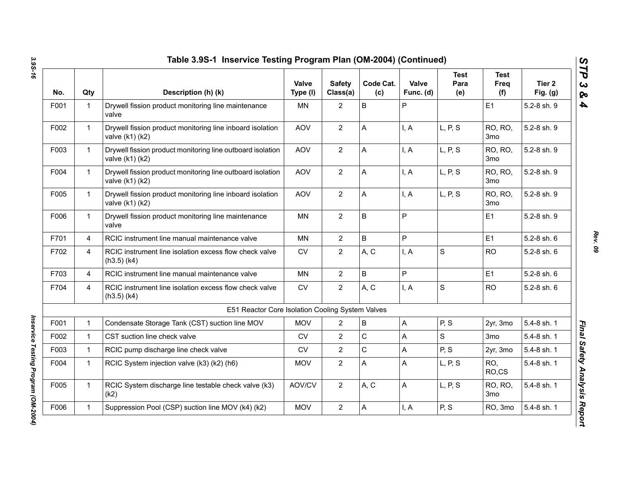| No.  | Qty            | Description (h) (k)                                                              | Valve<br>Type (I) | <b>Safety</b><br>Class(a) | Code Cat.<br>(c) | Valve<br>Func. (d) | <b>Test</b><br>Para<br>(e) | <b>Test</b><br>Freq<br>(f) | Tier <sub>2</sub><br>Fig. $(g)$ |
|------|----------------|----------------------------------------------------------------------------------|-------------------|---------------------------|------------------|--------------------|----------------------------|----------------------------|---------------------------------|
| F001 | $\mathbf{1}$   | Drywell fission product monitoring line maintenance<br>valve                     | <b>MN</b>         | $\overline{2}$            | B                | P                  |                            | E1                         | 5.2-8 sh. 9                     |
| F002 | $\mathbf{1}$   | Drywell fission product monitoring line inboard isolation<br>valve (k1) (k2)     | <b>AOV</b>        | $\overline{2}$            | А                | I, A               | L, P, S                    | RO, RO,<br>3 <sub>mo</sub> | 5.2-8 sh. 9                     |
| F003 | $\mathbf{1}$   | Drywell fission product monitoring line outboard isolation<br>valve (k1) (k2)    | <b>AOV</b>        | $\overline{2}$            | A                | I, A               | L, P, S                    | RO, RO,<br>3 <sub>mo</sub> | 5.2-8 sh. 9                     |
| F004 | $\mathbf 1$    | Drywell fission product monitoring line outboard isolation<br>valve (k1) (k2)    | <b>AOV</b>        | $\overline{2}$            | A                | I, A               | L, P, S                    | RO, RO,<br>3 <sub>mo</sub> | 5.2-8 sh. 9                     |
| F005 | $\mathbf{1}$   | Drywell fission product monitoring line inboard isolation<br>valve $(k1)$ $(k2)$ | <b>AOV</b>        | $\overline{2}$            | A                | I, A               | L, P, S                    | RO, RO,<br>3 <sub>mo</sub> | 5.2-8 sh. 9                     |
| F006 | $\mathbf 1$    | Drywell fission product monitoring line maintenance<br>valve                     | <b>MN</b>         | $\overline{2}$            | B                | P                  |                            | E1                         | 5.2-8 sh. 9                     |
| F701 | $\overline{4}$ | RCIC instrument line manual maintenance valve                                    | <b>MN</b>         | $\overline{2}$            | B                | P                  |                            | E1                         | 5.2-8 sh. 6                     |
| F702 | $\overline{4}$ | RCIC instrument line isolation excess flow check valve<br>$(h3.5)$ (k4)          | <b>CV</b>         | $\overline{2}$            | A, C             | I, A               | $\mathbf S$                | <b>RO</b>                  | 5.2-8 sh. 6                     |
| F703 | $\overline{4}$ | RCIC instrument line manual maintenance valve                                    | <b>MN</b>         | $\overline{2}$            | B                | P                  |                            | E1                         | 5.2-8 sh. 6                     |
| F704 | $\overline{4}$ | RCIC instrument line isolation excess flow check valve<br>$(h3.5)$ $(k4)$        | CV                | $\overline{2}$            | A, C             | I, A               | $\mathbf S$                | <b>RO</b>                  | 5.2-8 sh. 6                     |
|      |                | E51 Reactor Core Isolation Cooling System Valves                                 |                   |                           |                  |                    |                            |                            |                                 |
| F001 | $\mathbf{1}$   | Condensate Storage Tank (CST) suction line MOV                                   | <b>MOV</b>        | $\overline{2}$            | B                | A                  | P, S                       | 2yr, 3mo                   | 5.4-8 sh. 1                     |
| F002 | $\mathbf{1}$   | CST suction line check valve                                                     | <b>CV</b>         | $\overline{2}$            | C                | A                  | S                          | 3mo                        | 5.4-8 sh. 1                     |
| F003 | $\mathbf 1$    | RCIC pump discharge line check valve                                             | <b>CV</b>         | $\overline{2}$            | С                | А                  | P, S                       | 2yr, 3mo                   | 5.4-8 sh. 1                     |
| F004 | 1              | RCIC System injection valve (k3) (k2) (h6)                                       | <b>MOV</b>        | $\overline{2}$            | A                | A                  | L, P, S                    | RO,<br>RO,CS               | 5.4-8 sh. 1                     |
| F005 | $\mathbf{1}$   | RCIC System discharge line testable check valve (k3)<br>(k2)                     | AOV/CV            | $\overline{2}$            | A, C             | A                  | L, P, S                    | RO, RO,<br>3 <sub>mo</sub> | 5.4-8 sh. 1                     |
| F006 | $\mathbf 1$    | Suppression Pool (CSP) suction line MOV (k4) (k2)                                | <b>MOV</b>        | $\overline{2}$            | A                | I, A               | P, S                       | RO, 3mo                    | 5.4-8 sh. 1                     |

*Inservice Testing Program (OM-2004)* 

Inservice Testing Program (OM-2004)

*Rev. 09*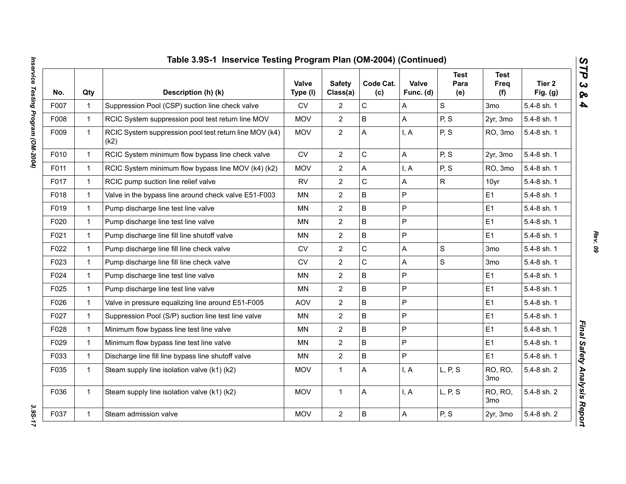|      |              | Table 3.9S-1 Inservice Testing Program Plan (OM-2004) (Continued) |                          |                           |                  |                           |                            |                            |                      |
|------|--------------|-------------------------------------------------------------------|--------------------------|---------------------------|------------------|---------------------------|----------------------------|----------------------------|----------------------|
| No.  | Qty          | Description (h) (k)                                               | <b>Valve</b><br>Type (I) | <b>Safety</b><br>Class(a) | Code Cat.<br>(c) | <b>Valve</b><br>Func. (d) | <b>Test</b><br>Para<br>(e) | <b>Test</b><br>Freq<br>(f) | Tier 2<br>Fig. $(g)$ |
| F007 | $\mathbf{1}$ | Suppression Pool (CSP) suction line check valve                   | <b>CV</b>                | $\overline{c}$            | $\mathsf C$      | A                         | $\mathbf S$                | 3 <sub>mo</sub>            | 5.4-8 sh. 1          |
| F008 | $\mathbf{1}$ | RCIC System suppression pool test return line MOV                 | <b>MOV</b>               | $\overline{2}$            | B                | A                         | P, S                       | 2yr, 3mo                   | 5.4-8 sh. 1          |
| F009 | $\mathbf{1}$ | RCIC System suppression pool test return line MOV (k4)<br>(k2)    | <b>MOV</b>               | $\overline{2}$            | A                | I, A                      | P, S                       | RO, 3mo                    | 5.4-8 sh. 1          |
| F010 | $\mathbf{1}$ | RCIC System minimum flow bypass line check valve                  | <b>CV</b>                | $\overline{2}$            | $\mathsf C$      | A                         | P, S                       | 2yr, 3mo                   | 5.4-8 sh. 1          |
| F011 | $\mathbf{1}$ | RCIC System minimum flow bypass line MOV (k4) (k2)                | <b>MOV</b>               | $\overline{2}$            | A                | I, A                      | P, S                       | RO, 3mo                    | 5.4-8 sh. 1          |
| F017 | $\mathbf{1}$ | RCIC pump suction line relief valve                               | <b>RV</b>                | $\overline{2}$            | $\mathbf C$      | A                         | $\mathsf{R}$               | 10yr                       | 5.4-8 sh. 1          |
| F018 | $\mathbf{1}$ | Valve in the bypass line around check valve E51-F003              | MN                       | $\overline{2}$            | B                | $\sf P$                   |                            | E <sub>1</sub>             | 5.4-8 sh. 1          |
| F019 | $\mathbf{1}$ | Pump discharge line test line valve                               | <b>MN</b>                | $\overline{2}$            | B                | $\mathsf{P}$              |                            | E1                         | 5.4-8 sh. 1          |
| F020 | $\mathbf{1}$ | Pump discharge line test line valve                               | <b>MN</b>                | $\overline{2}$            | B                | $\mathsf{P}$              |                            | E <sub>1</sub>             | 5.4-8 sh. 1          |
| F021 | $\mathbf{1}$ | Pump discharge line fill line shutoff valve                       | MN                       | $\overline{2}$            | B                | P                         |                            | E <sub>1</sub>             | 5.4-8 sh. 1          |
| F022 | $\mathbf{1}$ | Pump discharge line fill line check valve                         | <b>CV</b>                | $\overline{2}$            | $\mathsf C$      | A                         | $\mathbf S$                | 3 <sub>mo</sub>            | 5.4-8 sh. 1          |
| F023 | $\mathbf{1}$ | Pump discharge line fill line check valve                         | <b>CV</b>                | $\overline{2}$            | $\mathsf C$      | A                         | $\mathsf{s}$               | 3 <sub>mo</sub>            | 5.4-8 sh. 1          |
| F024 | $\mathbf{1}$ | Pump discharge line test line valve                               | MN                       | $\overline{2}$            | B                | $\mathsf{P}$              |                            | E <sub>1</sub>             | 5.4-8 sh. 1          |
| F025 | $\mathbf{1}$ | Pump discharge line test line valve                               | MN                       | $\overline{2}$            | B                | $\mathsf{P}$              |                            | E <sub>1</sub>             | 5.4-8 sh. 1          |
| F026 | $\mathbf{1}$ | Valve in pressure equalizing line around E51-F005                 | <b>AOV</b>               | $\overline{2}$            | B                | P                         |                            | E1                         | 5.4-8 sh. 1          |
| F027 | $\mathbf{1}$ | Suppression Pool (S/P) suction line test line valve               | MN                       | $\overline{2}$            | B                | $\mathsf{P}$              |                            | E <sub>1</sub>             | 5.4-8 sh. 1          |
| F028 | $\mathbf{1}$ | Minimum flow bypass line test line valve                          | MN                       | $\overline{2}$            | B                | $\mathsf P$               |                            | E <sub>1</sub>             | 5.4-8 sh. 1          |
| F029 | $\mathbf{1}$ | Minimum flow bypass line test line valve                          | MN                       | $\overline{2}$            | B                | $\mathsf{P}$              |                            | E1                         | 5.4-8 sh. 1          |
| F033 | $\mathbf{1}$ | Discharge line fill line bypass line shutoff valve                | <b>MN</b>                | $\overline{2}$            | B                | $\mathsf{P}$              |                            | E1                         | 5.4-8 sh. 1          |
| F035 | $\mathbf{1}$ | Steam supply line isolation valve (k1) (k2)                       | <b>MOV</b>               | $\mathbf{1}$              | A                | I, A                      | L, P, S                    | RO, RO,<br>3 <sub>mo</sub> | 5.4-8 sh. 2          |
| F036 | $\mathbf{1}$ | Steam supply line isolation valve (k1) (k2)                       | <b>MOV</b>               | $\mathbf 1$               | А                | I, A                      | L, P, S                    | RO, RO,<br>3 <sub>mo</sub> | 5.4-8 sh. 2          |
| F037 | $\mathbf{1}$ | Steam admission valve                                             | <b>MOV</b>               | $\mathbf{2}$              | B                | $\mathsf{A}$              | P, S                       | 2yr, 3mo                   | 5.4-8 sh. 2          |

*Rev. 09*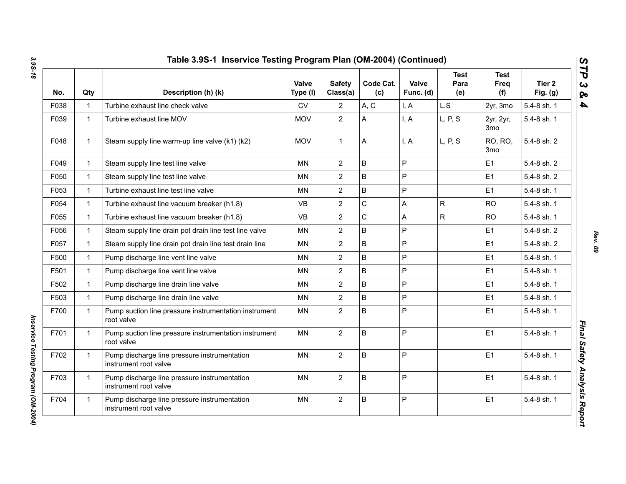| No.  | Qty          | Description (h) (k)                                                   | Valve<br>Type (I) | <b>Safety</b><br>Class(a) | Code Cat.<br>(c) | Valve<br>Func. (d) | <b>Test</b><br>Para<br>(e) | <b>Test</b><br><b>Freq</b><br>(f) | Tier 2<br>Fig. $(g)$ |
|------|--------------|-----------------------------------------------------------------------|-------------------|---------------------------|------------------|--------------------|----------------------------|-----------------------------------|----------------------|
| F038 | $\mathbf{1}$ | Turbine exhaust line check valve                                      | <b>CV</b>         | 2                         | A, C             | I, A               | L, S                       | 2yr, 3mo                          | 5.4-8 sh. 1          |
| F039 | $\mathbf{1}$ | Turbine exhaust line MOV                                              | <b>MOV</b>        | $\overline{2}$            | A                | I, A               | L, P, S                    | 2yr, 2yr,<br>3 <sub>mo</sub>      | 5.4-8 sh. 1          |
| F048 | $\mathbf{1}$ | Steam supply line warm-up line valve (k1) (k2)                        | <b>MOV</b>        | $\mathbf{1}$              | Α                | I, A               | L, P, S                    | RO, RO,<br>3mo                    | 5.4-8 sh. 2          |
| F049 | $\mathbf{1}$ | Steam supply line test line valve                                     | <b>MN</b>         | $\overline{2}$            | B                | P                  |                            | E1                                | 5.4-8 sh. 2          |
| F050 | $\mathbf{1}$ | Steam supply line test line valve                                     | MN                | $\overline{2}$            | B                | P                  |                            | E1                                | 5.4-8 sh. 2          |
| F053 | $\mathbf{1}$ | Turbine exhaust line test line valve                                  | ΜN                | $\overline{2}$            | B                | P                  |                            | E <sub>1</sub>                    | 5.4-8 sh. 1          |
| F054 | $\mathbf{1}$ | Turbine exhaust line vacuum breaker (h1.8)                            | <b>VB</b>         | $\overline{2}$            | C                | A                  | ${\sf R}$                  | <b>RO</b>                         | 5.4-8 sh. 1          |
| F055 | $\mathbf{1}$ | Turbine exhaust line vacuum breaker (h1.8)                            | <b>VB</b>         | $\overline{2}$            | C                | Α                  | $\mathsf{R}$               | <b>RO</b>                         | 5.4-8 sh. 1          |
| F056 | $\mathbf{1}$ | Steam supply line drain pot drain line test line valve                | ΜN                | $\overline{2}$            | B                | P                  |                            | E <sub>1</sub>                    | 5.4-8 sh. 2          |
| F057 | $\mathbf{1}$ | Steam supply line drain pot drain line test drain line                | <b>MN</b>         | $\overline{2}$            | B                | P                  |                            | E1                                | 5.4-8 sh. 2          |
| F500 | $\mathbf{1}$ | Pump discharge line vent line valve                                   | MN                | $\overline{2}$            | B                | P                  |                            | E1                                | 5.4-8 sh. 1          |
| F501 | $\mathbf{1}$ | Pump discharge line vent line valve                                   | <b>MN</b>         | $\overline{2}$            | B                | P                  |                            | E1                                | 5.4-8 sh. 1          |
| F502 | $\mathbf{1}$ | Pump discharge line drain line valve                                  | <b>MN</b>         | $\overline{2}$            | B                | P                  |                            | E1                                | 5.4-8 sh. 1          |
| F503 | $\mathbf{1}$ | Pump discharge line drain line valve                                  | MN                | $\overline{2}$            | B                | P                  |                            | E1                                | 5.4-8 sh. 1          |
| F700 | $\mathbf{1}$ | Pump suction line pressure instrumentation instrument<br>root valve   | <b>MN</b>         | $\overline{2}$            | B                | P                  |                            | E1                                | 5.4-8 sh. 1          |
| F701 | $\mathbf{1}$ | Pump suction line pressure instrumentation instrument<br>root valve   | MN                | $\overline{2}$            | B                | P                  |                            | E1                                | 5.4-8 sh. 1          |
| F702 | $\mathbf{1}$ | Pump discharge line pressure instrumentation<br>instrument root valve | <b>MN</b>         | $\overline{2}$            | B                | P                  |                            | E1                                | 5.4-8 sh. 1          |
| F703 | $\mathbf{1}$ | Pump discharge line pressure instrumentation<br>instrument root valve | <b>MN</b>         | $\overline{2}$            | B                | P                  |                            | E1                                | 5.4-8 sh. 1          |
| F704 | $\mathbf{1}$ | Pump discharge line pressure instrumentation<br>instrument root valve | MN                | $\overline{2}$            | B                | P                  |                            | E <sub>1</sub>                    | 5.4-8 sh. 1          |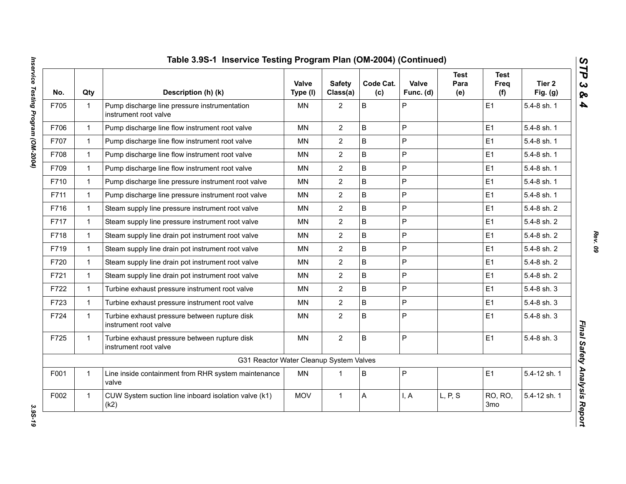| No.  | Qty          | Description (h) (k)                                                    | Valve<br>Type (I) | <b>Safety</b><br>Class(a) | Code Cat.<br>(c) | Valve<br>Func. (d) | <b>Test</b><br>Para<br>(e) | <b>Test</b><br>Freq<br>(f) | Tier 2<br>Fig. $(g)$ |
|------|--------------|------------------------------------------------------------------------|-------------------|---------------------------|------------------|--------------------|----------------------------|----------------------------|----------------------|
| F705 | $\mathbf{1}$ | Pump discharge line pressure instrumentation<br>instrument root valve  | MN                | $\overline{2}$            | B                | P                  |                            | E1                         | 5.4-8 sh. 1          |
| F706 | $\mathbf{1}$ | Pump discharge line flow instrument root valve                         | <b>MN</b>         | $\overline{2}$            | B                | P                  |                            | E1                         | 5.4-8 sh. 1          |
| F707 | $\mathbf{1}$ | Pump discharge line flow instrument root valve                         | MN                | $\overline{2}$            | B                | P                  |                            | E1                         | 5.4-8 sh. 1          |
| F708 | $\mathbf{1}$ | Pump discharge line flow instrument root valve                         | <b>MN</b>         | $\overline{2}$            | B                | P                  |                            | E1                         | 5.4-8 sh. 1          |
| F709 | $\mathbf{1}$ | Pump discharge line flow instrument root valve                         | <b>MN</b>         | $\overline{2}$            | B                | P                  |                            | E1                         | 5.4-8 sh. 1          |
| F710 | $\mathbf{1}$ | Pump discharge line pressure instrument root valve                     | MN                | $\overline{2}$            | B                | P                  |                            | E1                         | 5.4-8 sh. 1          |
| F711 | $\mathbf{1}$ | Pump discharge line pressure instrument root valve                     | <b>MN</b>         | $\overline{2}$            | B                | P                  |                            | E1                         | 5.4-8 sh. 1          |
| F716 | $\mathbf{1}$ | Steam supply line pressure instrument root valve                       | <b>MN</b>         | $\overline{2}$            | B                | P                  |                            | E <sub>1</sub>             | 5.4-8 sh. 2          |
| F717 | $\mathbf{1}$ | Steam supply line pressure instrument root valve                       | MN                | $\overline{2}$            | B                | P                  |                            | E1                         | 5.4-8 sh. 2          |
| F718 | $\mathbf{1}$ | Steam supply line drain pot instrument root valve                      | MN                | $\overline{2}$            | B                | P                  |                            | E <sub>1</sub>             | 5.4-8 sh. 2          |
| F719 | $\mathbf{1}$ | Steam supply line drain pot instrument root valve                      | <b>MN</b>         | $\overline{2}$            | B                | P                  |                            | E1                         | 5.4-8 sh. 2          |
| F720 | $\mathbf{1}$ | Steam supply line drain pot instrument root valve                      | <b>MN</b>         | $\overline{2}$            | B                | P                  |                            | E1                         | 5.4-8 sh. 2          |
| F721 | $\mathbf{1}$ | Steam supply line drain pot instrument root valve                      | <b>MN</b>         | $\overline{2}$            | B                | P                  |                            | E <sub>1</sub>             | 5.4-8 sh. 2          |
| F722 | $\mathbf{1}$ | Turbine exhaust pressure instrument root valve                         | <b>MN</b>         | $\overline{2}$            | B                | P                  |                            | E1                         | 5.4-8 sh. 3          |
| F723 | $\mathbf{1}$ | Turbine exhaust pressure instrument root valve                         | <b>MN</b>         | $\overline{2}$            | B                | P                  |                            | E1                         | 5.4-8 sh. 3          |
| F724 | $\mathbf{1}$ | Turbine exhaust pressure between rupture disk<br>instrument root valve | <b>MN</b>         | $\overline{2}$            | B                | P                  |                            | E1                         | 5.4-8 sh. 3          |
| F725 | $\mathbf{1}$ | Turbine exhaust pressure between rupture disk<br>instrument root valve | <b>MN</b>         | $\overline{2}$            | B                | P                  |                            | E1                         | 5.4-8 sh. 3          |
|      |              | G31 Reactor Water Cleanup System Valves                                |                   |                           |                  |                    |                            |                            |                      |
| F001 | $\mathbf{1}$ | Line inside containment from RHR system maintenance<br>valve           | <b>MN</b>         | $\mathbf 1$               | B                | P                  |                            | E1                         | 5.4-12 sh. 1         |
| F002 | $\mathbf{1}$ | CUW System suction line inboard isolation valve (k1)<br>(k2)           | <b>MOV</b>        | $\mathbf{1}$              | A                | I, A               | L, P, S                    | RO, RO,<br>3 <sub>mo</sub> | 5.4-12 sh. 1         |

3.95-19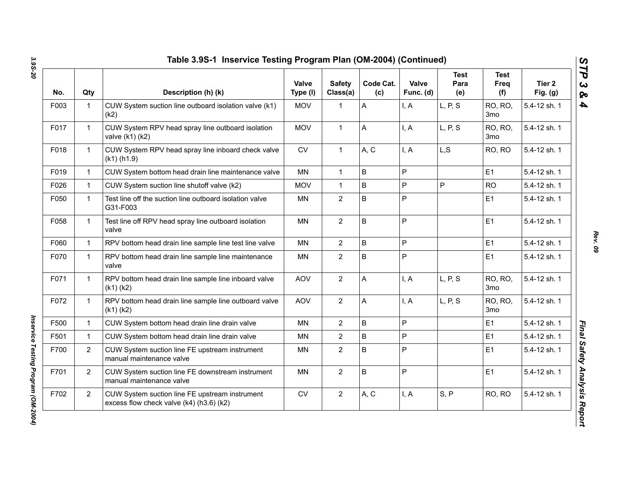| No.  | Qty            | Description (h) (k)                                                                        | Valve<br>Type (I) | <b>Safety</b><br>Class(a) | Code Cat.<br>(c) | Valve<br>Func. (d) | <b>Test</b><br>Para<br>(e) | <b>Test</b><br>Freq<br>(f)        | Tier 2<br>Fig. $(g)$ |
|------|----------------|--------------------------------------------------------------------------------------------|-------------------|---------------------------|------------------|--------------------|----------------------------|-----------------------------------|----------------------|
| F003 | $\mathbf 1$    | CUW System suction line outboard isolation valve (k1)<br>(k2)                              | <b>MOV</b>        | 1                         | A                | I, A               | L, P, S                    | RO, RO,<br>3 <sub>mo</sub>        | 5.4-12 sh. 1         |
| F017 | $\mathbf{1}$   | CUW System RPV head spray line outboard isolation<br>valve (k1) (k2)                       | <b>MOV</b>        | $\mathbf{1}$              | Α                | I, A               | L, P, S                    | RO, RO,<br>3 <sub>mo</sub>        | 5.4-12 sh. 1         |
| F018 | $\mathbf{1}$   | CUW System RPV head spray line inboard check valve<br>$(k1)$ (h1.9)                        | <b>CV</b>         | $\mathbf{1}$              | A, C             | I, A               | L, S                       | RO, RO                            | 5.4-12 sh. 1         |
| F019 | $\mathbf{1}$   | CUW System bottom head drain line maintenance valve                                        | MN                | $\mathbf{1}$              | B                | P                  |                            | E1                                | 5.4-12 sh. 1         |
| F026 | $\mathbf{1}$   | CUW System suction line shutoff valve (k2)                                                 | <b>MOV</b>        | $\mathbf{1}$              | $\mathsf B$      | P                  | P                          | <b>RO</b>                         | 5.4-12 sh. 1         |
| F050 | $\mathbf{1}$   | Test line off the suction line outboard isolation valve<br>G31-F003                        | MN                | $\overline{2}$            | B                | P                  |                            | E1                                | 5.4-12 sh. 1         |
| F058 | $\mathbf{1}$   | Test line off RPV head spray line outboard isolation<br>valve                              | <b>MN</b>         | $\overline{2}$            | $\mathsf B$      | P                  |                            | E1                                | 5.4-12 sh. 1         |
| F060 | $\mathbf{1}$   | RPV bottom head drain line sample line test line valve                                     | <b>MN</b>         | $\overline{2}$            | $\mathsf B$      | P                  |                            | E1                                | 5.4-12 sh. 1         |
| F070 | $\mathbf{1}$   | RPV bottom head drain line sample line maintenance<br>valve                                | MN                | $\overline{2}$            | B                | $\mathsf{P}$       |                            | E1                                | 5.4-12 sh. 1         |
| F071 | $\mathbf{1}$   | RPV bottom head drain line sample line inboard valve<br>$(k1)$ $(k2)$                      | <b>AOV</b>        | $\overline{2}$            | A                | I, A               | L, P, S                    | RO, RO,<br>3 <sub>mo</sub>        | 5.4-12 sh. 1         |
| F072 | $\mathbf{1}$   | RPV bottom head drain line sample line outboard valve<br>$(k1)$ $(k2)$                     | <b>AOV</b>        | $\overline{2}$            | A                | I, A               | L, P, S                    | <b>RO, RO,</b><br>3 <sub>mo</sub> | 5.4-12 sh. 1         |
| F500 | $\mathbf{1}$   | CUW System bottom head drain line drain valve                                              | <b>MN</b>         | $\overline{2}$            | B                | P                  |                            | E1                                | 5.4-12 sh. 1         |
| F501 | $\mathbf{1}$   | CUW System bottom head drain line drain valve                                              | <b>MN</b>         | $\overline{2}$            | B                | P                  |                            | E <sub>1</sub>                    | 5.4-12 sh. 1         |
| F700 | $\overline{2}$ | CUW System suction line FE upstream instrument<br>manual maintenance valve                 | MN                | $\overline{2}$            | B                | P                  |                            | E1                                | 5.4-12 sh. 1         |
| F701 | $\overline{2}$ | CUW System suction line FE downstream instrument<br>manual maintenance valve               | MN                | $\overline{2}$            | $\sf B$          | P                  |                            | E1                                | 5.4-12 sh. 1         |
| F702 | $\overline{2}$ | CUW System suction line FE upstream instrument<br>excess flow check valve (k4) (h3.6) (k2) | ${\sf CV}$        | $\overline{2}$            | A, C             | I, A               | S, P                       | RO, RO                            | 5.4-12 sh. 1         |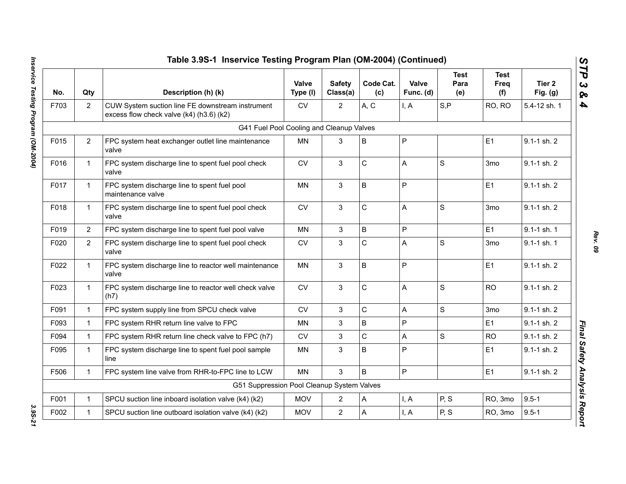|      |                | Table 3.9S-1 Inservice Testing Program Plan (OM-2004) (Continued)                            |                   |                           |                  |                    |                            |                            |                      |
|------|----------------|----------------------------------------------------------------------------------------------|-------------------|---------------------------|------------------|--------------------|----------------------------|----------------------------|----------------------|
| No.  | Qty            | Description (h) (k)                                                                          | Valve<br>Type (I) | <b>Safety</b><br>Class(a) | Code Cat.<br>(c) | Valve<br>Func. (d) | <b>Test</b><br>Para<br>(e) | <b>Test</b><br>Freq<br>(f) | Tier 2<br>Fig. $(g)$ |
| F703 | $\overline{2}$ | CUW System suction line FE downstream instrument<br>excess flow check valve (k4) (h3.6) (k2) | <b>CV</b>         | $\overline{2}$            | A, C             | I, A               | S, P                       | RO, RO                     | 5.4-12 sh. 1         |
|      |                | G41 Fuel Pool Cooling and Cleanup Valves                                                     |                   |                           |                  |                    |                            |                            |                      |
| F015 | $\overline{2}$ | FPC system heat exchanger outlet line maintenance<br>valve                                   | MN                | 3                         | B                | P                  |                            | E1                         | 9.1-1 sh. 2          |
| F016 | $\mathbf{1}$   | FPC system discharge line to spent fuel pool check<br>valve                                  | <b>CV</b>         | 3                         | C                | A                  | $\mathbf S$                | 3 <sub>mo</sub>            | $9.1 - 1$ sh. $2$    |
| F017 | $\mathbf{1}$   | FPC system discharge line to spent fuel pool<br>maintenance valve                            | MN                | 3                         | B                | P                  |                            | E1                         | 9.1-1 sh. 2          |
| F018 | $\mathbf{1}$   | FPC system discharge line to spent fuel pool check<br>valve                                  | <b>CV</b>         | 3                         | C                | A                  | S                          | 3 <sub>mo</sub>            | 9.1-1 sh. 2          |
| F019 | $\overline{2}$ | FPC system discharge line to spent fuel pool valve                                           | <b>MN</b>         | 3                         | B                | P                  |                            | E1                         | 9.1-1 sh. 1          |
| F020 | $\overline{2}$ | FPC system discharge line to spent fuel pool check<br>valve                                  | ${\sf CV}$        | $\mathfrak{S}$            | C                | A                  | S                          | 3 <sub>mo</sub>            | $9.1 - 1$ sh. 1      |
| F022 | $\mathbf 1$    | FPC system discharge line to reactor well maintenance<br>valve                               | <b>MN</b>         | 3                         | B                | P                  |                            | E1                         | 9.1-1 sh. 2          |
| F023 | $\mathbf{1}$   | FPC system discharge line to reactor well check valve<br>(h7)                                | ${\sf CV}$        | 3                         | C                | A                  | $\mathbf S$                | <b>RO</b>                  | $9.1 - 1$ sh. $2$    |
| F091 | $\mathbf{1}$   | FPC system supply line from SPCU check valve                                                 | <b>CV</b>         | 3                         | C                | A                  | S                          | 3 <sub>mo</sub>            | 9.1-1 sh. 2          |
| F093 | $\mathbf{1}$   | FPC system RHR return line valve to FPC                                                      | <b>MN</b>         | 3                         | B                | P                  |                            | E1                         | $9.1 - 1$ sh. $2$    |
| F094 | $\mathbf{1}$   | FPC system RHR return line check valve to FPC (h7)                                           | <b>CV</b>         | 3                         | C                | A                  | S                          | <b>RO</b>                  | $9.1 - 1$ sh. $2$    |
| F095 | 1.             | FPC system discharge line to spent fuel pool sample<br>line                                  | <b>MN</b>         | 3                         | B                | P                  |                            | E1                         | 9.1-1 sh. 2          |
| F506 | $\mathbf{1}$   | FPC system line valve from RHR-to-FPC line to LCW                                            | <b>MN</b>         | 3                         | B                | P                  |                            | E1                         | 9.1-1 sh. 2          |
|      |                | G51 Suppression Pool Cleanup System Valves                                                   |                   |                           |                  |                    |                            |                            |                      |
| F001 | $\mathbf{1}$   | SPCU suction line inboard isolation valve (k4) (k2)                                          | <b>MOV</b>        | $\overline{2}$            | А                | I, A               | P, S                       | RO, 3mo                    | $9.5 - 1$            |
| F002 | $\mathbf{1}$   | SPCU suction line outboard isolation valve (k4) (k2)                                         | <b>MOV</b>        | $\overline{2}$            | A                | I, A               | P, S                       | RO, 3mo                    | $9.5 - 1$            |

3.95-21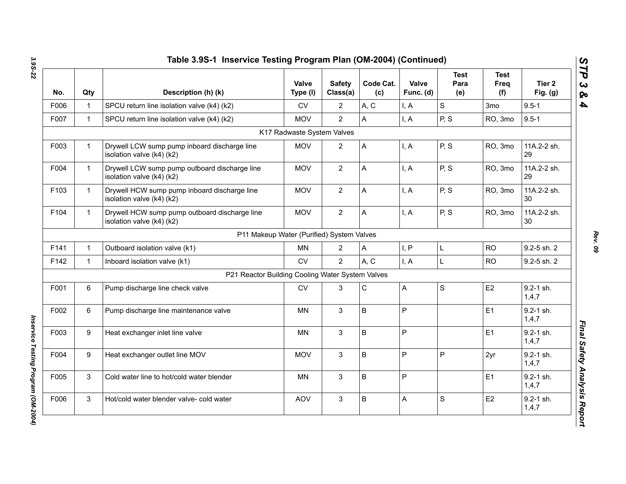| No.  | Qty          | Description (h) (k)                                                        | Valve<br>Type (I)                         | <b>Safety</b><br>Class(a) | Code Cat.<br>(c) | Valve<br>Func. (d)        | <b>Test</b><br>Para<br>(e) | <b>Test</b><br>Freq<br>(f) | Tier 2<br>Fig. $(g)$   |
|------|--------------|----------------------------------------------------------------------------|-------------------------------------------|---------------------------|------------------|---------------------------|----------------------------|----------------------------|------------------------|
| F006 | $\mathbf 1$  | SPCU return line isolation valve (k4) (k2)                                 | CV                                        | $\overline{2}$            | A, C             | I, A                      | S                          | 3 <sub>mo</sub>            | $9.5 - 1$              |
| F007 | $\mathbf{1}$ | SPCU return line isolation valve (k4) (k2)                                 | <b>MOV</b>                                | $\overline{2}$            | A                | I, A                      | P, S                       | RO, 3mo                    | $9.5 - 1$              |
|      |              |                                                                            | K17 Radwaste System Valves                |                           |                  |                           |                            |                            |                        |
| F003 | $\mathbf{1}$ | Drywell LCW sump pump inboard discharge line<br>isolation valve (k4) (k2)  | <b>MOV</b>                                | $\overline{2}$            | A                | I, A                      | P, S                       | RO, 3mo                    | 11A.2-2 sh.<br>29      |
| F004 | $\mathbf{1}$ | Drywell LCW sump pump outboard discharge line<br>isolation valve (k4) (k2) | <b>MOV</b>                                | $\overline{2}$            | A                | I, A                      | P, S                       | RO, 3mo                    | 11A.2-2 sh.<br>29      |
| F103 | $\mathbf{1}$ | Drywell HCW sump pump inboard discharge line<br>isolation valve (k4) (k2)  | <b>MOV</b>                                | $\overline{2}$            | A                | I, A                      | P, S                       | RO, 3mo                    | 11A.2-2 sh.<br>30      |
| F104 | $\mathbf{1}$ | Drywell HCW sump pump outboard discharge line<br>isolation valve (k4) (k2) | <b>MOV</b>                                | $\overline{2}$            | A                | I, A                      | P, S                       | RO, 3mo                    | 11A.2-2 sh.<br>30      |
|      |              |                                                                            | P11 Makeup Water (Purified) System Valves |                           |                  |                           |                            |                            |                        |
| F141 | $\mathbf 1$  | Outboard isolation valve (k1)                                              | MN                                        | $\overline{2}$            | A                | I, P                      | L                          | <b>RO</b>                  | 9.2-5 sh. 2            |
| F142 | $\mathbf{1}$ | Inboard isolation valve (k1)                                               | <b>CV</b>                                 | $\overline{2}$            | A, C             | I, A                      | Г                          | <b>RO</b>                  | 9.2-5 sh. 2            |
|      |              | P21 Reactor Building Cooling Water System Valves                           |                                           |                           |                  |                           |                            |                            |                        |
| F001 | 6            | Pump discharge line check valve                                            | <b>CV</b>                                 | 3                         | $\mathsf{C}$     | $\boldsymbol{\mathsf{A}}$ | S                          | E2                         | 9.2-1 sh.<br>1, 4, 7   |
| F002 | 6            | Pump discharge line maintenance valve                                      | <b>MN</b>                                 | 3                         | $\mathsf{B}$     | P                         |                            | E1                         | $9.2 - 1$ sh.<br>1,4,7 |
| F003 | 9            | Heat exchanger inlet line valve                                            | MN                                        | 3                         | $\sf B$          | P                         |                            | E1                         | 9.2-1 sh.<br>1, 4, 7   |
| F004 | 9            | Heat exchanger outlet line MOV                                             | <b>MOV</b>                                | 3                         | $\sf B$          | P                         | P                          | 2yr                        | 9.2-1 sh.<br>1, 4, 7   |
| F005 | 3            | Cold water line to hot/cold water blender                                  | MN                                        | 3                         | B                | P                         |                            | E1                         | $9.2 - 1$ sh.<br>1,4,7 |
| F006 | 3            | Hot/cold water blender valve- cold water                                   | <b>AOV</b>                                | $\mathbf 3$               | B                | $\mathsf A$               | S                          | E <sub>2</sub>             | 9.2-1 sh.<br>1, 4, 7   |

*Inservice Testing Program (OM-2004)* 

Inservice Testing Program (OM-2004)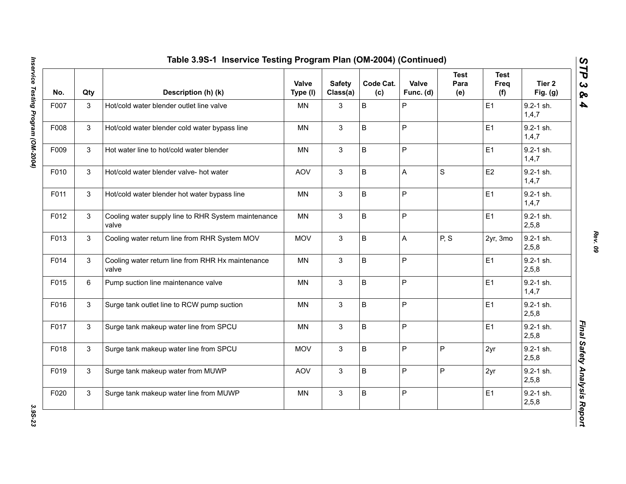| No.  | Qty | Description (h) (k)                                          | Valve<br>Type (I) | <b>Safety</b><br>Class(a) | Code Cat.<br>(c) | Valve<br>Func. (d) | <b>Test</b><br>Para<br>(e) | <b>Test</b><br>Freq<br>(f) | Tier 2<br>Fig. (g)       |
|------|-----|--------------------------------------------------------------|-------------------|---------------------------|------------------|--------------------|----------------------------|----------------------------|--------------------------|
| F007 | 3   | Hot/cold water blender outlet line valve                     | <b>MN</b>         | 3                         | B                | P                  |                            | E1                         | $9.2 - 1$ sh.<br>1, 4, 7 |
| F008 | 3   | Hot/cold water blender cold water bypass line                | <b>MN</b>         | $\mathbf{3}$              | B                | $\mathsf{P}$       |                            | E1                         | $9.2 - 1$ sh.<br>1, 4, 7 |
| F009 | 3   | Hot water line to hot/cold water blender                     | <b>MN</b>         | 3                         | B                | $\mathsf{P}$       |                            | E1                         | 9.2-1 sh.<br>1,4,7       |
| F010 | 3   | Hot/cold water blender valve- hot water                      | <b>AOV</b>        | 3                         | B                | $\overline{A}$     | $\mathbf S$                | E <sub>2</sub>             | $9.2 - 1$ sh.<br>1, 4, 7 |
| F011 | 3   | Hot/cold water blender hot water bypass line                 | <b>MN</b>         | 3                         | B                | $\mathsf{P}$       |                            | E1                         | $9.2 - 1$ sh.<br>1,4,7   |
| F012 | 3   | Cooling water supply line to RHR System maintenance<br>valve | <b>MN</b>         | 3                         | B                | $\mathsf P$        |                            | E1                         | $9.2 - 1$ sh.<br>2,5,8   |
| F013 | 3   | Cooling water return line from RHR System MOV                | <b>MOV</b>        | 3                         | B                | A                  | P, S                       | 2yr, 3mo                   | $9.2 - 1$ sh.<br>2, 5, 8 |
| F014 | 3   | Cooling water return line from RHR Hx maintenance<br>valve   | <b>MN</b>         | 3                         | B                | $\sf P$            |                            | E1                         | 9.2-1 sh.<br>2,5,8       |
| F015 | 6   | Pump suction line maintenance valve                          | MN                | 3                         | B                | P                  |                            | E1                         | $9.2 - 1$ sh.<br>1, 4, 7 |
| F016 | 3   | Surge tank outlet line to RCW pump suction                   | <b>MN</b>         | 3                         | B                | ${\sf P}$          |                            | E1                         | $9.2 - 1$ sh.<br>2,5,8   |
| F017 | 3   | Surge tank makeup water line from SPCU                       | <b>MN</b>         | 3                         | B                | $\mathsf{P}$       |                            | E1                         | $9.2 - 1$ sh.<br>2,5,8   |
| F018 | 3   | Surge tank makeup water line from SPCU                       | <b>MOV</b>        | 3                         | B                | $\mathsf P$        | P                          | 2yr                        | 9.2-1 sh.<br>2,5,8       |
| F019 | 3   | Surge tank makeup water from MUWP                            | AOV               | 3                         | B                | $\mathsf P$        | P                          | 2yr                        | 9.2-1 sh.<br>2,5,8       |
| F020 | 3   | Surge tank makeup water line from MUWP                       | MN                | 3                         | B                | $\sf P$            |                            | E1                         | 9.2-1 sh.<br>2,5,8       |

*Rev. 09*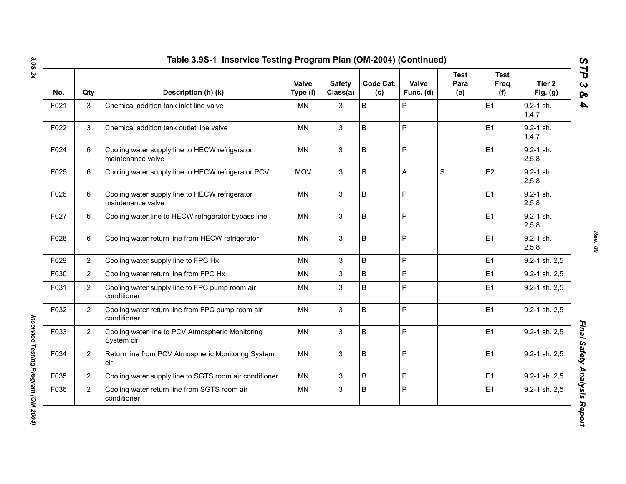| No.  | Qty            | Description (h) (k)                                                 | <b>Valve</b><br>Type (I) | <b>Safety</b><br>Class(a) | Code Cat.<br>(c) | Valve<br>Func. (d) | <b>Test</b><br>Para<br>(e) | <b>Test</b><br>Freq<br>(f) | Tier <sub>2</sub><br>Fig. $(g)$ |
|------|----------------|---------------------------------------------------------------------|--------------------------|---------------------------|------------------|--------------------|----------------------------|----------------------------|---------------------------------|
| F021 | 3              | Chemical addition tank inlet line valve                             | <b>MN</b>                | 3                         | B                | ${\sf P}$          |                            | E <sub>1</sub>             | 9.2-1 sh.<br>1,4,7              |
| F022 | 3              | Chemical addition tank outlet line valve                            | MN                       | 3                         | B                | $\mathsf{P}$       |                            | E1                         | $9.2 - 1$ sh.<br>1,4,7          |
| F024 | 6              | Cooling water supply line to HECW refrigerator<br>maintenance valve | <b>MN</b>                | $\mathbf{3}$              | B                | P                  |                            | E <sub>1</sub>             | $9.2 - 1$ sh.<br>2,5,8          |
| F025 | 6              | Cooling water supply line to HECW refrigerator PCV                  | <b>MOV</b>               | 3                         | B                | A                  | S                          | E <sub>2</sub>             | $9.2 - 1$ sh.<br>2,5,8          |
| F026 | 6              | Cooling water supply line to HECW refrigerator<br>maintenance valve | <b>MN</b>                | $\mathbf{3}$              | B                | P                  |                            | E <sub>1</sub>             | $9.2 - 1$ sh.<br>2,5,8          |
| F027 | 6              | Cooling water line to HECW refrigerator bypass line                 | <b>MN</b>                | 3                         | B                | P                  |                            | E1                         | 9.2-1 sh.<br>2,5,8              |
| F028 | 6              | Cooling water return line from HECW refrigerator                    | <b>MN</b>                | 3                         | B                | $\mathsf{P}$       |                            | E1                         | $9.2 - 1$ sh.<br>2,5,8          |
| F029 | $\overline{2}$ | Cooling water supply line to FPC Hx                                 | <b>MN</b>                | 3                         | B                | $\mathsf{P}$       |                            | E1                         | 9.2-1 sh. 2,5                   |
| F030 | $\overline{2}$ | Cooling water return line from FPC Hx                               | MN                       | 3                         | B                | $\overline{P}$     |                            | E1                         | 9.2-1 sh. 2,5                   |
| F031 | $\overline{2}$ | Cooling water supply line to FPC pump room air<br>conditioner       | ΜN                       | $\mathbf{3}$              | B                | P                  |                            | E1                         | 9.2-1 sh. 2,5                   |
| F032 | $\overline{2}$ | Cooling water return line from FPC pump room air<br>conditioner     | <b>MN</b>                | 3                         | B                | $\mathsf{P}$       |                            | E1                         | 9.2-1 sh. 2,5                   |
| F033 | $\overline{2}$ | Cooling water line to PCV Atmospheric Monitoring<br>System clr      | <b>MN</b>                | 3                         | B                | $\mathsf{P}$       |                            | E1                         | 9.2-1 sh. 2,5                   |
| F034 | $\overline{2}$ | Return line from PCV Atmospheric Monitoring System<br>clr           | <b>MN</b>                | 3                         | B                | P                  |                            | E1                         | 9.2-1 sh. 2,5                   |
| F035 | $\overline{2}$ | Cooling water supply line to SGTS room air conditioner              | <b>MN</b>                | 3                         | B                | P                  |                            | E1                         | 9.2-1 sh. 2,5                   |
| F036 | $\overline{2}$ | Cooling water return line from SGTS room air<br>conditioner         | MN                       | 3                         | B                | P                  |                            | E <sub>1</sub>             | 9.2-1 sh. 2,5                   |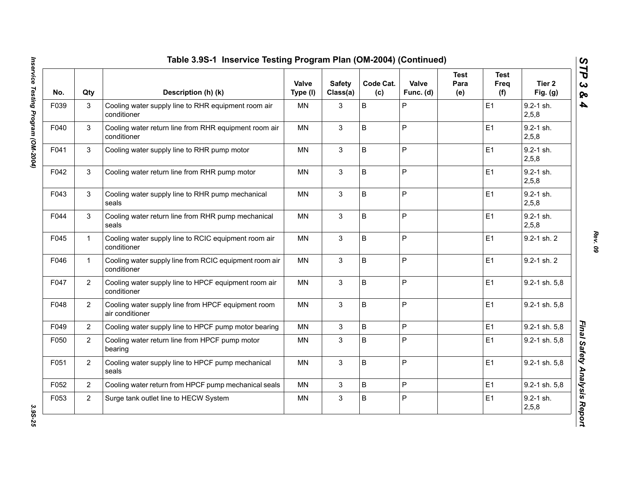| No.  | Qty            | Description (h) (k)                                                   | Valve<br>Type (I) | <b>Safety</b><br>Class(a) | Code Cat.<br>(c) | Valve<br>Func. (d) | Test<br>Para<br>(e) | Test<br>Freq<br>(f) | Tier 2<br>Fig. $(g)$   |
|------|----------------|-----------------------------------------------------------------------|-------------------|---------------------------|------------------|--------------------|---------------------|---------------------|------------------------|
| F039 | 3              | Cooling water supply line to RHR equipment room air<br>conditioner    | <b>MN</b>         | 3                         | B                | P                  |                     | E <sub>1</sub>      | $9.2 - 1$ sh.<br>2,5,8 |
| F040 | 3              | Cooling water return line from RHR equipment room air<br>conditioner  | <b>MN</b>         | 3                         | B                | $\mathsf{P}$       |                     | E1                  | $9.2 - 1$ sh.<br>2,5,8 |
| F041 | 3              | Cooling water supply line to RHR pump motor                           | <b>MN</b>         | 3                         | B                | $\overline{P}$     |                     | E <sub>1</sub>      | 9.2-1 sh.<br>2,5,8     |
| F042 | 3              | Cooling water return line from RHR pump motor                         | MN                | $\mathbf{3}$              | B                | $\sf P$            |                     | E1                  | $9.2 - 1$ sh.<br>2,5,8 |
| F043 | 3              | Cooling water supply line to RHR pump mechanical<br>seals             | MN                | 3                         | B                | $\mathsf P$        |                     | E1                  | $9.2 - 1$ sh.<br>2,5,8 |
| F044 | 3              | Cooling water return line from RHR pump mechanical<br>seals           | <b>MN</b>         | 3                         | B                | $\mathsf P$        |                     | E1                  | $9.2 - 1$ sh.<br>2,5,8 |
| F045 | $\mathbf{1}$   | Cooling water supply line to RCIC equipment room air<br>conditioner   | <b>MN</b>         | 3                         | B                | $\overline{P}$     |                     | E1                  | 9.2-1 sh. 2            |
| F046 | $\mathbf{1}$   | Cooling water supply line from RCIC equipment room air<br>conditioner | <b>MN</b>         | 3                         | B                | $\mathsf{P}$       |                     | E1                  | 9.2-1 sh. 2            |
| F047 | $\overline{2}$ | Cooling water supply line to HPCF equipment room air<br>conditioner   | MN                | 3                         | B                | $\mathsf{P}$       |                     | E1                  | 9.2-1 sh. 5,8          |
| F048 | $\overline{2}$ | Cooling water supply line from HPCF equipment room<br>air conditioner | <b>MN</b>         | 3                         | B                | P                  |                     | E1                  | 9.2-1 sh. 5,8          |
| F049 | $\overline{2}$ | Cooling water supply line to HPCF pump motor bearing                  | <b>MN</b>         | 3                         | B                | P                  |                     | E1                  | 9.2-1 sh. 5,8          |
| F050 | $\overline{2}$ | Cooling water return line from HPCF pump motor<br>bearing             | <b>MN</b>         | 3                         | B                | $\mathsf P$        |                     | E1                  | 9.2-1 sh. 5,8          |
| F051 | $\overline{2}$ | Cooling water supply line to HPCF pump mechanical<br>seals            | <b>MN</b>         | 3                         | B                | $\mathsf P$        |                     | E1                  | 9.2-1 sh. 5,8          |
| F052 | $\overline{2}$ | Cooling water return from HPCF pump mechanical seals                  | MN                | 3                         | B                | $\mathsf P$        |                     | E <sub>1</sub>      | 9.2-1 sh. 5,8          |
| F053 | $\overline{2}$ | Surge tank outlet line to HECW System                                 | MN                | 3                         | B                | $\mathsf{P}$       |                     | E1                  | $9.2 - 1$ sh.<br>2,5,8 |

*Rev. 09*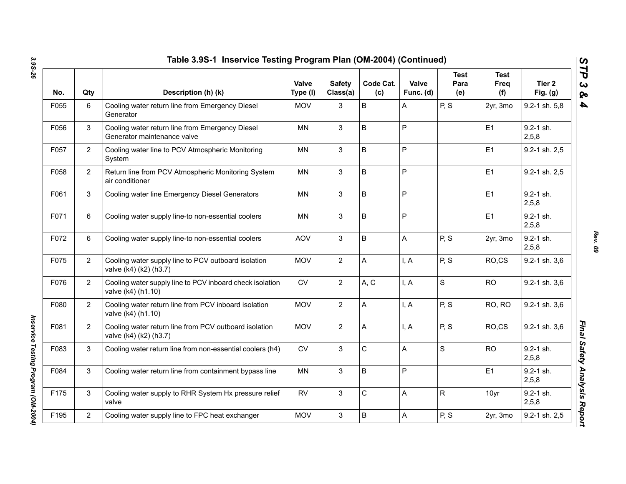| No.  | Qty            | Description (h) (k)                                                             | Valve<br>Type (I) | <b>Safety</b><br>Class(a) | Code Cat.<br>(c) | Valve<br>Func. (d) | <b>Test</b><br>Para<br>(e) | <b>Test</b><br>Freq<br>(f) | Tier 2<br>Fig. $(g)$   |
|------|----------------|---------------------------------------------------------------------------------|-------------------|---------------------------|------------------|--------------------|----------------------------|----------------------------|------------------------|
| F055 | 6              | Cooling water return line from Emergency Diesel<br>Generator                    | <b>MOV</b>        | 3                         | $\sf B$          | Α                  | P, S                       | 2yr, 3mo                   | 9.2-1 sh. 5,8          |
| F056 | 3              | Cooling water return line from Emergency Diesel<br>Generator maintenance valve  | MN                | 3                         | B                | Ρ                  |                            | E1                         | $9.2 - 1$ sh.<br>2,5,8 |
| F057 | $\overline{2}$ | Cooling water line to PCV Atmospheric Monitoring<br>System                      | <b>MN</b>         | 3                         | $\sf B$          | P                  |                            | E1                         | 9.2-1 sh. 2,5          |
| F058 | $\overline{2}$ | Return line from PCV Atmospheric Monitoring System<br>air conditioner           | MN                | 3                         | $\sf B$          | P                  |                            | E1                         | 9.2-1 sh. 2,5          |
| F061 | 3              | Cooling water line Emergency Diesel Generators                                  | MN                | 3                         | $\sf B$          | P                  |                            | E1                         | $9.2 - 1$ sh.<br>2,5,8 |
| F071 | 6              | Cooling water supply line-to non-essential coolers                              | MN                | 3                         | $\sf B$          | Ρ                  |                            | E1                         | $9.2 - 1$ sh.<br>2,5,8 |
| F072 | 6              | Cooling water supply line-to non-essential coolers                              | <b>AOV</b>        | 3                         | B                | A                  | P, S                       | 2yr, 3mo                   | $9.2 - 1$ sh.<br>2,5,8 |
| F075 | $\overline{2}$ | Cooling water supply line to PCV outboard isolation<br>valve (k4) (k2) (h3.7)   | <b>MOV</b>        | $\overline{2}$            | A                | I, A               | P, S                       | RO,CS                      | 9.2-1 sh. 3,6          |
| F076 | $\overline{2}$ | Cooling water supply line to PCV inboard check isolation<br>valve (k4) (h1.10)  | <b>CV</b>         | $\overline{2}$            | A, C             | I, A               | $\mathsf{s}$               | <b>RO</b>                  | 9.2-1 sh. 3,6          |
| F080 | $\overline{2}$ | Cooling water return line from PCV inboard isolation<br>valve (k4) (h1.10)      | <b>MOV</b>        | $\overline{2}$            | A                | I, A               | P, S                       | RO, RO                     | 9.2-1 sh. 3,6          |
| F081 | $\overline{2}$ | Cooling water return line from PCV outboard isolation<br>valve (k4) (k2) (h3.7) | <b>MOV</b>        | $\overline{2}$            | A                | I, A               | P, S                       | RO,CS                      | 9.2-1 sh. 3,6          |
| F083 | 3              | Cooling water return line from non-essential coolers (h4)                       | <b>CV</b>         | 3                         | C                | Α                  | $\mathsf{s}$               | <b>RO</b>                  | $9.2 - 1$ sh.<br>2,5,8 |
| F084 | 3              | Cooling water return line from containment bypass line                          | <b>MN</b>         | 3                         | B                | P                  |                            | E1                         | $9.2 - 1$ sh.<br>2,5,8 |
| F175 | 3              | Cooling water supply to RHR System Hx pressure relief<br>valve                  | <b>RV</b>         | 3                         | C                | Α                  | $\mathsf{R}$               | 10yr                       | 9.2-1 sh.<br>2,5,8     |
| F195 | $\overline{2}$ | Cooling water supply line to FPC heat exchanger                                 | <b>MOV</b>        | 3                         | B                | A                  | P, S                       | 2yr, 3mo                   | 9.2-1 sh. 2,5          |

*Rev. 09*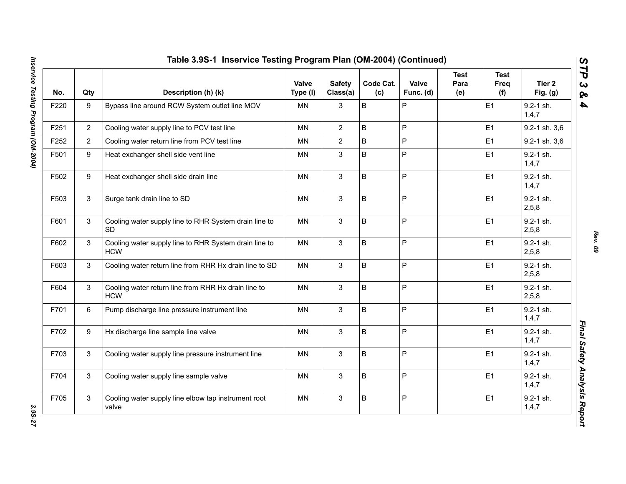| No.  | Qty            | Description (h) (k)                                                 | Valve<br>Type (I) | <b>Safety</b><br>Class(a) | Code Cat.<br>(c) | Valve<br>Func. (d) | <b>Test</b><br>Para<br>(e) | <b>Test</b><br>Freq<br>(f) | Tier 2<br>Fig. $(g)$   |
|------|----------------|---------------------------------------------------------------------|-------------------|---------------------------|------------------|--------------------|----------------------------|----------------------------|------------------------|
| F220 | 9              | Bypass line around RCW System outlet line MOV                       | MN                | 3                         | $\sf B$          | P                  |                            | E1                         | 9.2-1 sh.<br>1,4,7     |
| F251 | $\overline{2}$ | Cooling water supply line to PCV test line                          | <b>MN</b>         | $\overline{2}$            | $\sf B$          | $\overline{P}$     |                            | E1                         | 9.2-1 sh. 3,6          |
| F252 | $\overline{2}$ | Cooling water return line from PCV test line                        | <b>MN</b>         | $\overline{2}$            | B                | $\mathsf{P}$       |                            | E1                         | 9.2-1 sh. 3,6          |
| F501 | 9              | Heat exchanger shell side vent line                                 | MN                | 3                         | $\sf B$          | $\overline{P}$     |                            | E1                         | $9.2 - 1$ sh.<br>1,4,7 |
| F502 | 9              | Heat exchanger shell side drain line                                | <b>MN</b>         | 3                         | $\sf B$          | P                  |                            | E1                         | 9.2-1 sh.<br>1,4,7     |
| F503 | $\mathbf{3}$   | Surge tank drain line to SD                                         | <b>MN</b>         | $\mathbf{3}$              | $\sf B$          | $\overline{P}$     |                            | E1                         | 9.2-1 sh.<br>2,5,8     |
| F601 | 3              | Cooling water supply line to RHR System drain line to<br><b>SD</b>  | <b>MN</b>         | 3                         | B                | $\mathsf{P}$       |                            | E1                         | 9.2-1 sh.<br>2,5,8     |
| F602 | 3              | Cooling water supply line to RHR System drain line to<br><b>HCW</b> | <b>MN</b>         | $\mathbf{3}$              | $\mathsf B$      | $\mathsf{P}$       |                            | E1                         | $9.2 - 1$ sh.<br>2,5,8 |
| F603 | 3              | Cooling water return line from RHR Hx drain line to SD              | <b>MN</b>         | 3                         | B                | $\mathsf{P}$       |                            | E1                         | 9.2-1 sh.<br>2,5,8     |
| F604 | 3              | Cooling water return line from RHR Hx drain line to<br><b>HCW</b>   | <b>MN</b>         | $\mathbf{3}$              | $\sf B$          | $\mathsf{P}$       |                            | E1                         | 9.2-1 sh.<br>2,5,8     |
| F701 | 6              | Pump discharge line pressure instrument line                        | <b>MN</b>         | 3                         | $\sf B$          | $\overline{P}$     |                            | E1                         | $9.2 - 1$ sh.<br>1,4,7 |
| F702 | 9              | Hx discharge line sample line valve                                 | <b>MN</b>         | $\mathbf{3}$              | $\sf B$          | P                  |                            | E1                         | $9.2 - 1$ sh.<br>1,4,7 |
| F703 | 3              | Cooling water supply line pressure instrument line                  | <b>MN</b>         | 3                         | $\sf B$          | $\overline{P}$     |                            | E1                         | $9.2 - 1$ sh.<br>1,4,7 |
| F704 | 3              | Cooling water supply line sample valve                              | <b>MN</b>         | 3                         | B                | P                  |                            | E1                         | $9.2 - 1$ sh.<br>1,4,7 |
| F705 | 3              | Cooling water supply line elbow tap instrument root<br>valve        | MN                | $\mathbf{3}$              | B                | P                  |                            | E1                         | 9.2-1 sh.<br>1,4,7     |

*Rev. 09*

3.95-27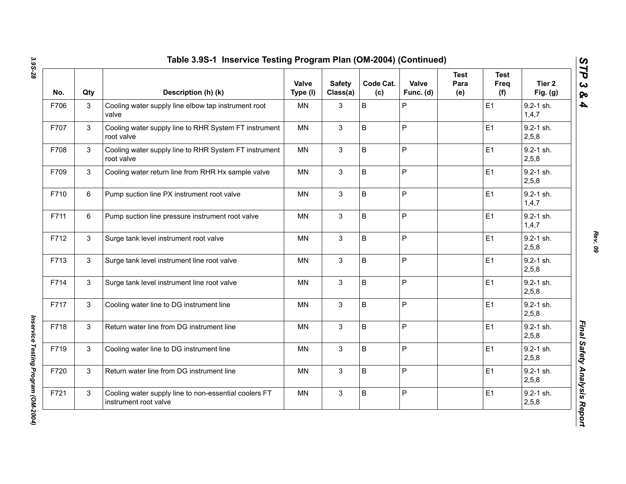| No.  | Qty | Description (h) (k)                                                            | Valve<br>Type (I) | <b>Safety</b><br>Class(a) | Code Cat.<br>(c) | Valve<br>Func. (d) | <b>Test</b><br>Para<br>(e) | <b>Test</b><br>Freq<br>(f) | Tier <sub>2</sub><br>Fig. $(g)$ |
|------|-----|--------------------------------------------------------------------------------|-------------------|---------------------------|------------------|--------------------|----------------------------|----------------------------|---------------------------------|
| F706 | 3   | Cooling water supply line elbow tap instrument root<br>valve                   | MN                | 3                         | B                | P                  |                            | E <sub>1</sub>             | $9.2 - 1$ sh.<br>1,4,7          |
| F707 | 3   | Cooling water supply line to RHR System FT instrument<br>root valve            | MN                | 3                         | B                | P                  |                            | E1                         | 9.2-1 sh.<br>2,5,8              |
| F708 | 3   | Cooling water supply line to RHR System FT instrument<br>root valve            | MN                | 3                         | B                | P                  |                            | E <sub>1</sub>             | $9.2 - 1$ sh.<br>2,5,8          |
| F709 | 3   | Cooling water return line from RHR Hx sample valve                             | <b>MN</b>         | 3                         | B                | P                  |                            | E1                         | $9.2 - 1$ sh.<br>2,5,8          |
| F710 | 6   | Pump suction line PX instrument root valve                                     | <b>MN</b>         | 3                         | B                | P                  |                            | E1                         | $9.2 - 1$ sh.<br>1,4,7          |
| F711 | 6   | Pump suction line pressure instrument root valve                               | MN                | 3                         | B                | P                  |                            | E1                         | $9.2 - 1$ sh.<br>1,4,7          |
| F712 | 3   | Surge tank level instrument root valve                                         | <b>MN</b>         | 3                         | B                | P                  |                            | E1                         | 9.2-1 sh.<br>2,5,8              |
| F713 | 3   | Surge tank level instrument line root valve                                    | <b>MN</b>         | 3                         | B                | P                  |                            | E1                         | $9.2 - 1$ sh.<br>2,5,8          |
| F714 | 3   | Surge tank level instrument line root valve                                    | <b>MN</b>         | 3                         | B                | P                  |                            | E1                         | $9.2 - 1$ sh.<br>2,5,8          |
| F717 | 3   | Cooling water line to DG instrument line                                       | <b>MN</b>         | 3                         | B                | P                  |                            | E1                         | $9.2 - 1$ sh.<br>2,5,8          |
| F718 | 3   | Return water line from DG instrument line                                      | <b>MN</b>         | 3                         | B                | P                  |                            | E1                         | 9.2-1 sh.<br>2,5,8              |
| F719 | 3   | Cooling water line to DG instrument line                                       | <b>MN</b>         | 3                         | B                | P                  |                            | E1                         | $9.2 - 1$ sh.<br>2,5,8          |
| F720 | 3   | Return water line from DG instrument line                                      | <b>MN</b>         | 3                         | B                | P                  |                            | E1                         | $9.2 - 1$ sh.<br>2, 5, 8        |
| F721 | 3   | Cooling water supply line to non-essential coolers FT<br>instrument root valve | <b>MN</b>         | 3                         | B                | P                  |                            | E <sub>1</sub>             | $9.2 - 1$ sh.<br>2,5,8          |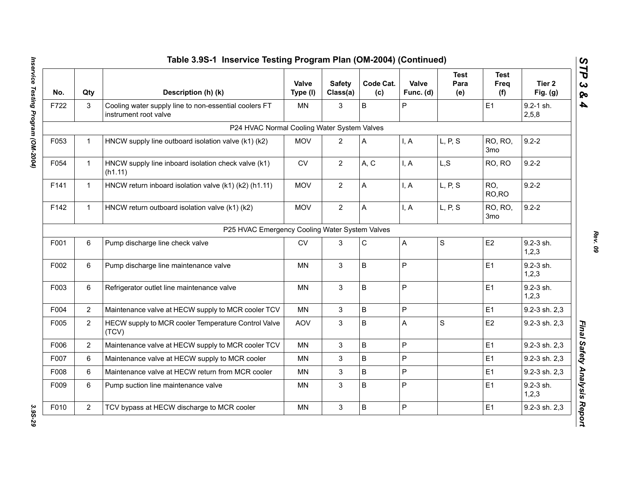| No.  | Qty            | Description (h) (k)                                                            | Valve<br>Type (I) | <b>Safety</b><br>Class(a) | Code Cat.<br>(c) | Valve<br>Func. (d) | <b>Test</b><br>Para<br>(e) | <b>Test</b><br>Freq<br>(f) | Tier 2<br>Fig. $(g)$   |
|------|----------------|--------------------------------------------------------------------------------|-------------------|---------------------------|------------------|--------------------|----------------------------|----------------------------|------------------------|
| F722 | 3              | Cooling water supply line to non-essential coolers FT<br>instrument root valve | <b>MN</b>         | 3                         | B                | P                  |                            | E <sub>1</sub>             | $9.2 - 1$ sh.<br>2,5,8 |
|      |                | P24 HVAC Normal Cooling Water System Valves                                    |                   |                           |                  |                    |                            |                            |                        |
| F053 | $\mathbf 1$    | HNCW supply line outboard isolation valve (k1) (k2)                            | <b>MOV</b>        | $\overline{2}$            | A                | I, A               | L, P, S                    | RO, RO,<br>3 <sub>mo</sub> | $9.2 - 2$              |
| F054 | $\mathbf{1}$   | HNCW supply line inboard isolation check valve (k1)<br>(h1.11)                 | <b>CV</b>         | $\overline{2}$            | A, C             | I, A               | L, S                       | RO, RO                     | $9.2 - 2$              |
| F141 | $\mathbf{1}$   | HNCW return inboard isolation valve (k1) (k2) (h1.11)                          | <b>MOV</b>        | $\overline{2}$            | A                | I, A               | L, P, S                    | RO,<br>RO, RO              | $9.2 - 2$              |
| F142 | $\mathbf{1}$   | HNCW return outboard isolation valve (k1) (k2)                                 | <b>MOV</b>        | $\overline{2}$            | A                | I, A               | L, P, S                    | RO, RO,<br>3 <sub>mo</sub> | $9.2 - 2$              |
|      |                | P25 HVAC Emergency Cooling Water System Valves                                 |                   |                           |                  |                    |                            |                            |                        |
| F001 | 6              | Pump discharge line check valve                                                | <b>CV</b>         | 3                         | C                | A                  | $\mathbf S$                | E <sub>2</sub>             | 9.2-3 sh.<br>1,2,3     |
| F002 | 6              | Pump discharge line maintenance valve                                          | MN                | $\mathfrak{S}$            | $\sf B$          | P                  |                            | E <sub>1</sub>             | 9.2-3 sh.<br>1,2,3     |
| F003 | 6              | Refrigerator outlet line maintenance valve                                     | <b>MN</b>         | 3                         | $\sf B$          | P                  |                            | E1                         | 9.2-3 sh.<br>1,2,3     |
| F004 | $\overline{2}$ | Maintenance valve at HECW supply to MCR cooler TCV                             | MN                | 3                         | $\sf B$          | P                  |                            | E <sub>1</sub>             | 9.2-3 sh. 2,3          |
| F005 | $\overline{2}$ | HECW supply to MCR cooler Temperature Control Valve<br>(TCV)                   | <b>AOV</b>        | $\mathfrak{S}$            | $\sf B$          | A                  | $\mathsf S$                | E <sub>2</sub>             | 9.2-3 sh. 2,3          |
| F006 | $\overline{2}$ | Maintenance valve at HECW supply to MCR cooler TCV                             | <b>MN</b>         | 3                         | $\sf B$          | P                  |                            | E1                         | 9.2-3 sh. 2,3          |
| F007 | 6              | Maintenance valve at HECW supply to MCR cooler                                 | <b>MN</b>         | 3                         | $\sf B$          | P                  |                            | E1                         | 9.2-3 sh. 2,3          |
| F008 | 6              | Maintenance valve at HECW return from MCR cooler                               | <b>MN</b>         | 3                         | $\sf B$          | P                  |                            | E1                         | 9.2-3 sh. 2,3          |
| F009 | 6              | Pump suction line maintenance valve                                            | ΜN                | 3                         | B                | P                  |                            | E1                         | 9.2-3 sh.<br>1,2,3     |
| F010 | $\overline{2}$ | TCV bypass at HECW discharge to MCR cooler                                     | <b>MN</b>         | $\mathfrak{S}$            | $\sf B$          | P                  |                            | E1                         | 9.2-3 sh. 2,3          |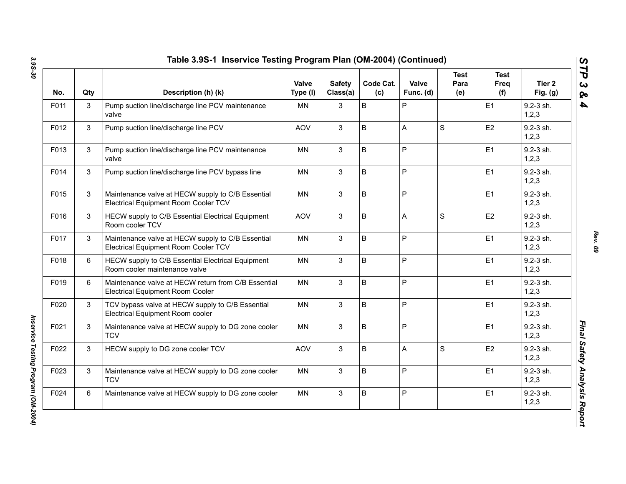| No.  | Qty | Description (h) (k)                                                                            | Valve<br>Type (I) | <b>Safety</b><br>Class(a) | Code Cat.<br>(c) | Valve<br>Func. (d) | <b>Test</b><br>Para<br>(e) | <b>Test</b><br>Freq<br>(f) | Tier 2<br>Fig. $(g)$     |
|------|-----|------------------------------------------------------------------------------------------------|-------------------|---------------------------|------------------|--------------------|----------------------------|----------------------------|--------------------------|
| F011 | 3   | Pump suction line/discharge line PCV maintenance<br>valve                                      | ΜN                | 3                         | B                | P                  |                            | E <sub>1</sub>             | 9.2-3 sh.<br>1, 2, 3     |
| F012 | 3   | Pump suction line/discharge line PCV                                                           | <b>AOV</b>        | 3                         | B                | A                  | S                          | E <sub>2</sub>             | 9.2-3 sh.<br>1,2,3       |
| F013 | 3   | Pump suction line/discharge line PCV maintenance<br>valve                                      | MN                | 3                         | B                | P                  |                            | E <sub>1</sub>             | 9.2-3 sh.<br>1, 2, 3     |
| F014 | 3   | Pump suction line/discharge line PCV bypass line                                               | ΜN                | 3                         | B                | P                  |                            | E1                         | 9.2-3 sh.<br>1, 2, 3     |
| F015 | 3   | Maintenance valve at HECW supply to C/B Essential<br>Electrical Equipment Room Cooler TCV      | MN                | 3                         | B                | P                  |                            | E1                         | 9.2-3 sh.<br>1, 2, 3     |
| F016 | 3   | HECW supply to C/B Essential Electrical Equipment<br>Room cooler TCV                           | <b>AOV</b>        | 3                         | B                | A                  | S                          | E2                         | 9.2-3 sh.<br>1, 2, 3     |
| F017 | 3   | Maintenance valve at HECW supply to C/B Essential<br>Electrical Equipment Room Cooler TCV      | <b>MN</b>         | 3                         | B                | P                  |                            | E <sub>1</sub>             | $9.2 - 3$ sh.<br>1,2,3   |
| F018 | 6   | HECW supply to C/B Essential Electrical Equipment<br>Room cooler maintenance valve             | <b>MN</b>         | 3                         | B                | P                  |                            | E <sub>1</sub>             | $9.2 - 3$ sh.<br>1, 2, 3 |
| F019 | 6   | Maintenance valve at HECW return from C/B Essential<br><b>Electrical Equipment Room Cooler</b> | <b>MN</b>         | 3                         | B                | P                  |                            | E1                         | $9.2 - 3$ sh.<br>1,2,3   |
| F020 | 3   | TCV bypass valve at HECW supply to C/B Essential<br>Electrical Equipment Room cooler           | <b>MN</b>         | 3                         | B                | P                  |                            | E1                         | $9.2 - 3$ sh.<br>1,2,3   |
| F021 | 3   | Maintenance valve at HECW supply to DG zone cooler<br><b>TCV</b>                               | <b>MN</b>         | 3                         | B                | P                  |                            | E1                         | $9.2 - 3$ sh.<br>1, 2, 3 |
| F022 | 3   | HECW supply to DG zone cooler TCV                                                              | <b>AOV</b>        | 3                         | B                | A                  | $\mathbf S$                | E <sub>2</sub>             | 9.2-3 sh.<br>1, 2, 3     |
| F023 | 3   | Maintenance valve at HECW supply to DG zone cooler<br><b>TCV</b>                               | <b>MN</b>         | 3                         | B                | P                  |                            | E1                         | $9.2 - 3$ sh.<br>1,2,3   |
| F024 | 6   | Maintenance valve at HECW supply to DG zone cooler                                             | MN                | 3                         | B                | P                  |                            | E <sub>1</sub>             | 9.2-3 sh.<br>1, 2, 3     |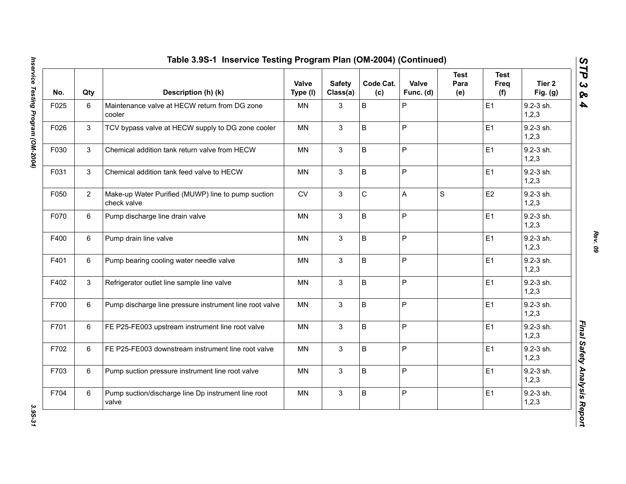| No.  | Qty            | Description (h) (k)                                               | Valve<br>Type (I) | <b>Safety</b><br>Class(a) | Code Cat.<br>(c) | Valve<br>Func. (d) | <b>Test</b><br>Para<br>(e) | <b>Test</b><br>Freq<br>(f) | Tier 2<br>Fig. (g)   |
|------|----------------|-------------------------------------------------------------------|-------------------|---------------------------|------------------|--------------------|----------------------------|----------------------------|----------------------|
| F025 | $\,6\,$        | Maintenance valve at HECW return from DG zone<br>cooler           | <b>MN</b>         | 3                         | B                | $\sf P$            |                            | E1                         | 9.2-3 sh.<br>1, 2, 3 |
| F026 | 3              | TCV bypass valve at HECW supply to DG zone cooler                 | <b>MN</b>         | $\mathbf{3}$              | B                | $\mathsf P$        |                            | E <sub>1</sub>             | 9.2-3 sh.<br>1, 2, 3 |
| F030 | 3              | Chemical addition tank return valve from HECW                     | <b>MN</b>         | 3                         | B                | $\mathsf{P}$       |                            | E1                         | 9.2-3 sh.<br>1, 2, 3 |
| F031 | 3              | Chemical addition tank feed valve to HECW                         | <b>MN</b>         | 3                         | B                | $\mathsf P$        |                            | E1                         | 9.2-3 sh.<br>1, 2, 3 |
| F050 | $\overline{2}$ | Make-up Water Purified (MUWP) line to pump suction<br>check valve | CV                | 3                         | $\mathsf C$      | A                  | S                          | E <sub>2</sub>             | 9.2-3 sh.<br>1,2,3   |
| F070 | 6              | Pump discharge line drain valve                                   | <b>MN</b>         | 3                         | B                | $\mathsf{P}$       |                            | E1                         | 9.2-3 sh.<br>1, 2, 3 |
| F400 | 6              | Pump drain line valve                                             | MN                | 3                         | B                | $\sf P$            |                            | E1                         | 9.2-3 sh.<br>1,2,3   |
| F401 | 6              | Pump bearing cooling water needle valve                           | MN                | 3                         | B                | $\sf P$            |                            | E1                         | 9.2-3 sh.<br>1, 2, 3 |
| F402 | 3              | Refrigerator outlet line sample line valve                        | <b>MN</b>         | 3                         | B                | $\mathsf P$        |                            | E <sub>1</sub>             | 9.2-3 sh.<br>1,2,3   |
| F700 | 6              | Pump discharge line pressure instrument line root valve           | MN                | 3                         | B                | $\mathsf P$        |                            | E1                         | 9.2-3 sh.<br>1, 2, 3 |
| F701 | 6              | FE P25-FE003 upstream instrument line root valve                  | <b>MN</b>         | 3                         | B                | $\mathsf P$        |                            | E1                         | 9.2-3 sh.<br>1,2,3   |
| F702 | 6              | FE P25-FE003 downstream instrument line root valve                | <b>MN</b>         | 3                         | B                | $\mathsf P$        |                            | E <sub>1</sub>             | 9.2-3 sh.<br>1, 2, 3 |
| F703 | 6              | Pump suction pressure instrument line root valve                  | <b>MN</b>         | $\mathbf{3}$              | B                | $\sf P$            |                            | E1                         | 9.2-3 sh.<br>1, 2, 3 |
| F704 | 6              | Pump suction/discharge line Dp instrument line root<br>valve      | <b>MN</b>         | 3                         | B                | $\sf P$            |                            | E1                         | 9.2-3 sh.<br>1, 2, 3 |

*Rev. 09*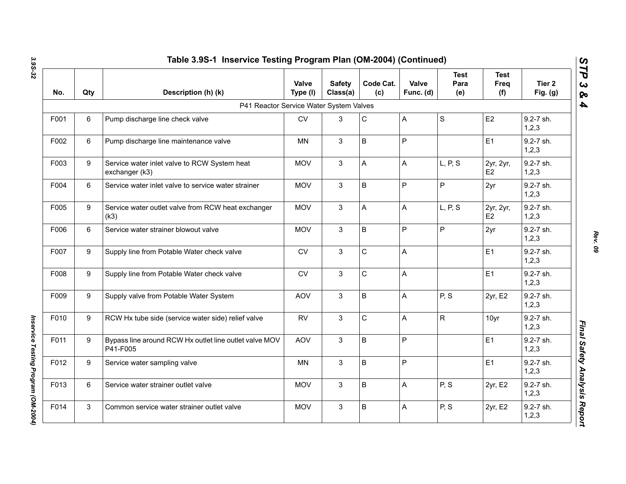| No.  | Qty | Description (h) (k)                                                | Valve<br>Type (I) | <b>Safety</b><br>Class(a) | Code Cat.<br>(c) | Valve<br>Func. (d)        | <b>Test</b><br>Para<br>(e) | <b>Test</b><br>Freq<br>(f)  | Tier <sub>2</sub><br>Fig. $(g)$ |
|------|-----|--------------------------------------------------------------------|-------------------|---------------------------|------------------|---------------------------|----------------------------|-----------------------------|---------------------------------|
|      |     | P41 Reactor Service Water System Valves                            |                   |                           |                  |                           |                            |                             |                                 |
| F001 | 6   | Pump discharge line check valve                                    | <b>CV</b>         | 3                         | C                | Α                         | S                          | E2                          | 9.2-7 sh.<br>1, 2, 3            |
| F002 | 6   | Pump discharge line maintenance valve                              | <b>MN</b>         | 3                         | B                | P                         |                            | E1                          | 9.2-7 sh.<br>1,2,3              |
| F003 | 9   | Service water inlet valve to RCW System heat<br>exchanger (k3)     | <b>MOV</b>        | 3                         | A                | Α                         | L, P, S                    | 2yr, 2yr,<br>E <sub>2</sub> | 9.2-7 sh.<br>1, 2, 3            |
| F004 | 6   | Service water inlet valve to service water strainer                | <b>MOV</b>        | 3                         | B                | P                         | P                          | 2yr                         | 9.2-7 sh.<br>1, 2, 3            |
| F005 | 9   | Service water outlet valve from RCW heat exchanger<br>(k3)         | <b>MOV</b>        | 3                         | Α                | A                         | L, P, S                    | 2yr, 2yr,<br>E2             | 9.2-7 sh.<br>1, 2, 3            |
| F006 | 6   | Service water strainer blowout valve                               | <b>MOV</b>        | $\mathbf{3}$              | B                | P                         | $\overline{P}$             | 2yr                         | 9.2-7 sh.<br>1, 2, 3            |
| F007 | 9   | Supply line from Potable Water check valve                         | <b>CV</b>         | $\mathbf{3}$              | C                | Α                         |                            | E <sub>1</sub>              | 9.2-7 sh.<br>1, 2, 3            |
| F008 | 9   | Supply line from Potable Water check valve                         | <b>CV</b>         | $\mathbf{3}$              | C                | A                         |                            | E <sub>1</sub>              | 9.2-7 sh.<br>1, 2, 3            |
| F009 | 9   | Supply valve from Potable Water System                             | <b>AOV</b>        | 3                         | B                | $\boldsymbol{\mathsf{A}}$ | P, S                       | 2yr, E2                     | 9.2-7 sh.<br>1,2,3              |
| F010 | 9   | RCW Hx tube side (service water side) relief valve                 | <b>RV</b>         | $\mathbf{3}$              | C.               | A                         | ${\sf R}$                  | 10yr                        | 9.2-7 sh.<br>1, 2, 3            |
| F011 | 9   | Bypass line around RCW Hx outlet line outlet valve MOV<br>P41-F005 | <b>AOV</b>        | 3                         | B                | P                         |                            | E <sub>1</sub>              | 9.2-7 sh.<br>1, 2, 3            |
| F012 | 9   | Service water sampling valve                                       | <b>MN</b>         | 3                         | B                | P                         |                            | E <sub>1</sub>              | 9.2-7 sh.<br>1, 2, 3            |
| F013 | 6   | Service water strainer outlet valve                                | <b>MOV</b>        | 3                         | B                | A                         | P, S                       | 2yr, E2                     | 9.2-7 sh.<br>1,2,3              |
| F014 | 3   | Common service water strainer outlet valve                         | <b>MOV</b>        | 3                         | B                | A                         | P, S                       | 2yr, E2                     | 9.2-7 sh.<br>1, 2, 3            |

*Rev. 09*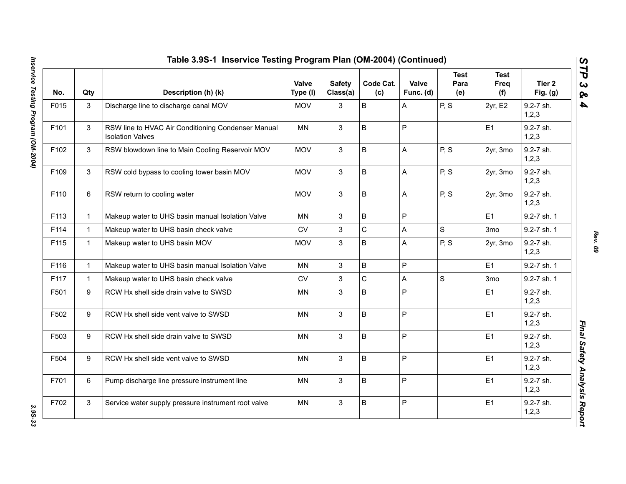| No.  | Qty          | Description (h) (k)                                                           | Valve<br>Type (I) | <b>Safety</b><br>Class(a) | Code Cat.<br>(c) | Valve<br>Func. (d) | <b>Test</b><br>Para<br>(e) | <b>Test</b><br>Freq<br>(f) | Tier 2<br>Fig. (g)   |
|------|--------------|-------------------------------------------------------------------------------|-------------------|---------------------------|------------------|--------------------|----------------------------|----------------------------|----------------------|
| F015 | 3            | Discharge line to discharge canal MOV                                         | <b>MOV</b>        | 3                         | B                | A                  | P, S                       | 2yr, E2                    | 9.2-7 sh.<br>1, 2, 3 |
| F101 | 3            | RSW line to HVAC Air Conditioning Condenser Manual<br><b>Isolation Valves</b> | <b>MN</b>         | $\mathbf{3}$              | B                | $\mathsf P$        |                            | E1                         | 9.2-7 sh.<br>1, 2, 3 |
| F102 | 3            | RSW blowdown line to Main Cooling Reservoir MOV                               | <b>MOV</b>        | 3                         | B                | $\mathsf{A}$       | P, S                       | 2yr, 3mo                   | 9.2-7 sh.<br>1,2,3   |
| F109 | 3            | RSW cold bypass to cooling tower basin MOV                                    | <b>MOV</b>        | 3                         | B                | A                  | P, S                       | 2yr, 3mo                   | 9.2-7 sh.<br>1, 2, 3 |
| F110 | 6            | RSW return to cooling water                                                   | <b>MOV</b>        | $\mathbf{3}$              | B                | A                  | P, S                       | 2yr, 3mo                   | 9.2-7 sh.<br>1,2,3   |
| F113 | $\mathbf{1}$ | Makeup water to UHS basin manual Isolation Valve                              | <b>MN</b>         | 3                         | B                | P                  |                            | E1                         | 9.2-7 sh. 1          |
| F114 | $\mathbf{1}$ | Makeup water to UHS basin check valve                                         | <b>CV</b>         | 3                         | $\mathsf{C}$     | $\mathsf{A}$       | $\mathsf{S}$               | 3 <sub>mo</sub>            | 9.2-7 sh. 1          |
| F115 | $\mathbf{1}$ | Makeup water to UHS basin MOV                                                 | <b>MOV</b>        | 3                         | B                | $\mathsf{A}$       | P, S                       | 2yr, 3mo                   | 9.2-7 sh.<br>1, 2, 3 |
| F116 | $\mathbf{1}$ | Makeup water to UHS basin manual Isolation Valve                              | MN                | 3                         | B                | $\mathsf P$        |                            | E1                         | 9.2-7 sh. 1          |
| F117 | $\mathbf{1}$ | Makeup water to UHS basin check valve                                         | <b>CV</b>         | 3                         | $\mathsf C$      | A                  | $\mathsf S$                | 3 <sub>mo</sub>            | 9.2-7 sh. 1          |
| F501 | 9            | RCW Hx shell side drain valve to SWSD                                         | MN                | 3                         | B                | $\mathsf P$        |                            | E1                         | 9.2-7 sh.<br>1,2,3   |
| F502 | 9            | RCW Hx shell side vent valve to SWSD                                          | <b>MN</b>         | 3                         | B                | $\mathsf P$        |                            | E1                         | 9.2-7 sh.<br>1, 2, 3 |
| F503 | 9            | RCW Hx shell side drain valve to SWSD                                         | <b>MN</b>         | $\mathbf{3}$              | B                | $\mathsf P$        |                            | E1                         | 9.2-7 sh.<br>1,2,3   |
| F504 | 9            | RCW Hx shell side vent valve to SWSD                                          | <b>MN</b>         | 3                         | B                | $\sf P$            |                            | E1                         | 9.2-7 sh.<br>1, 2, 3 |
| F701 | 6            | Pump discharge line pressure instrument line                                  | <b>MN</b>         | 3                         | B                | $\mathsf P$        |                            | E1                         | 9.2-7 sh.<br>1,2,3   |
| F702 | 3            | Service water supply pressure instrument root valve                           | <b>MN</b>         | 3                         | B                | $\mathsf{P}$       |                            | E1                         | 9.2-7 sh.<br>1,2,3   |

*Rev. 09*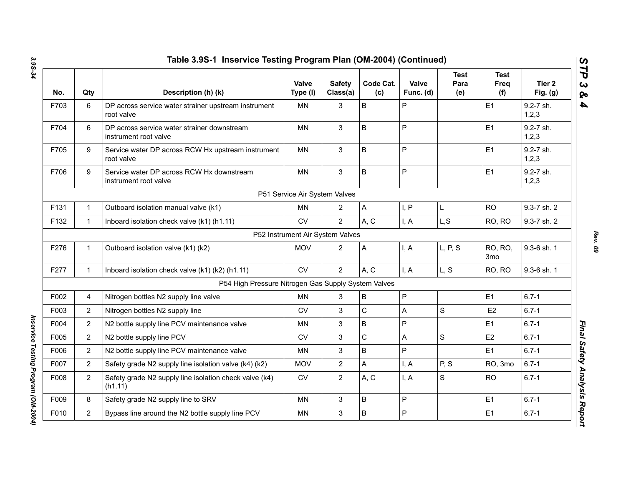| No.  | Qty            | Description (h) (k)                                                  | <b>Valve</b><br>Type (I)         | <b>Safety</b><br>Class(a) | Code Cat.<br>(c) | Valve<br>Func. (d) | <b>Test</b><br>Para<br>(e) | <b>Test</b><br>Freq<br>(f)        | Tier <sub>2</sub><br>Fig. $(g)$ |
|------|----------------|----------------------------------------------------------------------|----------------------------------|---------------------------|------------------|--------------------|----------------------------|-----------------------------------|---------------------------------|
| F703 | 6              | DP across service water strainer upstream instrument<br>root valve   | MN                               | 3                         | $\mathsf B$      | P                  |                            | E <sub>1</sub>                    | 9.2-7 sh.<br>1, 2, 3            |
| F704 | 6              | DP across service water strainer downstream<br>instrument root valve | MN                               | 3                         | B                | P                  |                            | E1                                | 9.2-7 sh.<br>1, 2, 3            |
| F705 | 9              | Service water DP across RCW Hx upstream instrument<br>root valve     | <b>MN</b>                        | 3                         | $\mathsf B$      | P                  |                            | E1                                | 9.2-7 sh.<br>1, 2, 3            |
| F706 | 9              | Service water DP across RCW Hx downstream<br>instrument root valve   | <b>MN</b>                        | 3                         | $\mathsf B$      | P                  |                            | E1                                | 9.2-7 sh.<br>1, 2, 3            |
|      |                |                                                                      | P51 Service Air System Valves    |                           |                  |                    |                            |                                   |                                 |
| F131 | $\mathbf{1}$   | Outboard isolation manual valve (k1)                                 | <b>MN</b>                        | $\overline{2}$            | $\mathsf{A}$     | I, P               | L                          | <b>RO</b>                         | 9.3-7 sh. 2                     |
| F132 | $\mathbf{1}$   | Inboard isolation check valve (k1) (h1.11)                           | <b>CV</b>                        | $\overline{2}$            | A, C             | I, A               | L, S                       | RO, RO                            | 9.3-7 sh. 2                     |
|      |                |                                                                      | P52 Instrument Air System Valves |                           |                  |                    |                            |                                   |                                 |
| F276 | $\mathbf{1}$   | Outboard isolation valve (k1) (k2)                                   | <b>MOV</b>                       | $\overline{2}$            | A                | I, A               | L, P, S                    | <b>RO, RO,</b><br>3 <sub>mo</sub> | 9.3-6 sh. 1                     |
| F277 | $\mathbf 1$    | Inboard isolation check valve (k1) (k2) (h1.11)                      | <b>CV</b>                        | $\overline{2}$            | A, C             | I, A               | L, S                       | RO, RO                            | 9.3-6 sh. 1                     |
|      |                | P54 High Pressure Nitrogen Gas Supply System Valves                  |                                  |                           |                  |                    |                            |                                   |                                 |
| F002 | 4              | Nitrogen bottles N2 supply line valve                                | <b>MN</b>                        | 3                         | $\mathsf B$      | P                  |                            | E1                                | $6.7 - 1$                       |
| F003 | $\overline{2}$ | Nitrogen bottles N2 supply line                                      | CV                               | 3                         | $\mathsf C$      | A                  | $\mathbf S$                | E <sub>2</sub>                    | $6.7 - 1$                       |
| F004 | $\overline{2}$ | N2 bottle supply line PCV maintenance valve                          | MN                               | 3                         | $\sf B$          | P                  |                            | E1                                | $6.7 - 1$                       |
| F005 | $\overline{2}$ | N2 bottle supply line PCV                                            | <b>CV</b>                        | 3                         | $\mathsf C$      | A                  | $\mathbf S$                | E <sub>2</sub>                    | $6.7 - 1$                       |
| F006 | $\overline{2}$ | N2 bottle supply line PCV maintenance valve                          | MN                               | 3                         | $\sf B$          | P                  |                            | E <sub>1</sub>                    | $6.7 - 1$                       |
| F007 | $\overline{2}$ | Safety grade N2 supply line isolation valve (k4) (k2)                | <b>MOV</b>                       | $\overline{2}$            | A                | I, A               | P, S                       | RO, 3mo                           | $6.7 - 1$                       |
| F008 | $\overline{2}$ | Safety grade N2 supply line isolation check valve (k4)<br>(h1.11)    | <b>CV</b>                        | $\overline{2}$            | A, C             | I, A               | S                          | <b>RO</b>                         | $6.7 - 1$                       |
| F009 | 8              | Safety grade N2 supply line to SRV                                   | <b>MN</b>                        | 3                         | B                | $\mathsf{P}$       |                            | E <sub>1</sub>                    | $6.7 - 1$                       |
| F010 | $\overline{2}$ | Bypass line around the N2 bottle supply line PCV                     | <b>MN</b>                        | 3                         | B                | P                  |                            | E <sub>1</sub>                    | $6.7 - 1$                       |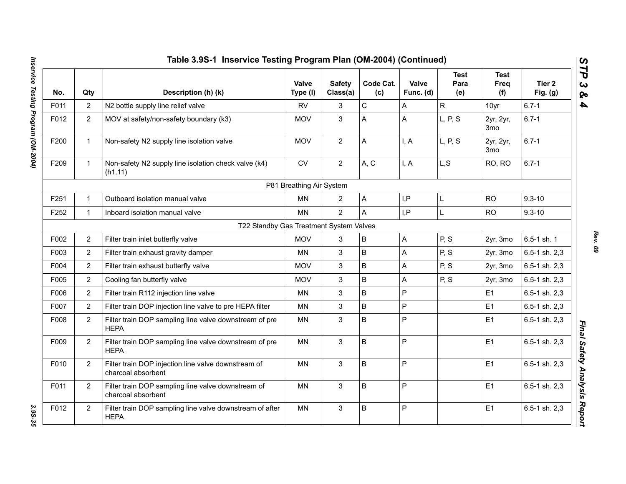|      |                | Table 3.9S-1 Inservice Testing Program Plan (OM-2004) (Continued)         |                          |                           |                  |                           |                            |                            |                      |
|------|----------------|---------------------------------------------------------------------------|--------------------------|---------------------------|------------------|---------------------------|----------------------------|----------------------------|----------------------|
| No.  | Qty            | Description (h) (k)                                                       | Valve<br>Type (I)        | <b>Safety</b><br>Class(a) | Code Cat.<br>(c) | Valve<br>Func. (d)        | <b>Test</b><br>Para<br>(e) | <b>Test</b><br>Freq<br>(f) | Tier 2<br>Fig. $(g)$ |
| F011 | $\overline{2}$ | N2 bottle supply line relief valve                                        | <b>RV</b>                | 3                         | $\mathsf C$      | A                         | $\mathsf{R}$               | 10yr                       | $6.7 - 1$            |
| F012 | $\overline{2}$ | MOV at safety/non-safety boundary (k3)                                    | <b>MOV</b>               | 3                         | A                | A                         | L, P, S                    | 2yr, 2yr,<br>3mo           | $6.7 - 1$            |
| F200 | $\mathbf{1}$   | Non-safety N2 supply line isolation valve                                 | <b>MOV</b>               | $\overline{2}$            | A                | I, A                      | L, P, S                    | 2yr, 2yr,<br>3mo           | $6.7 - 1$            |
| F209 | $\mathbf{1}$   | Non-safety N2 supply line isolation check valve (k4)<br>(h1.11)           | ${\sf CV}$               | $\overline{2}$            | A, C             | I, A                      | L, S                       | RO, RO                     | $6.7 - 1$            |
|      |                |                                                                           | P81 Breathing Air System |                           |                  |                           |                            |                            |                      |
| F251 | $\mathbf{1}$   | Outboard isolation manual valve                                           | MN                       | $\overline{2}$            | A                | I, P                      | L                          | <b>RO</b>                  | $9.3 - 10$           |
| F252 | $\mathbf{1}$   | Inboard isolation manual valve                                            | <b>MN</b>                | $\overline{2}$            | A                | I.P                       | L                          | <b>RO</b>                  | $9.3 - 10$           |
|      |                | T22 Standby Gas Treatment System Valves                                   |                          |                           |                  |                           |                            |                            |                      |
| F002 | $\overline{2}$ | Filter train inlet butterfly valve                                        | <b>MOV</b>               | 3                         | B                | $\mathsf A$               | P, S                       | 2yr, 3mo                   | 6.5-1 sh. 1          |
| F003 | $\overline{2}$ | Filter train exhaust gravity damper                                       | <b>MN</b>                | 3                         | B                | A                         | P, S                       | 2yr, 3mo                   | 6.5-1 sh. 2,3        |
| F004 | $\overline{2}$ | Filter train exhaust butterfly valve                                      | <b>MOV</b>               | 3                         | B                | A                         | P, S                       | 2yr, 3mo                   | 6.5-1 sh. 2,3        |
| F005 | $\overline{2}$ | Cooling fan butterfly valve                                               | <b>MOV</b>               | 3                         | B                | $\boldsymbol{\mathsf{A}}$ | P, S                       | 2yr, 3mo                   | 6.5-1 sh. 2,3        |
| F006 | $\overline{2}$ | Filter train R112 injection line valve                                    | MN                       | 3                         | B                | $\overline{P}$            |                            | E1                         | 6.5-1 sh. 2,3        |
| F007 | $\overline{2}$ | Filter train DOP injection line valve to pre HEPA filter                  | ΜN                       | 3                         | B                | P                         |                            | E1                         | 6.5-1 sh. 2,3        |
| F008 | $\overline{2}$ | Filter train DOP sampling line valve downstream of pre<br><b>HEPA</b>     | <b>MN</b>                | 3                         | B                | $\overline{P}$            |                            | E1                         | 6.5-1 sh. 2,3        |
| F009 | $\overline{2}$ | Filter train DOP sampling line valve downstream of pre<br><b>HEPA</b>     | MN                       | $\mathfrak{S}$            | B                | P                         |                            | E1                         | 6.5-1 sh. 2,3        |
| F010 | $\overline{2}$ | Filter train DOP injection line valve downstream of<br>charcoal absorbent | MN                       | 3                         | B                | P                         |                            | E1                         | 6.5-1 sh. 2,3        |
| F011 | $\overline{2}$ | Filter train DOP sampling line valve downstream of<br>charcoal absorbent  | <b>MN</b>                | 3                         | B                | P                         |                            | E1                         | 6.5-1 sh. 2,3        |
| F012 | $\overline{2}$ | Filter train DOP sampling line valve downstream of after<br><b>HEPA</b>   | <b>MN</b>                | $\mathfrak{S}$            | B                | P                         |                            | E1                         | 6.5-1 sh. 2,3        |
|      |                |                                                                           |                          |                           |                  |                           |                            |                            |                      |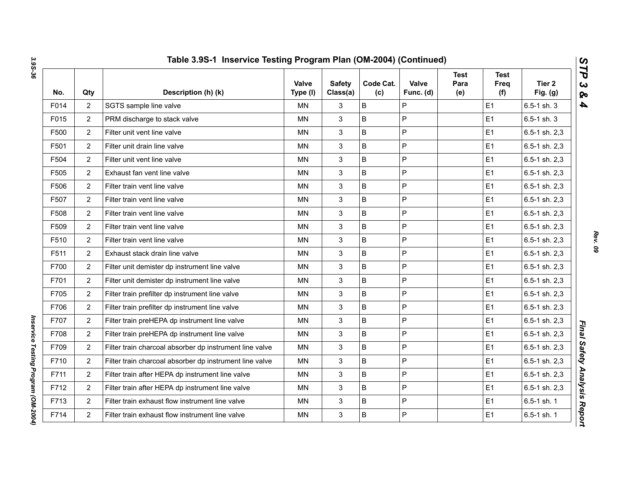| No.  | Qty            | Description (h) (k)                                     | Valve<br>Type (I) | <b>Safety</b><br>Class(a) | Code Cat.<br>(c) | Valve<br>Func. (d) | Test<br>Para<br>(e) | <b>Test</b><br>Freq<br>(f) | Tier <sub>2</sub><br>Fig. $(g)$ |
|------|----------------|---------------------------------------------------------|-------------------|---------------------------|------------------|--------------------|---------------------|----------------------------|---------------------------------|
| F014 | $\overline{2}$ | SGTS sample line valve                                  | MN.               | 3                         | B                | P                  |                     | E1                         | 6.5-1 sh. 3                     |
| F015 | $\overline{2}$ | PRM discharge to stack valve                            | <b>MN</b>         | 3                         | B                | $\mathsf{P}$       |                     | E1                         | $6.5 - 1$ sh. 3                 |
| F500 | $\overline{2}$ | Filter unit vent line valve                             | MN                | 3                         | B                | $\mathsf{P}$       |                     | E <sub>1</sub>             | 6.5-1 sh. 2,3                   |
| F501 | $\overline{2}$ | Filter unit drain line valve                            | MN                | 3                         | B                | $\mathsf{P}$       |                     | E1                         | 6.5-1 sh. 2,3                   |
| F504 | $\overline{2}$ | Filter unit vent line valve                             | ΜN                | 3                         | B                | $\mathsf{P}$       |                     | E <sub>1</sub>             | 6.5-1 sh. 2,3                   |
| F505 | $\overline{2}$ | Exhaust fan vent line valve                             | MN                | 3                         | B                | P                  |                     | E1                         | 6.5-1 sh. 2,3                   |
| F506 | $\overline{2}$ | Filter train vent line valve                            | ΜN                | 3                         | B                | P                  |                     | E <sub>1</sub>             | 6.5-1 sh. 2,3                   |
| F507 | $\overline{2}$ | Filter train vent line valve                            | MN                | 3                         | B                | P                  |                     | E1                         | 6.5-1 sh. 2,3                   |
| F508 | $\overline{2}$ | Filter train vent line valve                            | <b>MN</b>         | 3                         | B                | $\mathsf{P}$       |                     | E1                         | 6.5-1 sh. 2,3                   |
| F509 | $\overline{2}$ | Filter train vent line valve                            | <b>MN</b>         | 3                         | B                | $\mathsf{P}$       |                     | E1                         | 6.5-1 sh. 2,3                   |
| F510 | $\overline{2}$ | Filter train vent line valve                            | <b>MN</b>         | 3                         | B                | P                  |                     | E1                         | 6.5-1 sh. 2,3                   |
| F511 | $\overline{2}$ | Exhaust stack drain line valve                          | MN                | 3                         | B                | $\mathsf{P}$       |                     | E1                         | 6.5-1 sh. 2,3                   |
| F700 | $\overline{2}$ | Filter unit demister dp instrument line valve           | MN                | 3                         | B                | P                  |                     | E1                         | 6.5-1 sh. 2,3                   |
| F701 | $\overline{2}$ | Filter unit demister dp instrument line valve           | MN                | 3                         | B                | $\mathsf{P}$       |                     | E <sub>1</sub>             | 6.5-1 sh. 2,3                   |
| F705 | $\overline{2}$ | Filter train prefilter dp instrument line valve         | <b>MN</b>         | 3                         | B                | $\overline{P}$     |                     | E1                         | 6.5-1 sh. 2,3                   |
| F706 | $\overline{2}$ | Filter train prefilter dp instrument line valve         | <b>MN</b>         | 3                         | B                | $\mathsf{P}$       |                     | E1                         | 6.5-1 sh. 2,3                   |
| F707 | $\overline{2}$ | Filter train preHEPA dp instrument line valve           | ΜN                | 3                         | B                | $\mathsf{P}$       |                     | E <sub>1</sub>             | 6.5-1 sh. 2,3                   |
| F708 | $\overline{2}$ | Filter train preHEPA dp instrument line valve           | <b>MN</b>         | 3                         | B                | $\mathsf{P}$       |                     | E1                         | 6.5-1 sh. 2,3                   |
| F709 | $\overline{2}$ | Filter train charcoal absorber dp instrument line valve | MN                | 3                         | B                | P                  |                     | E <sub>1</sub>             | 6.5-1 sh. 2,3                   |
| F710 | $\overline{2}$ | Filter train charcoal absorber dp instrument line valve | MN                | 3                         | B                | P                  |                     | E <sub>1</sub>             | 6.5-1 sh. 2,3                   |
| F711 | $\overline{2}$ | Filter train after HEPA dp instrument line valve        | MN.               | 3                         | B                | P                  |                     | E <sub>1</sub>             | $6.5 - 1$ sh. $2,3$             |
| F712 | $\overline{2}$ | Filter train after HEPA dp instrument line valve        | <b>MN</b>         | 3                         | B                | $\overline{P}$     |                     | E1                         | 6.5-1 sh. 2,3                   |
| F713 | $\overline{2}$ | Filter train exhaust flow instrument line valve         | <b>MN</b>         | 3                         | B                | $\mathsf{P}$       |                     | E1                         | 6.5-1 sh. 1                     |
| F714 | $\overline{2}$ | Filter train exhaust flow instrument line valve         | MN                | 3                         | $\sf B$          | $\mathsf P$        |                     | E <sub>1</sub>             | 6.5-1 sh. 1                     |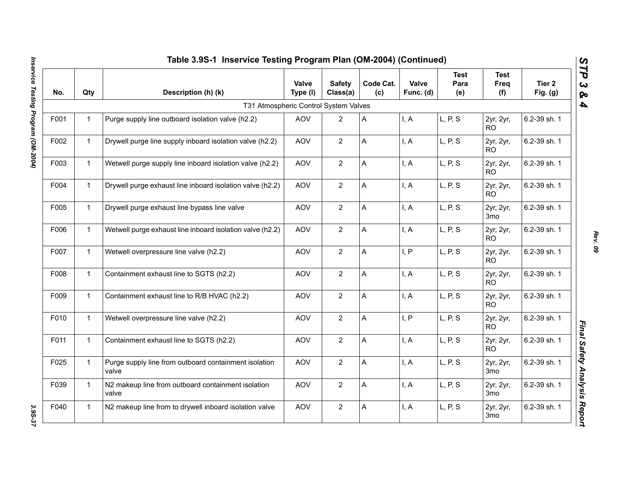|      | Table 3.9S-1 Inservice Testing Program Plan (OM-2004) (Continued) |                                                                |                   |                           |                  |                    |                            |                              |                                 |
|------|-------------------------------------------------------------------|----------------------------------------------------------------|-------------------|---------------------------|------------------|--------------------|----------------------------|------------------------------|---------------------------------|
| No.  | Qty                                                               | Description (h) (k)                                            | Valve<br>Type (I) | <b>Safety</b><br>Class(a) | Code Cat.<br>(c) | Valve<br>Func. (d) | <b>Test</b><br>Para<br>(e) | <b>Test</b><br>Freq<br>(f)   | Tier <sub>2</sub><br>Fig. $(g)$ |
|      |                                                                   | T31 Atmospheric Control System Valves                          |                   |                           |                  |                    |                            |                              |                                 |
| F001 | $\mathbf{1}$                                                      | Purge supply line outboard isolation valve (h2.2)              | <b>AOV</b>        | $\overline{2}$            | A                | I, A               | L, P, S                    | 2yr, 2yr,<br>RO.             | 6.2-39 sh. 1                    |
| F002 | $\mathbf{1}$                                                      | Drywell purge line supply inboard isolation valve (h2.2)       | <b>AOV</b>        | $\overline{2}$            | A                | I, A               | L, P, S                    | 2yr, 2yr,<br><b>RO</b>       | 6.2-39 sh. 1                    |
| F003 | $\mathbf{1}$                                                      | Wetwell purge supply line inboard isolation valve (h2.2)       | <b>AOV</b>        | $\overline{2}$            | A                | I, A               | L, P, S                    | 2yr, 2yr,<br><b>RO</b>       | 6.2-39 sh. 1                    |
| F004 | $\mathbf{1}$                                                      | Drywell purge exhaust line inboard isolation valve (h2.2)      | <b>AOV</b>        | $\overline{2}$            | A                | I, A               | L, P, S                    | 2yr, 2yr,<br><b>RO</b>       | 6.2-39 sh. 1                    |
| F005 | $\mathbf{1}$                                                      | Drywell purge exhaust line bypass line valve                   | <b>AOV</b>        | $\overline{2}$            | A                | I, A               | L, P, S                    | 2yr, 2yr,<br>3 <sub>mo</sub> | 6.2-39 sh. 1                    |
| F006 | $\mathbf{1}$                                                      | Wetwell purge exhaust line inboard isolation valve (h2.2)      | <b>AOV</b>        | $\overline{2}$            | A                | I, A               | L, P, S                    | 2yr, 2yr,<br><b>RO</b>       | 6.2-39 sh. 1                    |
| F007 | $\mathbf{1}$                                                      | Wetwell overpressure line valve (h2.2)                         | <b>AOV</b>        | $\overline{2}$            | A                | I, P               | L, P, S                    | 2yr, 2yr,<br>RO.             | 6.2-39 sh. 1                    |
| F008 | $\mathbf{1}$                                                      | Containment exhaust line to SGTS (h2.2)                        | <b>AOV</b>        | $\overline{2}$            | A                | I, A               | L, P, S                    | 2yr, 2yr,<br><b>RO</b>       | 6.2-39 sh. 1                    |
| F009 | $\mathbf{1}$                                                      | Containment exhaust line to R/B HVAC (h2.2)                    | <b>AOV</b>        | $\overline{2}$            | A                | I, A               | L, P, S                    | 2yr, 2yr,<br>RO.             | 6.2-39 sh. 1                    |
| F010 | $\mathbf{1}$                                                      | Wetwell overpressure line valve (h2.2)                         | <b>AOV</b>        | $\overline{2}$            | A                | I, P               | L, P, S                    | 2yr, 2yr,<br>R <sub>O</sub>  | 6.2-39 sh. 1                    |
| F011 | $\mathbf{1}$                                                      | Containment exhaust line to SGTS (h2.2)                        | <b>AOV</b>        | $\overline{2}$            | A                | I, A               | L, P, S                    | 2yr, 2yr,<br>RO.             | 6.2-39 sh. 1                    |
| F025 | $\mathbf{1}$                                                      | Purge supply line from outboard containment isolation<br>valve | <b>AOV</b>        | $\overline{2}$            | A                | I, A               | L, P, S                    | 2yr, 2yr,<br>3mo             | 6.2-39 sh. 1                    |
| F039 | $\mathbf{1}$                                                      | N2 makeup line from outboard containment isolation<br>valve    | <b>AOV</b>        | 2                         | Α                | I, A               | L, P, S                    | 2yr, 2yr,<br>3 <sub>mo</sub> | 6.2-39 sh. 1                    |
| F040 | $\mathbf{1}$                                                      | N2 makeup line from to drywell inboard isolation valve         | <b>AOV</b>        | $\overline{2}$            | A                | I, A               | L, P, S                    | 2yr, 2yr,<br>3 <sub>mo</sub> | 6.2-39 sh. 1                    |

*Rev. 09*

3.95-37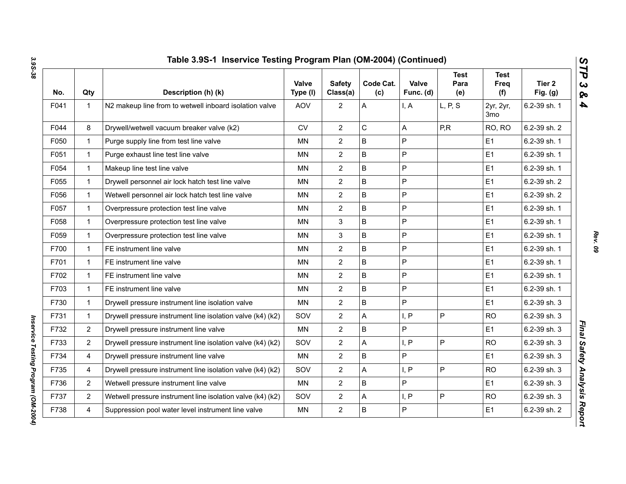| No.  | Qty            | Description (h) (k)                                        | Valve<br>Type (I) | <b>Safety</b><br>Class(a) | Code Cat.<br>(c) | Valve<br>Func. (d) | <b>Test</b><br>Para<br>(e) | <b>Test</b><br>Freq<br>(f) | Tier 2<br>Fig. $(g)$ |
|------|----------------|------------------------------------------------------------|-------------------|---------------------------|------------------|--------------------|----------------------------|----------------------------|----------------------|
| F041 | 1              | N2 makeup line from to wetwell inboard isolation valve     | <b>AOV</b>        | $\overline{2}$            | A                | I, A               | L, P, S                    | 2yr, 2yr,<br>3mo           | 6.2-39 sh. 1         |
| F044 | 8              | Drywell/wetwell vacuum breaker valve (k2)                  | <b>CV</b>         | $\overline{2}$            | С                | А                  | P,R                        | RO, RO                     | 6.2-39 sh. 2         |
| F050 | $\mathbf{1}$   | Purge supply line from test line valve                     | MN                | $\overline{2}$            | $\overline{B}$   | P                  |                            | E1                         | 6.2-39 sh. 1         |
| F051 | $\mathbf{1}$   | Purge exhaust line test line valve                         | <b>MN</b>         | $\overline{2}$            | B                | P                  |                            | E1                         | 6.2-39 sh. 1         |
| F054 | $\mathbf{1}$   | Makeup line test line valve                                | <b>MN</b>         | $\overline{2}$            | $\sf B$          | P                  |                            | E1                         | 6.2-39 sh. 1         |
| F055 | 1              | Drywell personnel air lock hatch test line valve           | MN                | $\overline{2}$            | $\sf B$          | P                  |                            | E1                         | 6.2-39 sh. 2         |
| F056 | $\mathbf{1}$   | Wetwell personnel air lock hatch test line valve           | <b>MN</b>         | $\overline{2}$            | $\mathsf B$      | P                  |                            | E1                         | 6.2-39 sh. 2         |
| F057 | $\mathbf 1$    | Overpressure protection test line valve                    | <b>MN</b>         | $\overline{2}$            | B                | P                  |                            | E1                         | 6.2-39 sh. 1         |
| F058 | $\mathbf{1}$   | Overpressure protection test line valve                    | <b>MN</b>         | 3                         | $\sf B$          | P                  |                            | E1                         | 6.2-39 sh. 1         |
| F059 | $\mathbf 1$    | Overpressure protection test line valve                    | <b>MN</b>         | 3                         | $\sf B$          | P                  |                            | E1                         | 6.2-39 sh. 1         |
| F700 | $\mathbf{1}$   | FE instrument line valve                                   | MN                | $\overline{2}$            | B                | P                  |                            | E1                         | 6.2-39 sh. 1         |
| F701 | $\mathbf{1}$   | FE instrument line valve                                   | MN                | $\overline{2}$            | $\sf B$          | P                  |                            | E1                         | 6.2-39 sh. 1         |
| F702 | 1              | FE instrument line valve                                   | MN                | $\overline{2}$            | $\sf B$          | P                  |                            | E1                         | 6.2-39 sh. 1         |
| F703 | $\mathbf{1}$   | FE instrument line valve                                   | <b>MN</b>         | $\overline{2}$            | $\overline{B}$   | P                  |                            | E1                         | 6.2-39 sh. 1         |
| F730 | $\mathbf{1}$   | Drywell pressure instrument line isolation valve           | <b>MN</b>         | $\overline{2}$            | $\sf B$          | P                  |                            | E1                         | 6.2-39 sh. 3         |
| F731 | $\mathbf{1}$   | Drywell pressure instrument line isolation valve (k4) (k2) | SOV               | $\overline{2}$            | A                | I, P               | P                          | <b>RO</b>                  | 6.2-39 sh. 3         |
| F732 | $\overline{2}$ | Drywell pressure instrument line valve                     | <b>MN</b>         | $\overline{2}$            | $\sf B$          | P                  |                            | E1                         | 6.2-39 sh. 3         |
| F733 | $\overline{2}$ | Drywell pressure instrument line isolation valve (k4) (k2) | SOV               | $\overline{2}$            | A                | I, P               | P                          | <b>RO</b>                  | 6.2-39 sh. 3         |
| F734 | 4              | Drywell pressure instrument line valve                     | MN                | $\overline{2}$            | B                | P                  |                            | E1                         | 6.2-39 sh. 3         |
| F735 | 4              | Drywell pressure instrument line isolation valve (k4) (k2) | SOV               | $\overline{2}$            | A                | I, P               | P                          | <b>RO</b>                  | 6.2-39 sh. 3         |
| F736 | $\overline{2}$ | Wetwell pressure instrument line valve                     | <b>MN</b>         | $\overline{2}$            | $\mathsf{B}$     | P                  |                            | E1                         | 6.2-39 sh. 3         |
| F737 | $\mathbf{2}$   | Wetwell pressure instrument line isolation valve (k4) (k2) | SOV               | $\overline{2}$            | A                | I, P               | P                          | <b>RO</b>                  | 6.2-39 sh. 3         |
| F738 | 4              | Suppression pool water level instrument line valve         | MN                | $\overline{2}$            | $\sf B$          | P                  |                            | E1                         | 6.2-39 sh. 2         |

*Inservice Testing Program (OM-2004)* 

Inservice Testing Program (OM-2004)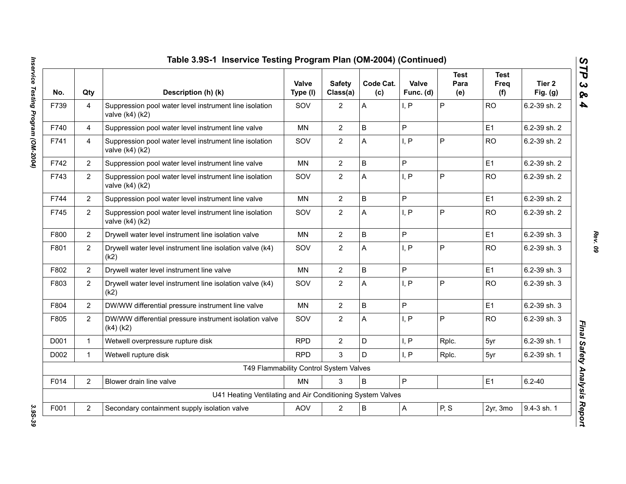| No.  | Qty            | Description (h) (k)                                                           | Valve<br>Type (I) | <b>Safety</b><br>Class(a) | Code Cat.<br>(c) | Valve<br>Func. (d) | <b>Test</b><br>Para<br>(e) | <b>Test</b><br>Freq<br>(f) | Tier 2<br>Fig. $(g)$ |
|------|----------------|-------------------------------------------------------------------------------|-------------------|---------------------------|------------------|--------------------|----------------------------|----------------------------|----------------------|
| F739 | 4              | Suppression pool water level instrument line isolation<br>valve $(k4)(k2)$    | SOV               | $\overline{2}$            | Α                | I, P               | P                          | <b>RO</b>                  | 6.2-39 sh. 2         |
| F740 | 4              | Suppression pool water level instrument line valve                            | <b>MN</b>         | $\overline{2}$            | B                | P                  |                            | E1                         | 6.2-39 sh. 2         |
| F741 | 4              | Suppression pool water level instrument line isolation<br>valve $(k4)$ $(k2)$ | SOV               | $\overline{2}$            | A                | I, P               | P                          | <b>RO</b>                  | 6.2-39 sh. 2         |
| F742 | $\overline{2}$ | Suppression pool water level instrument line valve                            | <b>MN</b>         | $\overline{2}$            | B                | P                  |                            | E1                         | 6.2-39 sh. 2         |
| F743 | $\overline{2}$ | Suppression pool water level instrument line isolation<br>valve (k4) (k2)     | SOV               | $\overline{2}$            | A                | I, P               | P                          | <b>RO</b>                  | 6.2-39 sh. 2         |
| F744 | $\overline{2}$ | Suppression pool water level instrument line valve                            | <b>MN</b>         | $\overline{2}$            | B                | P                  |                            | E1                         | 6.2-39 sh. 2         |
| F745 | $\overline{2}$ | Suppression pool water level instrument line isolation<br>valve (k4) (k2)     | SOV               | $\overline{2}$            | А                | I, P               | P                          | <b>RO</b>                  | 6.2-39 sh. 2         |
| F800 | $\overline{2}$ | Drywell water level instrument line isolation valve                           | <b>MN</b>         | $\overline{2}$            | B                | P                  |                            | E1                         | 6.2-39 sh. 3         |
| F801 | $\overline{2}$ | Drywell water level instrument line isolation valve (k4)<br>(k2)              | SOV               | $\overline{2}$            | A                | I, P               | P                          | <b>RO</b>                  | 6.2-39 sh. 3         |
| F802 | $\overline{2}$ | Drywell water level instrument line valve                                     | <b>MN</b>         | $\overline{2}$            | B                | P                  |                            | E1                         | 6.2-39 sh. 3         |
| F803 | $\overline{2}$ | Drywell water level instrument line isolation valve (k4)<br>(k2)              | SOV               | $\overline{2}$            | A                | I, P               | P                          | <b>RO</b>                  | 6.2-39 sh. 3         |
| F804 | $\overline{2}$ | DW/WW differential pressure instrument line valve                             | <b>MN</b>         | $\overline{2}$            | B                | P                  |                            | E1                         | 6.2-39 sh. 3         |
| F805 | $\overline{2}$ | DW/WW differential pressure instrument isolation valve<br>$(k4)$ $(k2)$       | SOV               | $\overline{2}$            | Α                | I, P               | P                          | <b>RO</b>                  | 6.2-39 sh. 3         |
| D001 | $\mathbf{1}$   | Wetwell overpressure rupture disk                                             | <b>RPD</b>        | $\overline{2}$            | D                | I, P               | Rplc.                      | 5yr                        | 6.2-39 sh. 1         |
| D002 | $\mathbf 1$    | Wetwell rupture disk                                                          | <b>RPD</b>        | 3                         | D.               | I, P               | Rplc.                      | 5yr                        | 6.2-39 sh. 1         |
|      |                | T49 Flammability Control System Valves                                        |                   |                           |                  |                    |                            |                            |                      |
| F014 | $\overline{2}$ | Blower drain line valve                                                       | MN                | 3                         | B                | $\mathsf{P}$       |                            | E1                         | $6.2 - 40$           |
|      |                | U41 Heating Ventilating and Air Conditioning System Valves                    |                   |                           |                  |                    |                            |                            |                      |
| F001 | $\overline{2}$ | Secondary containment supply isolation valve                                  | AOV               | $\overline{2}$            | $\sf B$          | $\overline{A}$     | P, S                       | 2yr, 3mo                   | 9.4-3 sh. 1          |

Inservice Testing Program (OM-2004) *Inservice Testing Program (OM-2004) 3.9S-39*

*Rev. 09*

3.9S-39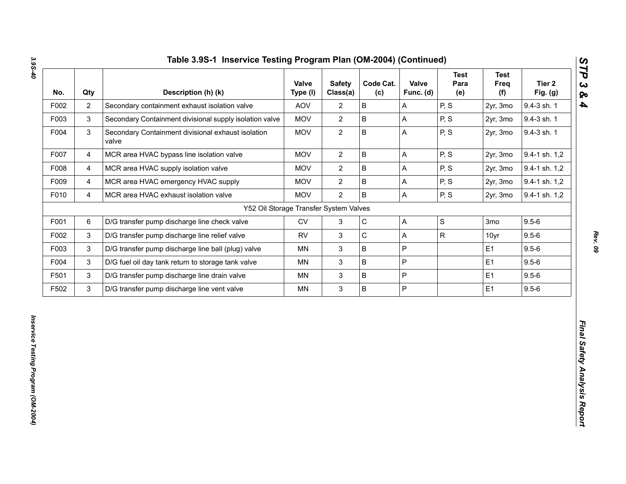| No.  | Qty                     | Description (h) (k)                                         | Valve<br>Type (I) | <b>Safety</b><br>Class(a) | Code Cat.<br>(c) | Valve<br>Func. (d) | <b>Test</b><br>Para<br>(e) | <b>Test</b><br>Freq<br>(f) | Tier <sub>2</sub><br>Fig. (g) |
|------|-------------------------|-------------------------------------------------------------|-------------------|---------------------------|------------------|--------------------|----------------------------|----------------------------|-------------------------------|
| F002 | $\overline{2}$          | Secondary containment exhaust isolation valve               | AOV               | $\mathbf{2}$              | $\sf B$          | A                  | P, S                       | 2yr, 3mo                   | 9.4-3 sh. 1                   |
| F003 | $\mathfrak{S}$          | Secondary Containment divisional supply isolation valve     | <b>MOV</b>        | $\overline{2}$            | $\sf B$          | A                  | P, S                       | 2yr, 3mo                   | 9.4-3 sh. 1                   |
| F004 | $\mathsf 3$             | Secondary Containment divisional exhaust isolation<br>valve | <b>MOV</b>        | $\overline{2}$            | $\sf B$          | A                  | P, S                       | 2yr, 3mo                   | 9.4-3 sh. 1                   |
| F007 | $\overline{4}$          | MCR area HVAC bypass line isolation valve                   | <b>MOV</b>        | $\overline{2}$            | $\mathsf B$      | A                  | P, S                       | 2yr, 3mo                   | 9.4-1 sh. 1,2                 |
| F008 | $\overline{\mathbf{4}}$ | MCR area HVAC supply isolation valve                        | <b>MOV</b>        | $\overline{2}$            | $\sf B$          | A                  | P, S                       | 2yr, 3mo                   | 9.4-1 sh. 1,2                 |
| F009 | 4                       | MCR area HVAC emergency HVAC supply                         | <b>MOV</b>        | $\overline{2}$            | $\sf B$          | А                  | P, S                       | 2yr, 3mo                   | 9.4-1 sh. 1,2                 |
| F010 | $\overline{4}$          | MCR area HVAC exhaust isolation valve                       | <b>MOV</b>        | $\overline{2}$            | $\overline{B}$   | A                  | P, S                       | 2yr, 3mo                   | 9.4-1 sh. 1,2                 |
|      |                         | Y52 Oil Storage Transfer System Valves                      |                   |                           |                  |                    |                            |                            |                               |
| F001 | 6                       | D/G transfer pump discharge line check valve                | CV                | $\mathfrak{S}$            | $\mathsf C$      | A                  | $\mathbf S$                | 3mo                        | $9.5 - 6$                     |
| F002 | 3                       | D/G transfer pump discharge line relief valve               | <b>RV</b>         | $\ensuremath{\mathsf{3}}$ | $\mathsf C$      | A                  | $\mathsf{R}$               | 10yr                       | $9.5 - 6$                     |
| F003 | $\mathfrak{S}$          | D/G transfer pump discharge line ball (plug) valve          | MN                | $\ensuremath{\mathsf{3}}$ | $\sf B$          | P                  |                            | E1                         | $9.5 - 6$                     |
| F004 | $\mathfrak{S}$          | D/G fuel oil day tank return to storage tank valve          | MN                | $\mathbf{3}$              | $\sf B$          | P                  |                            | E1                         | $9.5 - 6$                     |
| F501 | 3                       | D/G transfer pump discharge line drain valve                | MN                | $\ensuremath{\mathsf{3}}$ | $\sf B$          | P                  |                            | E1                         | $9.5 - 6$                     |
| F502 | $\mathfrak{S}$          | D/G transfer pump discharge line vent valve                 | MN                | $\mathbf{3}$              | $\, {\bf B}$     | P                  |                            | E1                         | $9.5 - 6$                     |

*Rev. 09*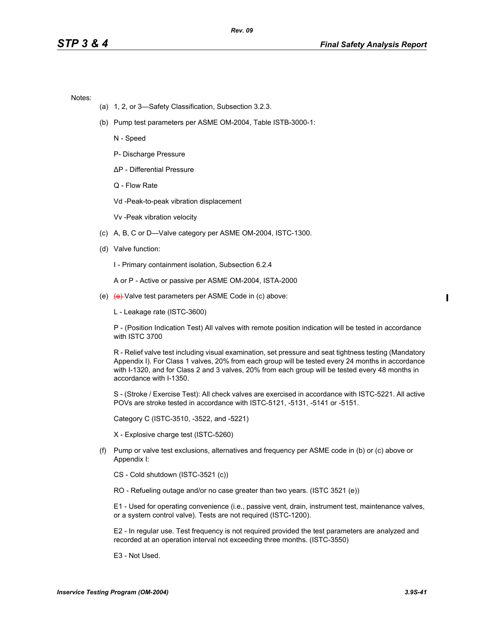Notes:

- (a) 1, 2, or 3—Safety Classification, Subsection 3.2.3.
- (b) Pump test parameters per ASME OM-2004, Table ISTB-3000-1:

N - Speed

P- Discharge Pressure

∆P - Differential Pressure

Q - Flow Rate

Vd -Peak-to-peak vibration displacement

Vv -Peak vibration velocity

- (c) A, B, C or D—Valve category per ASME OM-2004, ISTC-1300.
- (d) Valve function:

I - Primary containment isolation, Subsection 6.2.4

A or P - Active or passive per ASME OM-2004, ISTA-2000

(e) (e) Valve test parameters per ASME Code in (c) above:

L - Leakage rate (ISTC-3600)

P - (Position Indication Test) All valves with remote position indication will be tested in accordance with ISTC 3700

R - Relief valve test including visual examination, set pressure and seat tightness testing (Mandatory Appendix I). For Class 1 valves, 20% from each group will be tested every 24 months in accordance with I-1320, and for Class 2 and 3 valves, 20% from each group will be tested every 48 months in accordance with I-1350.

S - (Stroke / Exercise Test): All check valves are exercised in accordance with ISTC-5221. All active POVs are stroke tested in accordance with ISTC-5121, -5131, -5141 or -5151.

Category C (ISTC-3510, -3522, and -5221)

X - Explosive charge test (ISTC-5260)

(f) Pump or valve test exclusions, alternatives and frequency per ASME code in (b) or (c) above or Appendix I:

CS - Cold shutdown (ISTC-3521 (c))

RO - Refueling outage and/or no case greater than two years. (ISTC 3521 (e))

E1 - Used for operating convenience (i.e., passive vent, drain, instrument test, maintenance valves, or a system control valve). Tests are not required (ISTC-1200).

E2 - In regular use. Test frequency is not required provided the test parameters are analyzed and recorded at an operation interval not exceeding three months. (ISTC-3550)

E3 - Not Used.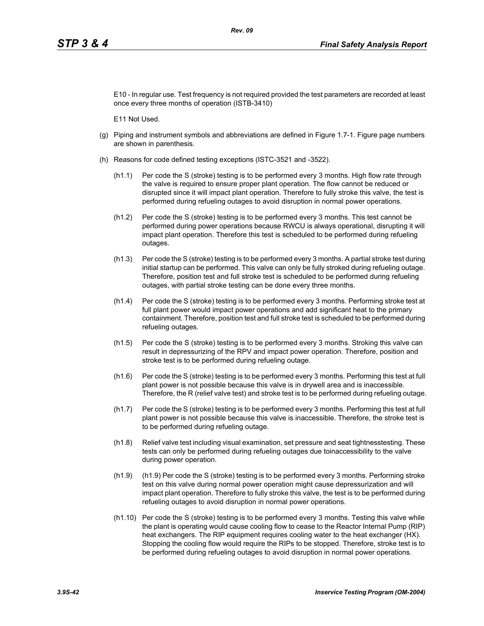E10 - In regular use. Test frequency is not required provided the test parameters are recorded at least once every three months of operation (ISTB-3410)

E11 Not Used.

- (g) Piping and instrument symbols and abbreviations are defined in Figure 1.7-1. Figure page numbers are shown in parenthesis.
- (h) Reasons for code defined testing exceptions (ISTC-3521 and -3522).
	- (h1.1) Per code the S (stroke) testing is to be performed every 3 months. High flow rate through the valve is required to ensure proper plant operation. The flow cannot be reduced or disrupted since it will impact plant operation. Therefore to fully stroke this valve, the test is performed during refueling outages to avoid disruption in normal power operations.
	- (h1.2) Per code the S (stroke) testing is to be performed every 3 months. This test cannot be performed during power operations because RWCU is always operational, disrupting it will impact plant operation. Therefore this test is scheduled to be performed during refueling outages.
	- (h1.3) Per code the S (stroke) testing is to be performed every 3 months. A partial stroke test during initial startup can be performed. This valve can only be fully stroked during refueling outage. Therefore, position test and full stroke test is scheduled to be performed during refueling outages, with partial stroke testing can be done every three months.
	- (h1.4) Per code the S (stroke) testing is to be performed every 3 months. Performing stroke test at full plant power would impact power operations and add significant heat to the primary containment. Therefore, position test and full stroke test is scheduled to be performed during refueling outages.
	- (h1.5) Per code the S (stroke) testing is to be performed every 3 months. Stroking this valve can result in depressurizing of the RPV and impact power operation. Therefore, position and stroke test is to be performed during refueling outage.
	- (h1.6) Per code the S (stroke) testing is to be performed every 3 months. Performing this test at full plant power is not possible because this valve is in drywell area and is inaccessible. Therefore, the R (relief valve test) and stroke test is to be performed during refueling outage.
	- (h1.7) Per code the S (stroke) testing is to be performed every 3 months. Performing this test at full plant power is not possible because this valve is inaccessible. Therefore, the stroke test is to be performed during refueling outage.
	- (h1.8) Relief valve test including visual examination, set pressure and seat tightnesstesting. These tests can only be performed during refueling outages due toinaccessibility to the valve during power operation.
	- (h1.9) (h1.9) Per code the S (stroke) testing is to be performed every 3 months. Performing stroke test on this valve during normal power operation might cause depressurization and will impact plant operation. Therefore to fully stroke this valve, the test is to be performed during refueling outages to avoid disruption in normal power operations.
	- (h1.10) Per code the S (stroke) testing is to be performed every 3 months. Testing this valve while the plant is operating would cause cooling flow to cease to the Reactor Internal Pump (RIP) heat exchangers. The RIP equipment requires cooling water to the heat exchanger (HX). Stopping the cooling flow would require the RIPs to be stopped. Therefore, stroke test is to be performed during refueling outages to avoid disruption in normal power operations.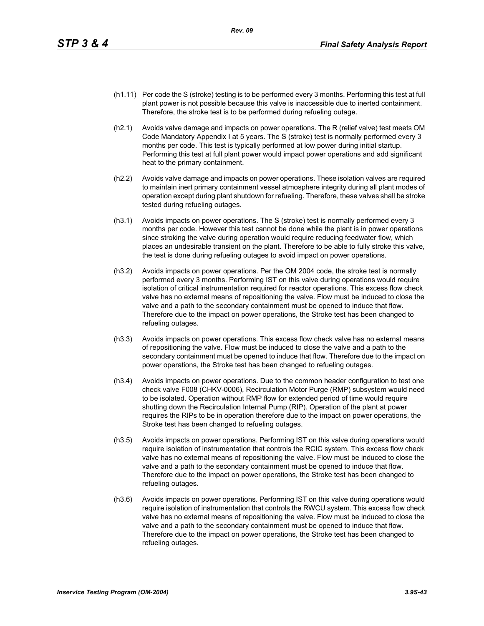- (h1.11) Per code the S (stroke) testing is to be performed every 3 months. Performing this test at full plant power is not possible because this valve is inaccessible due to inerted containment. Therefore, the stroke test is to be performed during refueling outage.
- (h2.1) Avoids valve damage and impacts on power operations. The R (relief valve) test meets OM Code Mandatory Appendix I at 5 years. The S (stroke) test is normally performed every 3 months per code. This test is typically performed at low power during initial startup. Performing this test at full plant power would impact power operations and add significant heat to the primary containment.
- (h2.2) Avoids valve damage and impacts on power operations. These isolation valves are required to maintain inert primary containment vessel atmosphere integrity during all plant modes of operation except during plant shutdown for refueling. Therefore, these valves shall be stroke tested during refueling outages.
- (h3.1) Avoids impacts on power operations. The S (stroke) test is normally performed every 3 months per code. However this test cannot be done while the plant is in power operations since stroking the valve during operation would require reducing feedwater flow, which places an undesirable transient on the plant. Therefore to be able to fully stroke this valve, the test is done during refueling outages to avoid impact on power operations.
- (h3.2) Avoids impacts on power operations. Per the OM 2004 code, the stroke test is normally performed every 3 months. Performing IST on this valve during operations would require isolation of critical instrumentation required for reactor operations. This excess flow check valve has no external means of repositioning the valve. Flow must be induced to close the valve and a path to the secondary containment must be opened to induce that flow. Therefore due to the impact on power operations, the Stroke test has been changed to refueling outages.
- (h3.3) Avoids impacts on power operations. This excess flow check valve has no external means of repositioning the valve. Flow must be induced to close the valve and a path to the secondary containment must be opened to induce that flow. Therefore due to the impact on power operations, the Stroke test has been changed to refueling outages.
- (h3.4) Avoids impacts on power operations. Due to the common header configuration to test one check valve F008 (CHKV-0006), Recirculation Motor Purge (RMP) subsystem would need to be isolated. Operation without RMP flow for extended period of time would require shutting down the Recirculation Internal Pump (RIP). Operation of the plant at power requires the RIPs to be in operation therefore due to the impact on power operations, the Stroke test has been changed to refueling outages.
- (h3.5) Avoids impacts on power operations. Performing IST on this valve during operations would require isolation of instrumentation that controls the RCIC system. This excess flow check valve has no external means of repositioning the valve. Flow must be induced to close the valve and a path to the secondary containment must be opened to induce that flow. Therefore due to the impact on power operations, the Stroke test has been changed to refueling outages.
- (h3.6) Avoids impacts on power operations. Performing IST on this valve during operations would require isolation of instrumentation that controls the RWCU system. This excess flow check valve has no external means of repositioning the valve. Flow must be induced to close the valve and a path to the secondary containment must be opened to induce that flow. Therefore due to the impact on power operations, the Stroke test has been changed to refueling outages.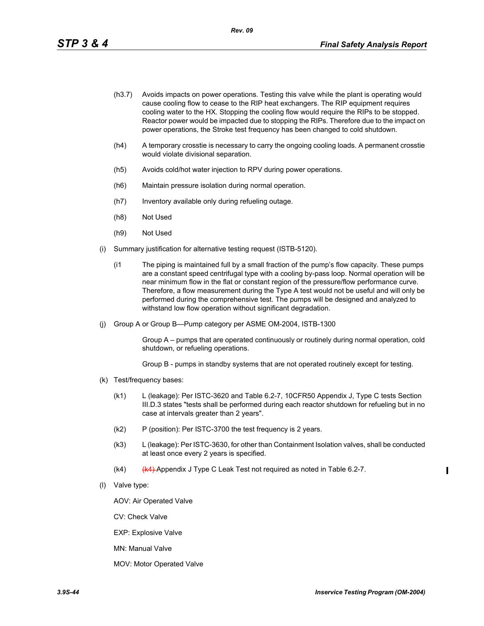- (h3.7) Avoids impacts on power operations. Testing this valve while the plant is operating would cause cooling flow to cease to the RIP heat exchangers. The RIP equipment requires cooling water to the HX. Stopping the cooling flow would require the RIPs to be stopped. Reactor power would be impacted due to stopping the RIPs. Therefore due to the impact on power operations, the Stroke test frequency has been changed to cold shutdown.
- (h4) A temporary crosstie is necessary to carry the ongoing cooling loads. A permanent crosstie would violate divisional separation.
- (h5) Avoids cold/hot water injection to RPV during power operations.
- (h6) Maintain pressure isolation during normal operation.
- (h7) Inventory available only during refueling outage.
- (h8) Not Used
- (h9) Not Used
- (i) Summary justification for alternative testing request (ISTB-5120).
	- (i1 The piping is maintained full by a small fraction of the pump's flow capacity. These pumps are a constant speed centrifugal type with a cooling by-pass loop. Normal operation will be near minimum flow in the flat or constant region of the pressure/flow performance curve. Therefore, a flow measurement during the Type A test would not be useful and will only be performed during the comprehensive test. The pumps will be designed and analyzed to withstand low flow operation without significant degradation.
- (j) Group A or Group B—Pump category per ASME OM-2004, ISTB-1300

Group A – pumps that are operated continuously or routinely during normal operation, cold shutdown, or refueling operations.

Group B - pumps in standby systems that are not operated routinely except for testing.

- (k) Test/frequency bases:
	- (k1) L (leakage): Per ISTC-3620 and Table 6.2-7, 10CFR50 Appendix J, Type C tests Section III.D.3 states "tests shall be performed during each reactor shutdown for refueling but in no case at intervals greater than 2 years".
	- (k2) P (position): Per ISTC-3700 the test frequency is 2 years.
	- (k3) L (leakage): Per ISTC-3630, for other than Containment Isolation valves, shall be conducted at least once every 2 years is specified.
	- $(k4)$  (k4) Appendix J Type C Leak Test not required as noted in Table 6.2-7.
- (l) Valve type:

AOV: Air Operated Valve

CV: Check Valve

EXP: Explosive Valve

MN: Manual Valve

MOV: Motor Operated Valve